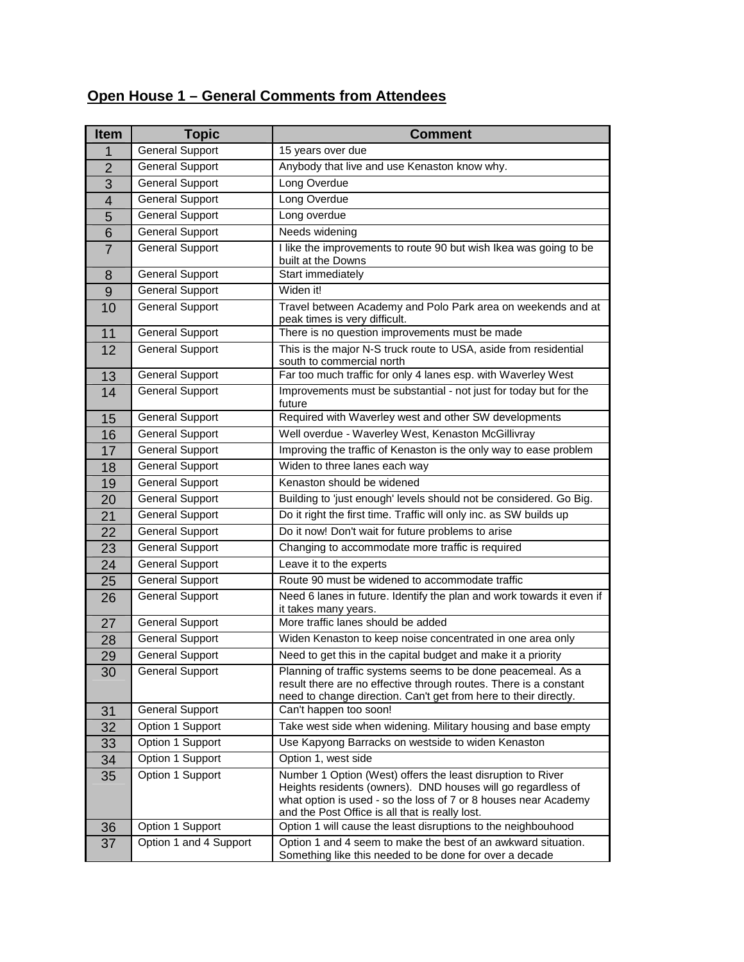## **Open House 1 – General Comments from Attendees**

| <b>Item</b>             | <b>Topic</b>           | <b>Comment</b>                                                                                                                                                                                                                                    |
|-------------------------|------------------------|---------------------------------------------------------------------------------------------------------------------------------------------------------------------------------------------------------------------------------------------------|
| 1                       | <b>General Support</b> | 15 years over due                                                                                                                                                                                                                                 |
| $\overline{2}$          | <b>General Support</b> | Anybody that live and use Kenaston know why.                                                                                                                                                                                                      |
| $\overline{3}$          | <b>General Support</b> | Long Overdue                                                                                                                                                                                                                                      |
| $\overline{\mathbf{4}}$ | <b>General Support</b> | Long Overdue                                                                                                                                                                                                                                      |
| 5                       | <b>General Support</b> | Long overdue                                                                                                                                                                                                                                      |
| 6                       | <b>General Support</b> | Needs widening                                                                                                                                                                                                                                    |
| $\overline{7}$          | <b>General Support</b> | I like the improvements to route 90 but wish Ikea was going to be<br>built at the Downs                                                                                                                                                           |
| 8                       | <b>General Support</b> | Start immediately                                                                                                                                                                                                                                 |
| 9                       | <b>General Support</b> | Widen it!                                                                                                                                                                                                                                         |
| 10                      | <b>General Support</b> | Travel between Academy and Polo Park area on weekends and at<br>peak times is very difficult.                                                                                                                                                     |
| 11                      | General Support        | There is no question improvements must be made                                                                                                                                                                                                    |
| 12                      | <b>General Support</b> | This is the major N-S truck route to USA, aside from residential<br>south to commercial north                                                                                                                                                     |
| 13                      | <b>General Support</b> | Far too much traffic for only 4 lanes esp. with Waverley West                                                                                                                                                                                     |
| 14                      | <b>General Support</b> | Improvements must be substantial - not just for today but for the<br>future                                                                                                                                                                       |
| 15                      | <b>General Support</b> | Required with Waverley west and other SW developments                                                                                                                                                                                             |
| 16                      | <b>General Support</b> | Well overdue - Waverley West, Kenaston McGillivray                                                                                                                                                                                                |
| 17                      | <b>General Support</b> | Improving the traffic of Kenaston is the only way to ease problem                                                                                                                                                                                 |
| 18                      | <b>General Support</b> | Widen to three lanes each way                                                                                                                                                                                                                     |
| 19                      | <b>General Support</b> | Kenaston should be widened                                                                                                                                                                                                                        |
| 20                      | <b>General Support</b> | Building to 'just enough' levels should not be considered. Go Big.                                                                                                                                                                                |
| 21                      | <b>General Support</b> | Do it right the first time. Traffic will only inc. as SW builds up                                                                                                                                                                                |
| 22                      | <b>General Support</b> | Do it now! Don't wait for future problems to arise                                                                                                                                                                                                |
| 23                      | <b>General Support</b> | Changing to accommodate more traffic is required                                                                                                                                                                                                  |
| 24                      | <b>General Support</b> | Leave it to the experts                                                                                                                                                                                                                           |
| 25                      | <b>General Support</b> | Route 90 must be widened to accommodate traffic                                                                                                                                                                                                   |
| 26                      | <b>General Support</b> | Need 6 lanes in future. Identify the plan and work towards it even if<br>it takes many years.                                                                                                                                                     |
| 27                      | <b>General Support</b> | More traffic lanes should be added                                                                                                                                                                                                                |
| 28                      | <b>General Support</b> | Widen Kenaston to keep noise concentrated in one area only                                                                                                                                                                                        |
| 29                      | <b>General Support</b> | Need to get this in the capital budget and make it a priority                                                                                                                                                                                     |
| 30                      | <b>General Support</b> | Planning of traffic systems seems to be done peacemeal. As a<br>result there are no effective through routes. There is a constant<br>need to change direction. Can't get from here to their directly.                                             |
| 31                      | <b>General Support</b> | Can't happen too soon!                                                                                                                                                                                                                            |
| 32                      | Option 1 Support       | Take west side when widening. Military housing and base empty                                                                                                                                                                                     |
| 33                      | Option 1 Support       | Use Kapyong Barracks on westside to widen Kenaston                                                                                                                                                                                                |
| 34                      | Option 1 Support       | Option 1, west side                                                                                                                                                                                                                               |
| 35                      | Option 1 Support       | Number 1 Option (West) offers the least disruption to River<br>Heights residents (owners). DND houses will go regardless of<br>what option is used - so the loss of 7 or 8 houses near Academy<br>and the Post Office is all that is really lost. |
| 36                      | Option 1 Support       | Option 1 will cause the least disruptions to the neighbouhood                                                                                                                                                                                     |
| 37                      | Option 1 and 4 Support | Option 1 and 4 seem to make the best of an awkward situation.<br>Something like this needed to be done for over a decade                                                                                                                          |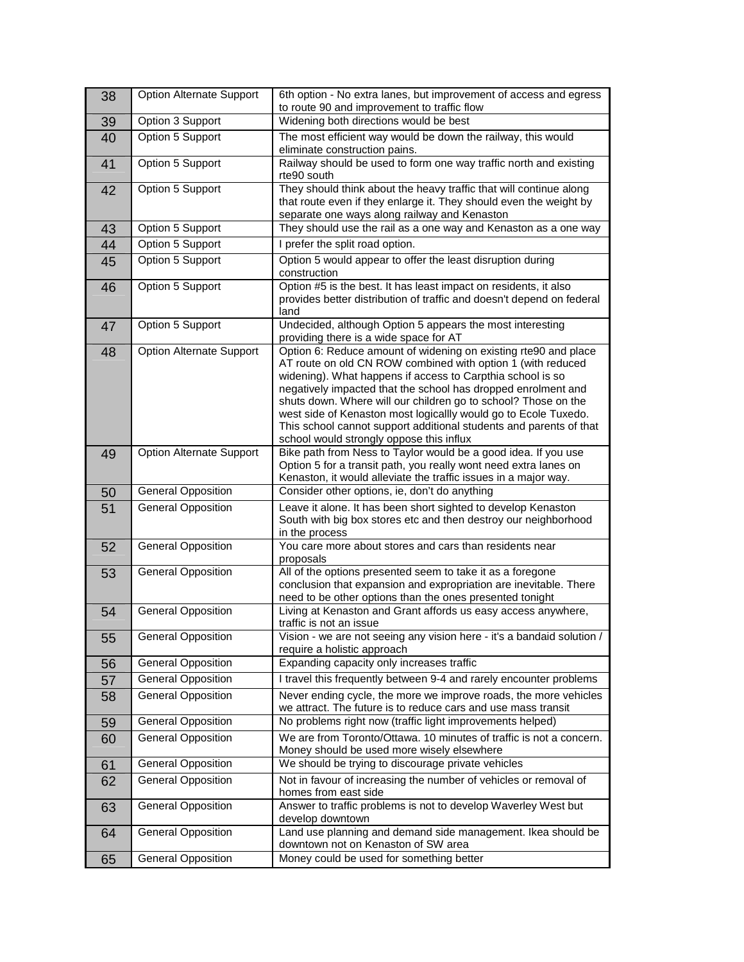| 38 | Option Alternate Support        | 6th option - No extra lanes, but improvement of access and egress<br>to route 90 and improvement to traffic flow                                                                                                                                                                                                                                                                                                                                                                                                     |
|----|---------------------------------|----------------------------------------------------------------------------------------------------------------------------------------------------------------------------------------------------------------------------------------------------------------------------------------------------------------------------------------------------------------------------------------------------------------------------------------------------------------------------------------------------------------------|
| 39 | Option 3 Support                | Widening both directions would be best                                                                                                                                                                                                                                                                                                                                                                                                                                                                               |
| 40 | Option 5 Support                | The most efficient way would be down the railway, this would<br>eliminate construction pains.                                                                                                                                                                                                                                                                                                                                                                                                                        |
| 41 | Option 5 Support                | Railway should be used to form one way traffic north and existing<br>rte90 south                                                                                                                                                                                                                                                                                                                                                                                                                                     |
| 42 | Option 5 Support                | They should think about the heavy traffic that will continue along<br>that route even if they enlarge it. They should even the weight by<br>separate one ways along railway and Kenaston                                                                                                                                                                                                                                                                                                                             |
| 43 | Option 5 Support                | They should use the rail as a one way and Kenaston as a one way                                                                                                                                                                                                                                                                                                                                                                                                                                                      |
| 44 | Option 5 Support                | I prefer the split road option.                                                                                                                                                                                                                                                                                                                                                                                                                                                                                      |
| 45 | Option 5 Support                | Option 5 would appear to offer the least disruption during<br>construction                                                                                                                                                                                                                                                                                                                                                                                                                                           |
| 46 | Option 5 Support                | Option #5 is the best. It has least impact on residents, it also<br>provides better distribution of traffic and doesn't depend on federal<br>land                                                                                                                                                                                                                                                                                                                                                                    |
| 47 | Option 5 Support                | Undecided, although Option 5 appears the most interesting<br>providing there is a wide space for AT                                                                                                                                                                                                                                                                                                                                                                                                                  |
| 48 | <b>Option Alternate Support</b> | Option 6: Reduce amount of widening on existing rte90 and place<br>AT route on old CN ROW combined with option 1 (with reduced<br>widening). What happens if access to Carpthia school is so<br>negatively impacted that the school has dropped enrolment and<br>shuts down. Where will our children go to school? Those on the<br>west side of Kenaston most logicallly would go to Ecole Tuxedo.<br>This school cannot support additional students and parents of that<br>school would strongly oppose this influx |
| 49 | <b>Option Alternate Support</b> | Bike path from Ness to Taylor would be a good idea. If you use<br>Option 5 for a transit path, you really wont need extra lanes on<br>Kenaston, it would alleviate the traffic issues in a major way.                                                                                                                                                                                                                                                                                                                |
| 50 | <b>General Opposition</b>       | Consider other options, ie, don't do anything                                                                                                                                                                                                                                                                                                                                                                                                                                                                        |
| 51 | <b>General Opposition</b>       | Leave it alone. It has been short sighted to develop Kenaston<br>South with big box stores etc and then destroy our neighborhood<br>in the process                                                                                                                                                                                                                                                                                                                                                                   |
| 52 | <b>General Opposition</b>       | You care more about stores and cars than residents near<br>proposals                                                                                                                                                                                                                                                                                                                                                                                                                                                 |
| 53 | <b>General Opposition</b>       | All of the options presented seem to take it as a foregone<br>conclusion that expansion and expropriation are inevitable. There<br>need to be other options than the ones presented tonight                                                                                                                                                                                                                                                                                                                          |
| 54 | <b>General Opposition</b>       | Living at Kenaston and Grant affords us easy access anywhere,<br>traffic is not an issue                                                                                                                                                                                                                                                                                                                                                                                                                             |
| 55 | <b>General Opposition</b>       | Vision - we are not seeing any vision here - it's a bandaid solution /<br>require a holistic approach                                                                                                                                                                                                                                                                                                                                                                                                                |
| 56 | <b>General Opposition</b>       | Expanding capacity only increases traffic                                                                                                                                                                                                                                                                                                                                                                                                                                                                            |
| 57 | <b>General Opposition</b>       | I travel this frequently between 9-4 and rarely encounter problems                                                                                                                                                                                                                                                                                                                                                                                                                                                   |
| 58 | <b>General Opposition</b>       | Never ending cycle, the more we improve roads, the more vehicles<br>we attract. The future is to reduce cars and use mass transit                                                                                                                                                                                                                                                                                                                                                                                    |
| 59 | <b>General Opposition</b>       | No problems right now (traffic light improvements helped)                                                                                                                                                                                                                                                                                                                                                                                                                                                            |
| 60 | <b>General Opposition</b>       | We are from Toronto/Ottawa. 10 minutes of traffic is not a concern.<br>Money should be used more wisely elsewhere                                                                                                                                                                                                                                                                                                                                                                                                    |
| 61 | <b>General Opposition</b>       | We should be trying to discourage private vehicles                                                                                                                                                                                                                                                                                                                                                                                                                                                                   |
| 62 | <b>General Opposition</b>       | Not in favour of increasing the number of vehicles or removal of<br>homes from east side                                                                                                                                                                                                                                                                                                                                                                                                                             |
| 63 | <b>General Opposition</b>       | Answer to traffic problems is not to develop Waverley West but<br>develop downtown                                                                                                                                                                                                                                                                                                                                                                                                                                   |
| 64 | <b>General Opposition</b>       | Land use planning and demand side management. Ikea should be<br>downtown not on Kenaston of SW area                                                                                                                                                                                                                                                                                                                                                                                                                  |
| 65 | <b>General Opposition</b>       | Money could be used for something better                                                                                                                                                                                                                                                                                                                                                                                                                                                                             |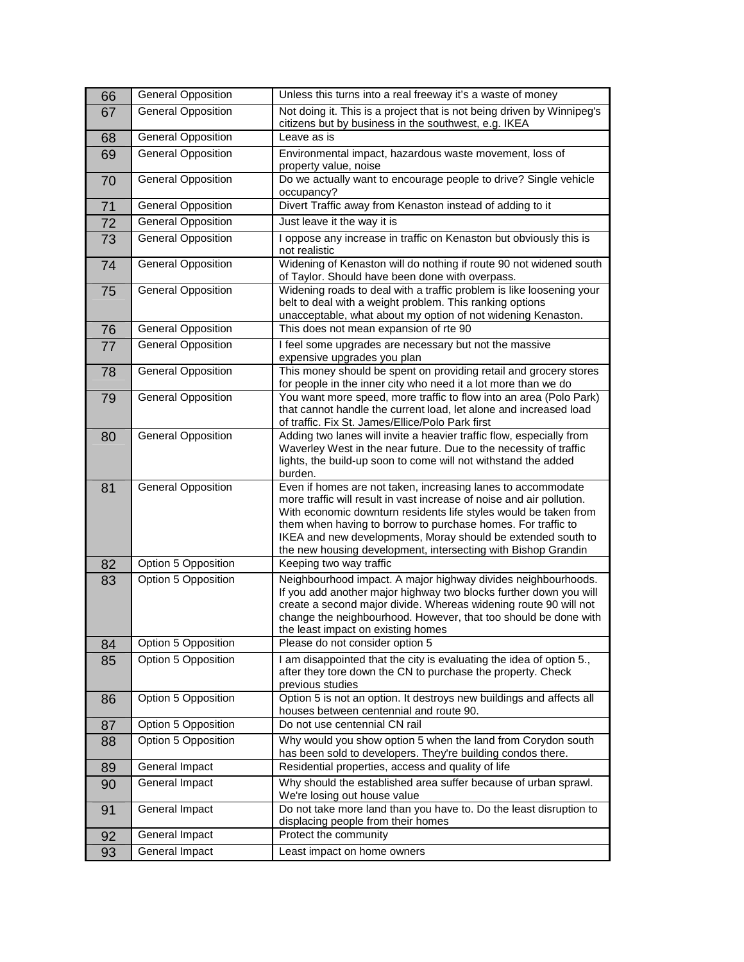| 66 | <b>General Opposition</b>                  | Unless this turns into a real freeway it's a waste of money                                                                                                                                                                                                                                                                                                                                                |
|----|--------------------------------------------|------------------------------------------------------------------------------------------------------------------------------------------------------------------------------------------------------------------------------------------------------------------------------------------------------------------------------------------------------------------------------------------------------------|
| 67 | <b>General Opposition</b>                  | Not doing it. This is a project that is not being driven by Winnipeg's<br>citizens but by business in the southwest, e.g. IKEA                                                                                                                                                                                                                                                                             |
| 68 | <b>General Opposition</b>                  | Leave as is                                                                                                                                                                                                                                                                                                                                                                                                |
| 69 | <b>General Opposition</b>                  | Environmental impact, hazardous waste movement, loss of<br>property value, noise                                                                                                                                                                                                                                                                                                                           |
| 70 | <b>General Opposition</b>                  | Do we actually want to encourage people to drive? Single vehicle<br>occupancy?                                                                                                                                                                                                                                                                                                                             |
| 71 | <b>General Opposition</b>                  | Divert Traffic away from Kenaston instead of adding to it                                                                                                                                                                                                                                                                                                                                                  |
| 72 | <b>General Opposition</b>                  | Just leave it the way it is                                                                                                                                                                                                                                                                                                                                                                                |
| 73 | <b>General Opposition</b>                  | I oppose any increase in traffic on Kenaston but obviously this is<br>not realistic                                                                                                                                                                                                                                                                                                                        |
| 74 | <b>General Opposition</b>                  | Widening of Kenaston will do nothing if route 90 not widened south<br>of Taylor. Should have been done with overpass.                                                                                                                                                                                                                                                                                      |
| 75 | <b>General Opposition</b>                  | Widening roads to deal with a traffic problem is like loosening your<br>belt to deal with a weight problem. This ranking options<br>unacceptable, what about my option of not widening Kenaston.                                                                                                                                                                                                           |
| 76 | <b>General Opposition</b>                  | This does not mean expansion of rte 90                                                                                                                                                                                                                                                                                                                                                                     |
| 77 | <b>General Opposition</b>                  | I feel some upgrades are necessary but not the massive<br>expensive upgrades you plan                                                                                                                                                                                                                                                                                                                      |
| 78 | <b>General Opposition</b>                  | This money should be spent on providing retail and grocery stores<br>for people in the inner city who need it a lot more than we do                                                                                                                                                                                                                                                                        |
| 79 | <b>General Opposition</b>                  | You want more speed, more traffic to flow into an area (Polo Park)<br>that cannot handle the current load, let alone and increased load<br>of traffic. Fix St. James/Ellice/Polo Park first                                                                                                                                                                                                                |
| 80 | <b>General Opposition</b>                  | Adding two lanes will invite a heavier traffic flow, especially from<br>Waverley West in the near future. Due to the necessity of traffic<br>lights, the build-up soon to come will not withstand the added<br>burden.                                                                                                                                                                                     |
| 81 | <b>General Opposition</b>                  | Even if homes are not taken, increasing lanes to accommodate<br>more traffic will result in vast increase of noise and air pollution.<br>With economic downturn residents life styles would be taken from<br>them when having to borrow to purchase homes. For traffic to<br>IKEA and new developments, Moray should be extended south to<br>the new housing development, intersecting with Bishop Grandin |
| 82 |                                            |                                                                                                                                                                                                                                                                                                                                                                                                            |
| 83 |                                            | Keeping two way traffic                                                                                                                                                                                                                                                                                                                                                                                    |
|    | Option 5 Opposition<br>Option 5 Opposition | Neighbourhood impact. A major highway divides neighbourhoods.<br>If you add another major highway two blocks further down you will<br>create a second major divide. Whereas widening route 90 will not<br>change the neighbourhood. However, that too should be done with<br>the least impact on existing homes                                                                                            |
| 84 | Option 5 Opposition                        | Please do not consider option 5                                                                                                                                                                                                                                                                                                                                                                            |
| 85 | Option 5 Opposition                        | I am disappointed that the city is evaluating the idea of option 5.,<br>after they tore down the CN to purchase the property. Check                                                                                                                                                                                                                                                                        |
| 86 | Option 5 Opposition                        | previous studies<br>Option 5 is not an option. It destroys new buildings and affects all<br>houses between centennial and route 90.                                                                                                                                                                                                                                                                        |
| 87 | Option 5 Opposition                        | Do not use centennial CN rail                                                                                                                                                                                                                                                                                                                                                                              |
| 88 | Option 5 Opposition                        | Why would you show option 5 when the land from Corydon south                                                                                                                                                                                                                                                                                                                                               |
| 89 | General Impact                             | has been sold to developers. They're building condos there.<br>Residential properties, access and quality of life                                                                                                                                                                                                                                                                                          |
| 90 | General Impact                             | Why should the established area suffer because of urban sprawl.<br>We're losing out house value                                                                                                                                                                                                                                                                                                            |
| 91 | General Impact                             | Do not take more land than you have to. Do the least disruption to<br>displacing people from their homes                                                                                                                                                                                                                                                                                                   |
| 92 | General Impact                             | Protect the community                                                                                                                                                                                                                                                                                                                                                                                      |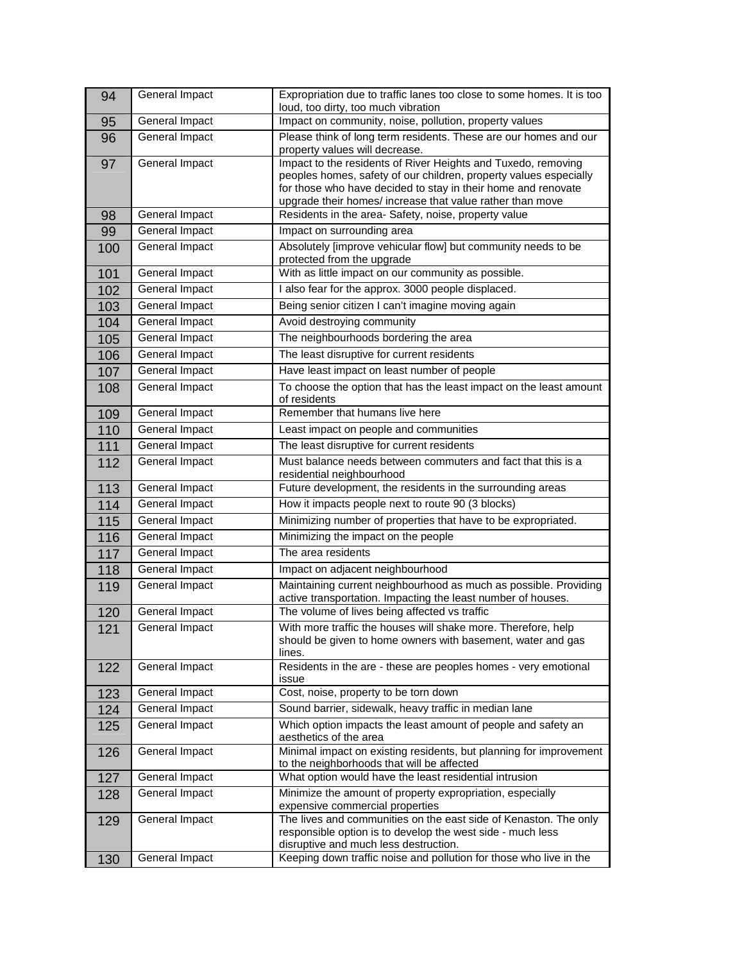| 94  | General Impact        | Expropriation due to traffic lanes too close to some homes. It is too<br>loud, too dirty, too much vibration                                                                                                                                                     |
|-----|-----------------------|------------------------------------------------------------------------------------------------------------------------------------------------------------------------------------------------------------------------------------------------------------------|
| 95  | General Impact        | Impact on community, noise, pollution, property values                                                                                                                                                                                                           |
| 96  | <b>General Impact</b> | Please think of long term residents. These are our homes and our<br>property values will decrease.                                                                                                                                                               |
| 97  | General Impact        | Impact to the residents of River Heights and Tuxedo, removing<br>peoples homes, safety of our children, property values especially<br>for those who have decided to stay in their home and renovate<br>upgrade their homes/ increase that value rather than move |
| 98  | General Impact        | Residents in the area- Safety, noise, property value                                                                                                                                                                                                             |
| 99  | General Impact        | Impact on surrounding area                                                                                                                                                                                                                                       |
| 100 | <b>General Impact</b> | Absolutely [improve vehicular flow] but community needs to be<br>protected from the upgrade                                                                                                                                                                      |
| 101 | General Impact        | With as little impact on our community as possible.                                                                                                                                                                                                              |
| 102 | <b>General Impact</b> | I also fear for the approx. 3000 people displaced.                                                                                                                                                                                                               |
| 103 | General Impact        | Being senior citizen I can't imagine moving again                                                                                                                                                                                                                |
| 104 | General Impact        | Avoid destroying community                                                                                                                                                                                                                                       |
| 105 | General Impact        | The neighbourhoods bordering the area                                                                                                                                                                                                                            |
| 106 | General Impact        | The least disruptive for current residents                                                                                                                                                                                                                       |
| 107 | <b>General Impact</b> | Have least impact on least number of people                                                                                                                                                                                                                      |
| 108 | General Impact        | To choose the option that has the least impact on the least amount<br>of residents                                                                                                                                                                               |
| 109 | General Impact        | Remember that humans live here                                                                                                                                                                                                                                   |
| 110 | <b>General Impact</b> | Least impact on people and communities                                                                                                                                                                                                                           |
| 111 | General Impact        | The least disruptive for current residents                                                                                                                                                                                                                       |
| 112 | General Impact        | Must balance needs between commuters and fact that this is a<br>residential neighbourhood                                                                                                                                                                        |
| 113 | General Impact        | Future development, the residents in the surrounding areas                                                                                                                                                                                                       |
| 114 | General Impact        | How it impacts people next to route 90 (3 blocks)                                                                                                                                                                                                                |
| 115 | General Impact        | Minimizing number of properties that have to be expropriated.                                                                                                                                                                                                    |
| 116 | <b>General Impact</b> | Minimizing the impact on the people                                                                                                                                                                                                                              |
| 117 | General Impact        | The area residents                                                                                                                                                                                                                                               |
| 118 | General Impact        | Impact on adjacent neighbourhood                                                                                                                                                                                                                                 |
| 119 | General Impact        | Maintaining current neighbourhood as much as possible. Providing<br>active transportation. Impacting the least number of houses.                                                                                                                                 |
| 120 | General Impact        | The volume of lives being affected vs traffic                                                                                                                                                                                                                    |
| 121 | General Impact        | With more traffic the houses will shake more. Therefore, help<br>should be given to home owners with basement, water and gas<br>lines.                                                                                                                           |
| 122 | General Impact        | Residents in the are - these are peoples homes - very emotional<br>issue                                                                                                                                                                                         |
| 123 | General Impact        | Cost, noise, property to be torn down                                                                                                                                                                                                                            |
| 124 | General Impact        | Sound barrier, sidewalk, heavy traffic in median lane                                                                                                                                                                                                            |
| 125 | General Impact        | Which option impacts the least amount of people and safety an<br>aesthetics of the area                                                                                                                                                                          |
| 126 | General Impact        | Minimal impact on existing residents, but planning for improvement<br>to the neighborhoods that will be affected                                                                                                                                                 |
| 127 | General Impact        | What option would have the least residential intrusion                                                                                                                                                                                                           |
| 128 | General Impact        | Minimize the amount of property expropriation, especially<br>expensive commercial properties                                                                                                                                                                     |
| 129 | General Impact        | The lives and communities on the east side of Kenaston. The only<br>responsible option is to develop the west side - much less<br>disruptive and much less destruction.                                                                                          |
| 130 | General Impact        | Keeping down traffic noise and pollution for those who live in the                                                                                                                                                                                               |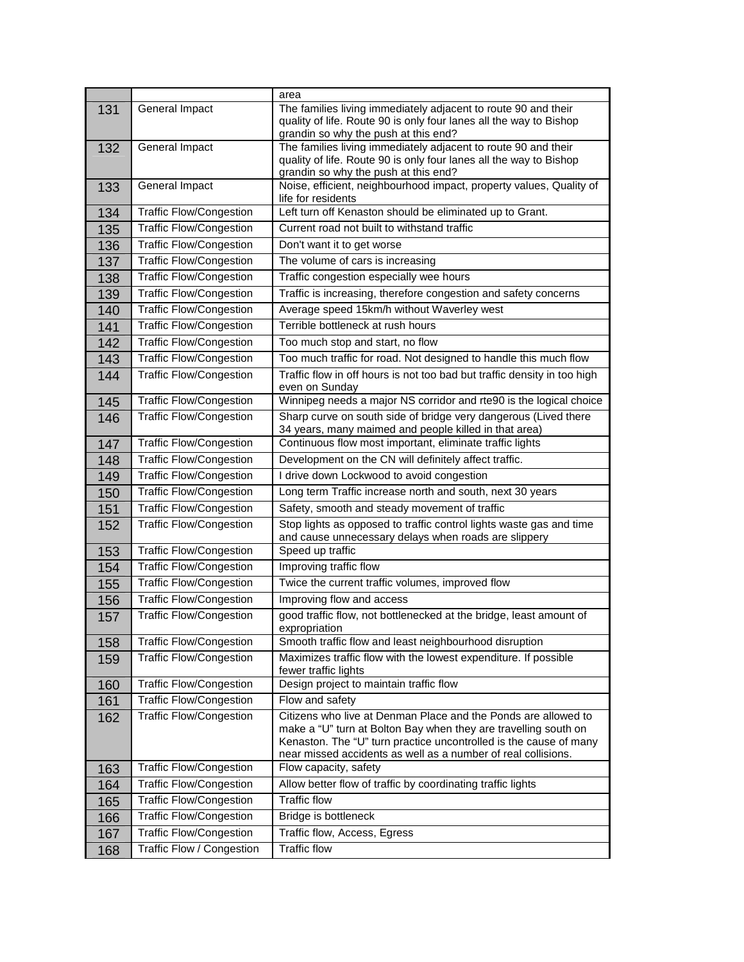|     |                                | area                                                                                                                                                                                                                                                                    |
|-----|--------------------------------|-------------------------------------------------------------------------------------------------------------------------------------------------------------------------------------------------------------------------------------------------------------------------|
| 131 | General Impact                 | The families living immediately adjacent to route 90 and their<br>quality of life. Route 90 is only four lanes all the way to Bishop<br>grandin so why the push at this end?                                                                                            |
| 132 | General Impact                 | The families living immediately adjacent to route 90 and their<br>quality of life. Route 90 is only four lanes all the way to Bishop<br>grandin so why the push at this end?                                                                                            |
| 133 | General Impact                 | Noise, efficient, neighbourhood impact, property values, Quality of<br>life for residents                                                                                                                                                                               |
| 134 | <b>Traffic Flow/Congestion</b> | Left turn off Kenaston should be eliminated up to Grant.                                                                                                                                                                                                                |
| 135 | <b>Traffic Flow/Congestion</b> | Current road not built to withstand traffic                                                                                                                                                                                                                             |
| 136 | <b>Traffic Flow/Congestion</b> | Don't want it to get worse                                                                                                                                                                                                                                              |
| 137 | <b>Traffic Flow/Congestion</b> | The volume of cars is increasing                                                                                                                                                                                                                                        |
| 138 | <b>Traffic Flow/Congestion</b> | Traffic congestion especially wee hours                                                                                                                                                                                                                                 |
| 139 | <b>Traffic Flow/Congestion</b> | Traffic is increasing, therefore congestion and safety concerns                                                                                                                                                                                                         |
| 140 | <b>Traffic Flow/Congestion</b> | Average speed 15km/h without Waverley west                                                                                                                                                                                                                              |
| 141 | <b>Traffic Flow/Congestion</b> | Terrible bottleneck at rush hours                                                                                                                                                                                                                                       |
| 142 | Traffic Flow/Congestion        | Too much stop and start, no flow                                                                                                                                                                                                                                        |
| 143 | <b>Traffic Flow/Congestion</b> | Too much traffic for road. Not designed to handle this much flow                                                                                                                                                                                                        |
| 144 | <b>Traffic Flow/Congestion</b> | Traffic flow in off hours is not too bad but traffic density in too high<br>even on Sunday                                                                                                                                                                              |
| 145 | <b>Traffic Flow/Congestion</b> | Winnipeg needs a major NS corridor and rte90 is the logical choice                                                                                                                                                                                                      |
| 146 | <b>Traffic Flow/Congestion</b> | Sharp curve on south side of bridge very dangerous (Lived there<br>34 years, many maimed and people killed in that area)                                                                                                                                                |
| 147 | <b>Traffic Flow/Congestion</b> | Continuous flow most important, eliminate traffic lights                                                                                                                                                                                                                |
| 148 | Traffic Flow/Congestion        | Development on the CN will definitely affect traffic.                                                                                                                                                                                                                   |
| 149 | <b>Traffic Flow/Congestion</b> | I drive down Lockwood to avoid congestion                                                                                                                                                                                                                               |
| 150 | <b>Traffic Flow/Congestion</b> | Long term Traffic increase north and south, next 30 years                                                                                                                                                                                                               |
| 151 | <b>Traffic Flow/Congestion</b> | Safety, smooth and steady movement of traffic                                                                                                                                                                                                                           |
| 152 | Traffic Flow/Congestion        | Stop lights as opposed to traffic control lights waste gas and time<br>and cause unnecessary delays when roads are slippery                                                                                                                                             |
| 153 | <b>Traffic Flow/Congestion</b> | Speed up traffic                                                                                                                                                                                                                                                        |
| 154 | <b>Traffic Flow/Congestion</b> | Improving traffic flow                                                                                                                                                                                                                                                  |
| 155 | <b>Traffic Flow/Congestion</b> | Twice the current traffic volumes, improved flow                                                                                                                                                                                                                        |
| 156 | <b>Traffic Flow/Congestion</b> | Improving flow and access                                                                                                                                                                                                                                               |
| 157 | <b>Traffic Flow/Congestion</b> | good traffic flow, not bottlenecked at the bridge, least amount of<br>expropriation                                                                                                                                                                                     |
| 158 | <b>Traffic Flow/Congestion</b> | Smooth traffic flow and least neighbourhood disruption                                                                                                                                                                                                                  |
| 159 | <b>Traffic Flow/Congestion</b> | Maximizes traffic flow with the lowest expenditure. If possible<br>fewer traffic lights                                                                                                                                                                                 |
| 160 | <b>Traffic Flow/Congestion</b> | Design project to maintain traffic flow                                                                                                                                                                                                                                 |
| 161 | <b>Traffic Flow/Congestion</b> | Flow and safety                                                                                                                                                                                                                                                         |
| 162 | <b>Traffic Flow/Congestion</b> | Citizens who live at Denman Place and the Ponds are allowed to<br>make a "U" turn at Bolton Bay when they are travelling south on<br>Kenaston. The "U" turn practice uncontrolled is the cause of many<br>near missed accidents as well as a number of real collisions. |
| 163 | <b>Traffic Flow/Congestion</b> | Flow capacity, safety                                                                                                                                                                                                                                                   |
| 164 | <b>Traffic Flow/Congestion</b> | Allow better flow of traffic by coordinating traffic lights                                                                                                                                                                                                             |
| 165 | <b>Traffic Flow/Congestion</b> | <b>Traffic flow</b>                                                                                                                                                                                                                                                     |
| 166 | <b>Traffic Flow/Congestion</b> | Bridge is bottleneck                                                                                                                                                                                                                                                    |
| 167 | <b>Traffic Flow/Congestion</b> | Traffic flow, Access, Egress                                                                                                                                                                                                                                            |
| 168 | Traffic Flow / Congestion      | <b>Traffic flow</b>                                                                                                                                                                                                                                                     |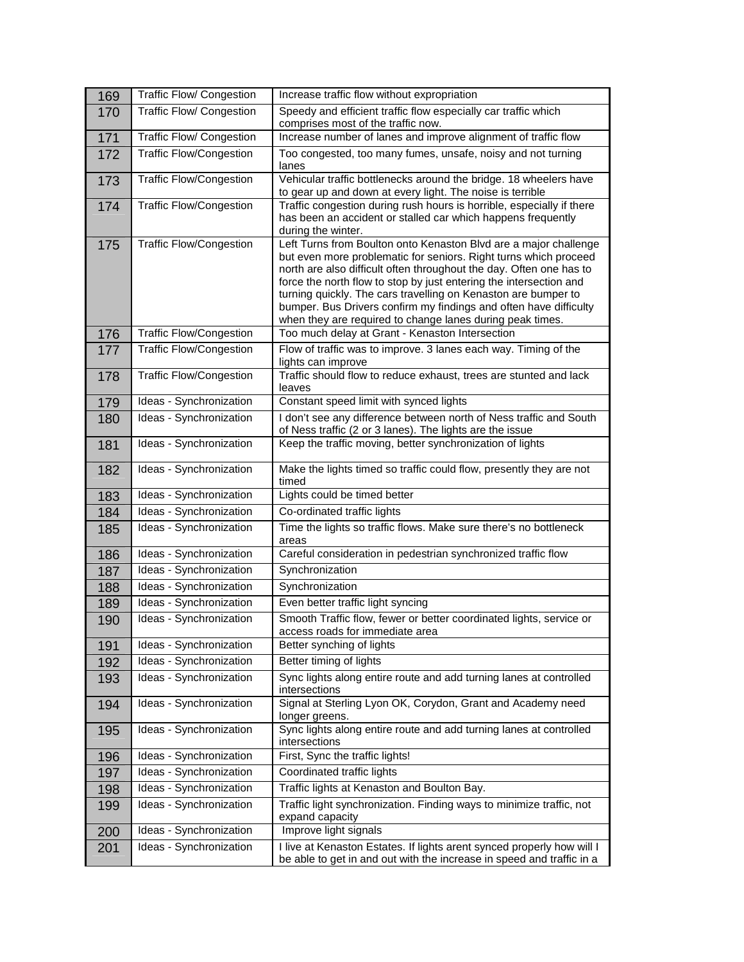| 169 | Traffic Flow/ Congestion        | Increase traffic flow without expropriation                                                                                                                                                                                                                                                                                                                                                                                                                                           |
|-----|---------------------------------|---------------------------------------------------------------------------------------------------------------------------------------------------------------------------------------------------------------------------------------------------------------------------------------------------------------------------------------------------------------------------------------------------------------------------------------------------------------------------------------|
| 170 | <b>Traffic Flow/ Congestion</b> | Speedy and efficient traffic flow especially car traffic which<br>comprises most of the traffic now.                                                                                                                                                                                                                                                                                                                                                                                  |
| 171 | Traffic Flow/ Congestion        | Increase number of lanes and improve alignment of traffic flow                                                                                                                                                                                                                                                                                                                                                                                                                        |
| 172 | <b>Traffic Flow/Congestion</b>  | Too congested, too many fumes, unsafe, noisy and not turning<br>lanes                                                                                                                                                                                                                                                                                                                                                                                                                 |
| 173 | <b>Traffic Flow/Congestion</b>  | Vehicular traffic bottlenecks around the bridge. 18 wheelers have<br>to gear up and down at every light. The noise is terrible                                                                                                                                                                                                                                                                                                                                                        |
| 174 | <b>Traffic Flow/Congestion</b>  | Traffic congestion during rush hours is horrible, especially if there<br>has been an accident or stalled car which happens frequently<br>during the winter.                                                                                                                                                                                                                                                                                                                           |
| 175 | <b>Traffic Flow/Congestion</b>  | Left Turns from Boulton onto Kenaston Blvd are a major challenge<br>but even more problematic for seniors. Right turns which proceed<br>north are also difficult often throughout the day. Often one has to<br>force the north flow to stop by just entering the intersection and<br>turning quickly. The cars travelling on Kenaston are bumper to<br>bumper. Bus Drivers confirm my findings and often have difficulty<br>when they are required to change lanes during peak times. |
| 176 | <b>Traffic Flow/Congestion</b>  | Too much delay at Grant - Kenaston Intersection                                                                                                                                                                                                                                                                                                                                                                                                                                       |
| 177 | <b>Traffic Flow/Congestion</b>  | Flow of traffic was to improve. 3 lanes each way. Timing of the<br>lights can improve                                                                                                                                                                                                                                                                                                                                                                                                 |
| 178 | <b>Traffic Flow/Congestion</b>  | Traffic should flow to reduce exhaust, trees are stunted and lack<br>leaves                                                                                                                                                                                                                                                                                                                                                                                                           |
| 179 | Ideas - Synchronization         | Constant speed limit with synced lights                                                                                                                                                                                                                                                                                                                                                                                                                                               |
| 180 | Ideas - Synchronization         | I don't see any difference between north of Ness traffic and South<br>of Ness traffic (2 or 3 lanes). The lights are the issue                                                                                                                                                                                                                                                                                                                                                        |
| 181 | Ideas - Synchronization         | Keep the traffic moving, better synchronization of lights                                                                                                                                                                                                                                                                                                                                                                                                                             |
| 182 | Ideas - Synchronization         | Make the lights timed so traffic could flow, presently they are not<br>timed                                                                                                                                                                                                                                                                                                                                                                                                          |
| 183 | Ideas - Synchronization         | Lights could be timed better                                                                                                                                                                                                                                                                                                                                                                                                                                                          |
| 184 | Ideas - Synchronization         | Co-ordinated traffic lights                                                                                                                                                                                                                                                                                                                                                                                                                                                           |
| 185 | Ideas - Synchronization         | Time the lights so traffic flows. Make sure there's no bottleneck<br>areas                                                                                                                                                                                                                                                                                                                                                                                                            |
| 186 | Ideas - Synchronization         | Careful consideration in pedestrian synchronized traffic flow                                                                                                                                                                                                                                                                                                                                                                                                                         |
| 187 | Ideas - Synchronization         | Synchronization                                                                                                                                                                                                                                                                                                                                                                                                                                                                       |
| 188 | Ideas - Synchronization         | Synchronization                                                                                                                                                                                                                                                                                                                                                                                                                                                                       |
| 189 | Ideas - Synchronization         | Even better traffic light syncing                                                                                                                                                                                                                                                                                                                                                                                                                                                     |
| 190 | Ideas - Synchronization         | Smooth Traffic flow, fewer or better coordinated lights, service or<br>access roads for immediate area                                                                                                                                                                                                                                                                                                                                                                                |
| 191 | Ideas - Synchronization         | Better synching of lights                                                                                                                                                                                                                                                                                                                                                                                                                                                             |
| 192 | Ideas - Synchronization         | Better timing of lights                                                                                                                                                                                                                                                                                                                                                                                                                                                               |
| 193 | Ideas - Synchronization         | Sync lights along entire route and add turning lanes at controlled<br>intersections                                                                                                                                                                                                                                                                                                                                                                                                   |
| 194 | Ideas - Synchronization         | Signal at Sterling Lyon OK, Corydon, Grant and Academy need<br>longer greens.                                                                                                                                                                                                                                                                                                                                                                                                         |
| 195 | Ideas - Synchronization         | Sync lights along entire route and add turning lanes at controlled<br>intersections                                                                                                                                                                                                                                                                                                                                                                                                   |
| 196 | Ideas - Synchronization         | First, Sync the traffic lights!                                                                                                                                                                                                                                                                                                                                                                                                                                                       |
| 197 | Ideas - Synchronization         | Coordinated traffic lights                                                                                                                                                                                                                                                                                                                                                                                                                                                            |
| 198 | Ideas - Synchronization         | Traffic lights at Kenaston and Boulton Bay.                                                                                                                                                                                                                                                                                                                                                                                                                                           |
| 199 | Ideas - Synchronization         | Traffic light synchronization. Finding ways to minimize traffic, not<br>expand capacity                                                                                                                                                                                                                                                                                                                                                                                               |
| 200 | Ideas - Synchronization         | Improve light signals                                                                                                                                                                                                                                                                                                                                                                                                                                                                 |
| 201 | Ideas - Synchronization         | I live at Kenaston Estates. If lights arent synced properly how will I<br>be able to get in and out with the increase in speed and traffic in a                                                                                                                                                                                                                                                                                                                                       |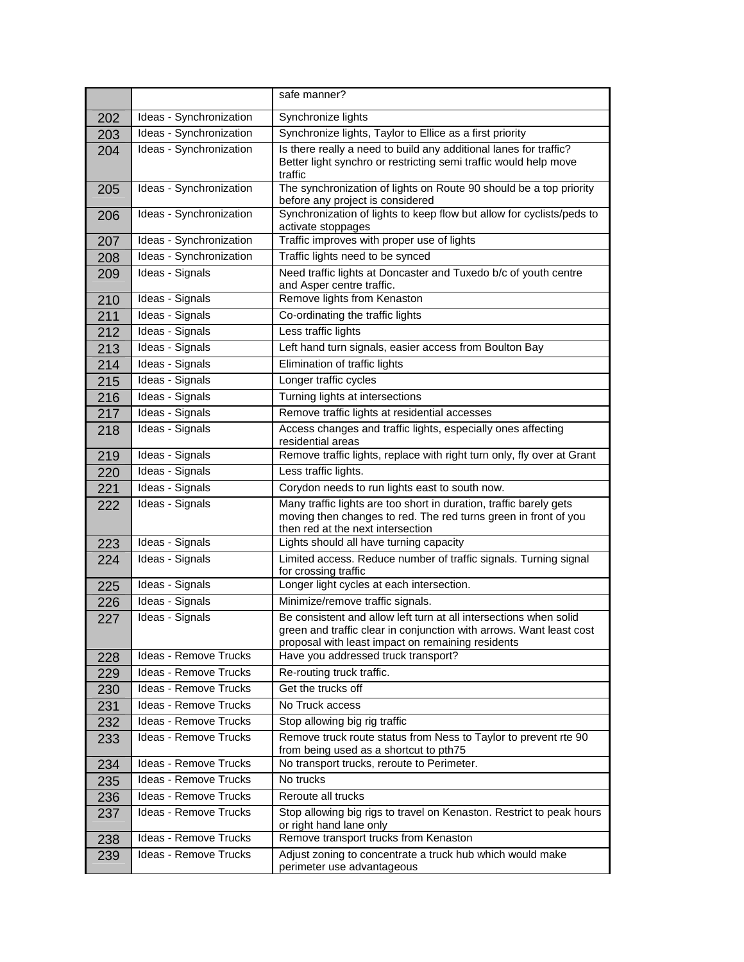|     |                              | safe manner?                                                                                                                                                                                  |
|-----|------------------------------|-----------------------------------------------------------------------------------------------------------------------------------------------------------------------------------------------|
| 202 | Ideas - Synchronization      | Synchronize lights                                                                                                                                                                            |
| 203 | Ideas - Synchronization      | Synchronize lights, Taylor to Ellice as a first priority                                                                                                                                      |
| 204 | Ideas - Synchronization      | Is there really a need to build any additional lanes for traffic?                                                                                                                             |
|     |                              | Better light synchro or restricting semi traffic would help move<br>traffic                                                                                                                   |
| 205 | Ideas - Synchronization      | The synchronization of lights on Route 90 should be a top priority<br>before any project is considered                                                                                        |
| 206 | Ideas - Synchronization      | Synchronization of lights to keep flow but allow for cyclists/peds to<br>activate stoppages                                                                                                   |
| 207 | Ideas - Synchronization      | Traffic improves with proper use of lights                                                                                                                                                    |
| 208 | Ideas - Synchronization      | Traffic lights need to be synced                                                                                                                                                              |
| 209 | Ideas - Signals              | Need traffic lights at Doncaster and Tuxedo b/c of youth centre<br>and Asper centre traffic.                                                                                                  |
| 210 | Ideas - Signals              | Remove lights from Kenaston                                                                                                                                                                   |
| 211 | Ideas - Signals              | Co-ordinating the traffic lights                                                                                                                                                              |
| 212 | Ideas - Signals              | Less traffic lights                                                                                                                                                                           |
| 213 | Ideas - Signals              | Left hand turn signals, easier access from Boulton Bay                                                                                                                                        |
| 214 | Ideas - Signals              | Elimination of traffic lights                                                                                                                                                                 |
| 215 | Ideas - Signals              | Longer traffic cycles                                                                                                                                                                         |
| 216 | Ideas - Signals              | Turning lights at intersections                                                                                                                                                               |
| 217 | Ideas - Signals              | Remove traffic lights at residential accesses                                                                                                                                                 |
| 218 | Ideas - Signals              | Access changes and traffic lights, especially ones affecting<br>residential areas                                                                                                             |
| 219 | Ideas - Signals              | Remove traffic lights, replace with right turn only, fly over at Grant                                                                                                                        |
| 220 | Ideas - Signals              | Less traffic lights.                                                                                                                                                                          |
| 221 | Ideas - Signals              | Corydon needs to run lights east to south now.                                                                                                                                                |
| 222 | Ideas - Signals              | Many traffic lights are too short in duration, traffic barely gets<br>moving then changes to red. The red turns green in front of you<br>then red at the next intersection                    |
| 223 | Ideas - Signals              | Lights should all have turning capacity                                                                                                                                                       |
| 224 | Ideas - Signals              | Limited access. Reduce number of traffic signals. Turning signal<br>for crossing traffic                                                                                                      |
| 225 | Ideas - Signals              | Longer light cycles at each intersection.                                                                                                                                                     |
| 226 | Ideas - Signals              | Minimize/remove traffic signals.                                                                                                                                                              |
| 227 | Ideas - Signals              | Be consistent and allow left turn at all intersections when solid<br>green and traffic clear in conjunction with arrows. Want least cost<br>proposal with least impact on remaining residents |
| 228 | <b>Ideas - Remove Trucks</b> | Have you addressed truck transport?                                                                                                                                                           |
| 229 | Ideas - Remove Trucks        | Re-routing truck traffic.                                                                                                                                                                     |
| 230 | Ideas - Remove Trucks        | Get the trucks off                                                                                                                                                                            |
| 231 | Ideas - Remove Trucks        | No Truck access                                                                                                                                                                               |
| 232 | Ideas - Remove Trucks        | Stop allowing big rig traffic                                                                                                                                                                 |
| 233 | Ideas - Remove Trucks        | Remove truck route status from Ness to Taylor to prevent rte 90<br>from being used as a shortcut to pth75                                                                                     |
| 234 | Ideas - Remove Trucks        | No transport trucks, reroute to Perimeter.                                                                                                                                                    |
| 235 | <b>Ideas - Remove Trucks</b> | No trucks                                                                                                                                                                                     |
| 236 | Ideas - Remove Trucks        | Reroute all trucks                                                                                                                                                                            |
| 237 | Ideas - Remove Trucks        | Stop allowing big rigs to travel on Kenaston. Restrict to peak hours<br>or right hand lane only                                                                                               |
| 238 | Ideas - Remove Trucks        | Remove transport trucks from Kenaston                                                                                                                                                         |
| 239 | Ideas - Remove Trucks        | Adjust zoning to concentrate a truck hub which would make<br>perimeter use advantageous                                                                                                       |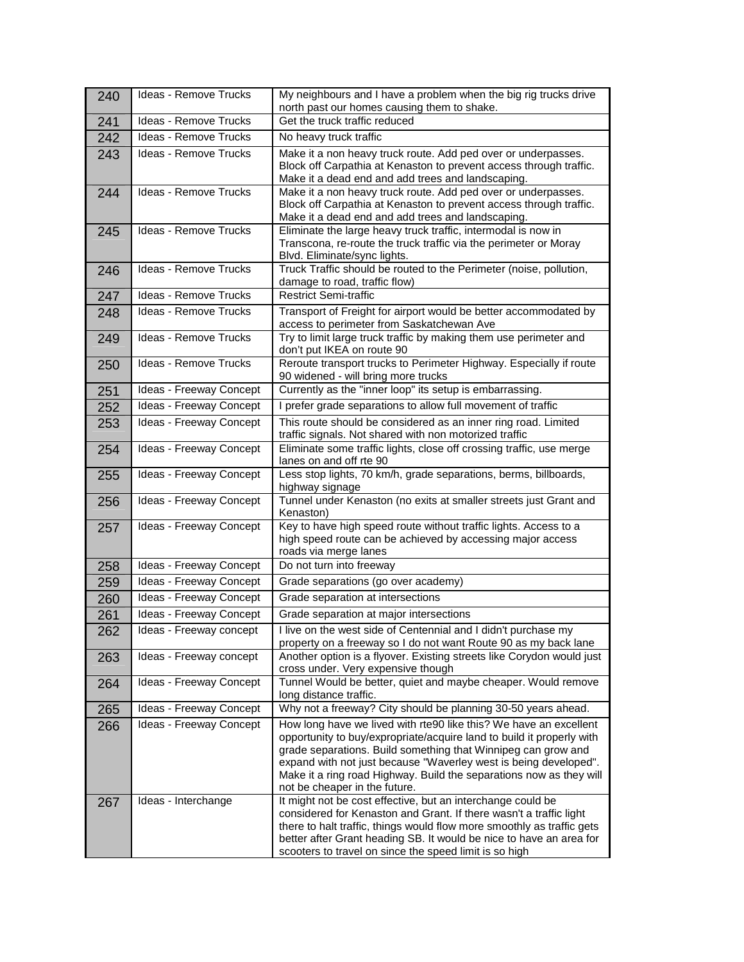| 240 | Ideas - Remove Trucks        | My neighbours and I have a problem when the big rig trucks drive<br>north past our homes causing them to shake.                                                                                                                                                                                                                                                                         |
|-----|------------------------------|-----------------------------------------------------------------------------------------------------------------------------------------------------------------------------------------------------------------------------------------------------------------------------------------------------------------------------------------------------------------------------------------|
| 241 | Ideas - Remove Trucks        | Get the truck traffic reduced                                                                                                                                                                                                                                                                                                                                                           |
| 242 | <b>Ideas - Remove Trucks</b> | No heavy truck traffic                                                                                                                                                                                                                                                                                                                                                                  |
| 243 | Ideas - Remove Trucks        | Make it a non heavy truck route. Add ped over or underpasses.<br>Block off Carpathia at Kenaston to prevent access through traffic.<br>Make it a dead end and add trees and landscaping.                                                                                                                                                                                                |
| 244 | Ideas - Remove Trucks        | Make it a non heavy truck route. Add ped over or underpasses.<br>Block off Carpathia at Kenaston to prevent access through traffic.<br>Make it a dead end and add trees and landscaping.                                                                                                                                                                                                |
| 245 | <b>Ideas - Remove Trucks</b> | Eliminate the large heavy truck traffic, intermodal is now in<br>Transcona, re-route the truck traffic via the perimeter or Moray<br>Blvd. Eliminate/sync lights.                                                                                                                                                                                                                       |
| 246 | Ideas - Remove Trucks        | Truck Traffic should be routed to the Perimeter (noise, pollution,<br>damage to road, traffic flow)                                                                                                                                                                                                                                                                                     |
| 247 | Ideas - Remove Trucks        | <b>Restrict Semi-traffic</b>                                                                                                                                                                                                                                                                                                                                                            |
| 248 | <b>Ideas - Remove Trucks</b> | Transport of Freight for airport would be better accommodated by<br>access to perimeter from Saskatchewan Ave                                                                                                                                                                                                                                                                           |
| 249 | <b>Ideas - Remove Trucks</b> | Try to limit large truck traffic by making them use perimeter and<br>don't put IKEA on route 90                                                                                                                                                                                                                                                                                         |
| 250 | Ideas - Remove Trucks        | Reroute transport trucks to Perimeter Highway. Especially if route<br>90 widened - will bring more trucks                                                                                                                                                                                                                                                                               |
| 251 | Ideas - Freeway Concept      | Currently as the "inner loop" its setup is embarrassing.                                                                                                                                                                                                                                                                                                                                |
| 252 | Ideas - Freeway Concept      | I prefer grade separations to allow full movement of traffic                                                                                                                                                                                                                                                                                                                            |
| 253 | Ideas - Freeway Concept      | This route should be considered as an inner ring road. Limited<br>traffic signals. Not shared with non motorized traffic                                                                                                                                                                                                                                                                |
| 254 | Ideas - Freeway Concept      | Eliminate some traffic lights, close off crossing traffic, use merge<br>lanes on and off rte 90                                                                                                                                                                                                                                                                                         |
| 255 | Ideas - Freeway Concept      | Less stop lights, 70 km/h, grade separations, berms, billboards,<br>highway signage                                                                                                                                                                                                                                                                                                     |
| 256 | Ideas - Freeway Concept      | Tunnel under Kenaston (no exits at smaller streets just Grant and<br>Kenaston)                                                                                                                                                                                                                                                                                                          |
| 257 | Ideas - Freeway Concept      | Key to have high speed route without traffic lights. Access to a<br>high speed route can be achieved by accessing major access<br>roads via merge lanes                                                                                                                                                                                                                                 |
| 258 | Ideas - Freeway Concept      | Do not turn into freeway                                                                                                                                                                                                                                                                                                                                                                |
| 259 | Ideas - Freeway Concept      | Grade separations (go over academy)                                                                                                                                                                                                                                                                                                                                                     |
| 260 | Ideas - Freeway Concept      | Grade separation at intersections                                                                                                                                                                                                                                                                                                                                                       |
| 261 | Ideas - Freeway Concept      | Grade separation at major intersections                                                                                                                                                                                                                                                                                                                                                 |
| 262 | Ideas - Freeway concept      | I live on the west side of Centennial and I didn't purchase my<br>property on a freeway so I do not want Route 90 as my back lane                                                                                                                                                                                                                                                       |
| 263 | Ideas - Freeway concept      | Another option is a flyover. Existing streets like Corydon would just<br>cross under. Very expensive though                                                                                                                                                                                                                                                                             |
| 264 | Ideas - Freeway Concept      | Tunnel Would be better, quiet and maybe cheaper. Would remove<br>long distance traffic.                                                                                                                                                                                                                                                                                                 |
| 265 | Ideas - Freeway Concept      | Why not a freeway? City should be planning 30-50 years ahead.                                                                                                                                                                                                                                                                                                                           |
| 266 | Ideas - Freeway Concept      | How long have we lived with rte90 like this? We have an excellent<br>opportunity to buy/expropriate/acquire land to build it properly with<br>grade separations. Build something that Winnipeg can grow and<br>expand with not just because "Waverley west is being developed".<br>Make it a ring road Highway. Build the separations now as they will<br>not be cheaper in the future. |
| 267 | Ideas - Interchange          | It might not be cost effective, but an interchange could be<br>considered for Kenaston and Grant. If there wasn't a traffic light<br>there to halt traffic, things would flow more smoothly as traffic gets<br>better after Grant heading SB. It would be nice to have an area for<br>scooters to travel on since the speed limit is so high                                            |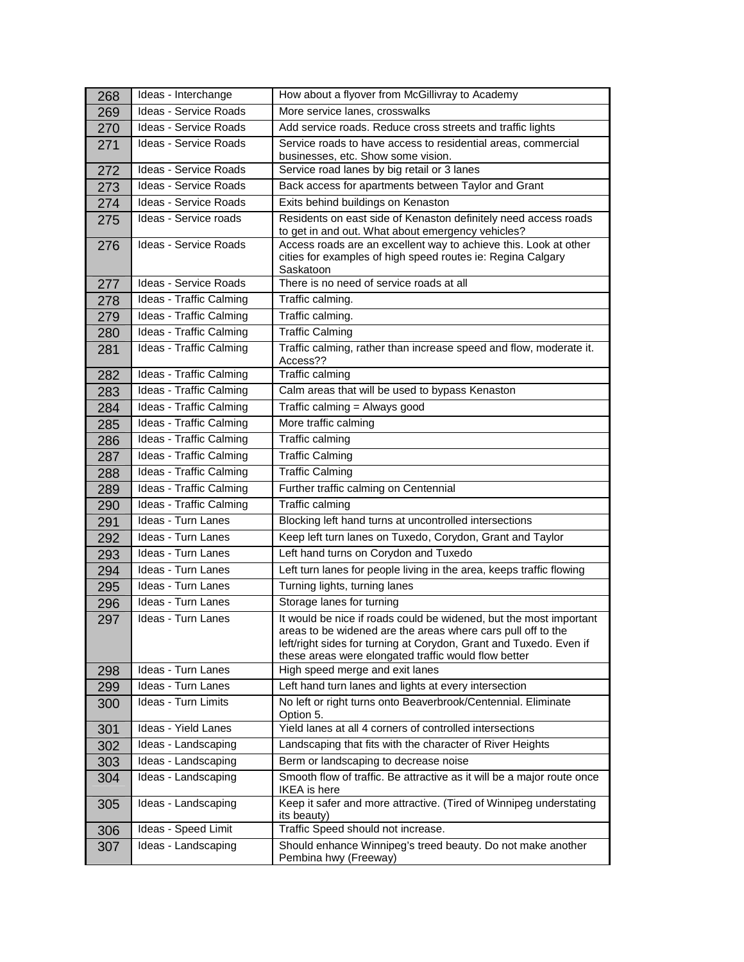| 268 | Ideas - Interchange          | How about a flyover from McGillivray to Academy                                                                                                                                                                                                                  |
|-----|------------------------------|------------------------------------------------------------------------------------------------------------------------------------------------------------------------------------------------------------------------------------------------------------------|
| 269 | Ideas - Service Roads        | More service lanes, crosswalks                                                                                                                                                                                                                                   |
| 270 | Ideas - Service Roads        | Add service roads. Reduce cross streets and traffic lights                                                                                                                                                                                                       |
| 271 | <b>Ideas - Service Roads</b> | Service roads to have access to residential areas, commercial<br>businesses, etc. Show some vision.                                                                                                                                                              |
| 272 | Ideas - Service Roads        | Service road lanes by big retail or 3 lanes                                                                                                                                                                                                                      |
| 273 | <b>Ideas - Service Roads</b> | Back access for apartments between Taylor and Grant                                                                                                                                                                                                              |
| 274 | <b>Ideas - Service Roads</b> | Exits behind buildings on Kenaston                                                                                                                                                                                                                               |
| 275 | Ideas - Service roads        | Residents on east side of Kenaston definitely need access roads<br>to get in and out. What about emergency vehicles?                                                                                                                                             |
| 276 | Ideas - Service Roads        | Access roads are an excellent way to achieve this. Look at other<br>cities for examples of high speed routes ie: Regina Calgary<br>Saskatoon                                                                                                                     |
| 277 | <b>Ideas - Service Roads</b> | There is no need of service roads at all                                                                                                                                                                                                                         |
| 278 | Ideas - Traffic Calming      | Traffic calming.                                                                                                                                                                                                                                                 |
| 279 | Ideas - Traffic Calming      | Traffic calming.                                                                                                                                                                                                                                                 |
| 280 | Ideas - Traffic Calming      | <b>Traffic Calming</b>                                                                                                                                                                                                                                           |
| 281 | Ideas - Traffic Calming      | Traffic calming, rather than increase speed and flow, moderate it.<br>Access??                                                                                                                                                                                   |
| 282 | Ideas - Traffic Calming      | Traffic calming                                                                                                                                                                                                                                                  |
| 283 | Ideas - Traffic Calming      | Calm areas that will be used to bypass Kenaston                                                                                                                                                                                                                  |
| 284 | Ideas - Traffic Calming      | Traffic calming = Always good                                                                                                                                                                                                                                    |
| 285 | Ideas - Traffic Calming      | More traffic calming                                                                                                                                                                                                                                             |
| 286 | Ideas - Traffic Calming      | Traffic calming                                                                                                                                                                                                                                                  |
| 287 | Ideas - Traffic Calming      | <b>Traffic Calming</b>                                                                                                                                                                                                                                           |
| 288 | Ideas - Traffic Calming      | <b>Traffic Calming</b>                                                                                                                                                                                                                                           |
| 289 | Ideas - Traffic Calming      | Further traffic calming on Centennial                                                                                                                                                                                                                            |
| 290 | Ideas - Traffic Calming      | Traffic calming                                                                                                                                                                                                                                                  |
| 291 | Ideas - Turn Lanes           | Blocking left hand turns at uncontrolled intersections                                                                                                                                                                                                           |
| 292 | Ideas - Turn Lanes           | Keep left turn lanes on Tuxedo, Corydon, Grant and Taylor                                                                                                                                                                                                        |
| 293 | Ideas - Turn Lanes           | Left hand turns on Corydon and Tuxedo                                                                                                                                                                                                                            |
| 294 | Ideas - Turn Lanes           | Left turn lanes for people living in the area, keeps traffic flowing                                                                                                                                                                                             |
| 295 | Ideas - Turn Lanes           | Turning lights, turning lanes                                                                                                                                                                                                                                    |
| 296 | Ideas - Turn Lanes           | Storage lanes for turning                                                                                                                                                                                                                                        |
| 297 | Ideas - Turn Lanes           | It would be nice if roads could be widened, but the most important<br>areas to be widened are the areas where cars pull off to the<br>left/right sides for turning at Corydon, Grant and Tuxedo. Even if<br>these areas were elongated traffic would flow better |
| 298 | Ideas - Turn Lanes           | High speed merge and exit lanes                                                                                                                                                                                                                                  |
| 299 | Ideas - Turn Lanes           | Left hand turn lanes and lights at every intersection                                                                                                                                                                                                            |
| 300 | Ideas - Turn Limits          | No left or right turns onto Beaverbrook/Centennial. Eliminate<br>Option 5.                                                                                                                                                                                       |
| 301 | Ideas - Yield Lanes          | Yield lanes at all 4 corners of controlled intersections                                                                                                                                                                                                         |
| 302 | Ideas - Landscaping          | Landscaping that fits with the character of River Heights                                                                                                                                                                                                        |
| 303 | Ideas - Landscaping          | Berm or landscaping to decrease noise                                                                                                                                                                                                                            |
| 304 | Ideas - Landscaping          | Smooth flow of traffic. Be attractive as it will be a major route once<br><b>IKEA</b> is here                                                                                                                                                                    |
| 305 | Ideas - Landscaping          | Keep it safer and more attractive. (Tired of Winnipeg understating<br>its beauty)                                                                                                                                                                                |
| 306 | Ideas - Speed Limit          | Traffic Speed should not increase.                                                                                                                                                                                                                               |
| 307 | Ideas - Landscaping          | Should enhance Winnipeg's treed beauty. Do not make another<br>Pembina hwy (Freeway)                                                                                                                                                                             |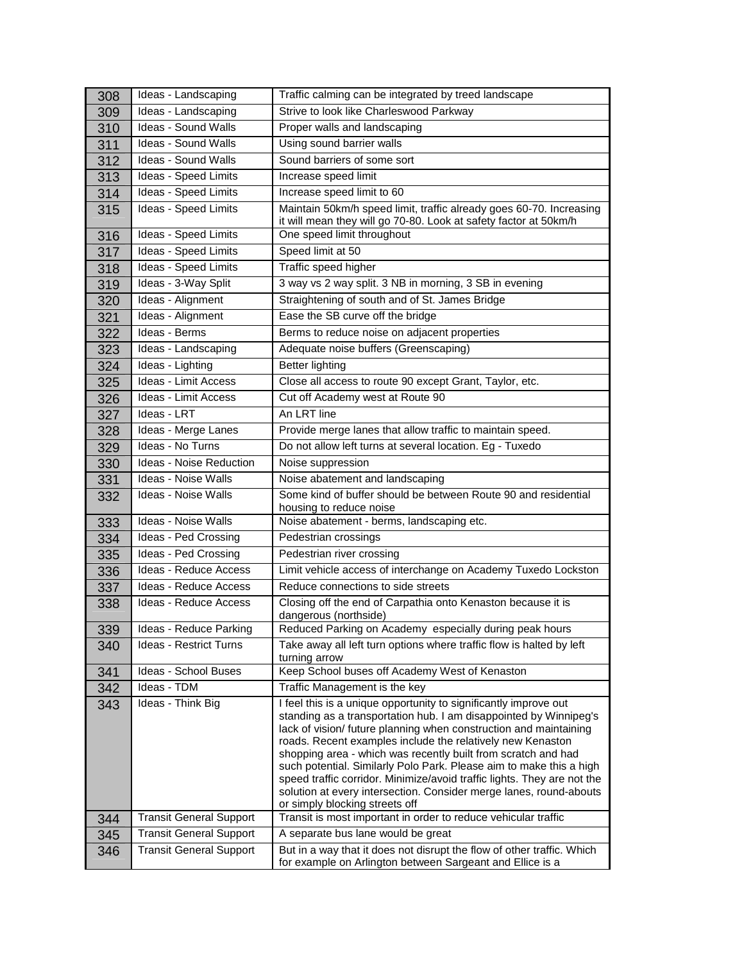| 308 | Ideas - Landscaping            | Traffic calming can be integrated by treed landscape                                                                                                                                                                                                                                                                                                                                                                                                                                                                                                                                                |
|-----|--------------------------------|-----------------------------------------------------------------------------------------------------------------------------------------------------------------------------------------------------------------------------------------------------------------------------------------------------------------------------------------------------------------------------------------------------------------------------------------------------------------------------------------------------------------------------------------------------------------------------------------------------|
| 309 | Ideas - Landscaping            | Strive to look like Charleswood Parkway                                                                                                                                                                                                                                                                                                                                                                                                                                                                                                                                                             |
| 310 | Ideas - Sound Walls            | Proper walls and landscaping                                                                                                                                                                                                                                                                                                                                                                                                                                                                                                                                                                        |
| 311 | Ideas - Sound Walls            | Using sound barrier walls                                                                                                                                                                                                                                                                                                                                                                                                                                                                                                                                                                           |
| 312 | <b>Ideas - Sound Walls</b>     | Sound barriers of some sort                                                                                                                                                                                                                                                                                                                                                                                                                                                                                                                                                                         |
| 313 | Ideas - Speed Limits           | Increase speed limit                                                                                                                                                                                                                                                                                                                                                                                                                                                                                                                                                                                |
| 314 | Ideas - Speed Limits           | Increase speed limit to 60                                                                                                                                                                                                                                                                                                                                                                                                                                                                                                                                                                          |
| 315 | Ideas - Speed Limits           | Maintain 50km/h speed limit, traffic already goes 60-70. Increasing<br>it will mean they will go 70-80. Look at safety factor at 50km/h                                                                                                                                                                                                                                                                                                                                                                                                                                                             |
| 316 | Ideas - Speed Limits           | One speed limit throughout                                                                                                                                                                                                                                                                                                                                                                                                                                                                                                                                                                          |
| 317 | Ideas - Speed Limits           | Speed limit at 50                                                                                                                                                                                                                                                                                                                                                                                                                                                                                                                                                                                   |
| 318 | Ideas - Speed Limits           | Traffic speed higher                                                                                                                                                                                                                                                                                                                                                                                                                                                                                                                                                                                |
| 319 | Ideas - 3-Way Split            | 3 way vs 2 way split. 3 NB in morning, 3 SB in evening                                                                                                                                                                                                                                                                                                                                                                                                                                                                                                                                              |
| 320 | Ideas - Alignment              | Straightening of south and of St. James Bridge                                                                                                                                                                                                                                                                                                                                                                                                                                                                                                                                                      |
| 321 | Ideas - Alignment              | Ease the SB curve off the bridge                                                                                                                                                                                                                                                                                                                                                                                                                                                                                                                                                                    |
| 322 | Ideas - Berms                  | Berms to reduce noise on adjacent properties                                                                                                                                                                                                                                                                                                                                                                                                                                                                                                                                                        |
| 323 | Ideas - Landscaping            | Adequate noise buffers (Greenscaping)                                                                                                                                                                                                                                                                                                                                                                                                                                                                                                                                                               |
| 324 | Ideas - Lighting               | Better lighting                                                                                                                                                                                                                                                                                                                                                                                                                                                                                                                                                                                     |
| 325 | Ideas - Limit Access           | Close all access to route 90 except Grant, Taylor, etc.                                                                                                                                                                                                                                                                                                                                                                                                                                                                                                                                             |
| 326 | Ideas - Limit Access           | Cut off Academy west at Route 90                                                                                                                                                                                                                                                                                                                                                                                                                                                                                                                                                                    |
| 327 | Ideas - LRT                    | An LRT line                                                                                                                                                                                                                                                                                                                                                                                                                                                                                                                                                                                         |
| 328 | Ideas - Merge Lanes            | Provide merge lanes that allow traffic to maintain speed.                                                                                                                                                                                                                                                                                                                                                                                                                                                                                                                                           |
| 329 | Ideas - No Turns               | Do not allow left turns at several location. Eg - Tuxedo                                                                                                                                                                                                                                                                                                                                                                                                                                                                                                                                            |
| 330 | <b>Ideas - Noise Reduction</b> | Noise suppression                                                                                                                                                                                                                                                                                                                                                                                                                                                                                                                                                                                   |
| 331 | <b>Ideas - Noise Walls</b>     | Noise abatement and landscaping                                                                                                                                                                                                                                                                                                                                                                                                                                                                                                                                                                     |
| 332 | Ideas - Noise Walls            | Some kind of buffer should be between Route 90 and residential<br>housing to reduce noise                                                                                                                                                                                                                                                                                                                                                                                                                                                                                                           |
| 333 | <b>Ideas - Noise Walls</b>     | Noise abatement - berms, landscaping etc.                                                                                                                                                                                                                                                                                                                                                                                                                                                                                                                                                           |
| 334 | Ideas - Ped Crossing           | Pedestrian crossings                                                                                                                                                                                                                                                                                                                                                                                                                                                                                                                                                                                |
| 335 | Ideas - Ped Crossing           | Pedestrian river crossing                                                                                                                                                                                                                                                                                                                                                                                                                                                                                                                                                                           |
| 336 | Ideas - Reduce Access          | Limit vehicle access of interchange on Academy Tuxedo Lockston                                                                                                                                                                                                                                                                                                                                                                                                                                                                                                                                      |
| 337 | Ideas - Reduce Access          | Reduce connections to side streets                                                                                                                                                                                                                                                                                                                                                                                                                                                                                                                                                                  |
| 338 | Ideas - Reduce Access          | Closing off the end of Carpathia onto Kenaston because it is<br>dangerous (northside)                                                                                                                                                                                                                                                                                                                                                                                                                                                                                                               |
| 339 | Ideas - Reduce Parking         | Reduced Parking on Academy especially during peak hours                                                                                                                                                                                                                                                                                                                                                                                                                                                                                                                                             |
| 340 | Ideas - Restrict Turns         | Take away all left turn options where traffic flow is halted by left<br>turning arrow                                                                                                                                                                                                                                                                                                                                                                                                                                                                                                               |
| 341 | Ideas - School Buses           | Keep School buses off Academy West of Kenaston                                                                                                                                                                                                                                                                                                                                                                                                                                                                                                                                                      |
| 342 | Ideas - TDM                    | Traffic Management is the key                                                                                                                                                                                                                                                                                                                                                                                                                                                                                                                                                                       |
| 343 | Ideas - Think Big              | I feel this is a unique opportunity to significantly improve out<br>standing as a transportation hub. I am disappointed by Winnipeg's<br>lack of vision/ future planning when construction and maintaining<br>roads. Recent examples include the relatively new Kenaston<br>shopping area - which was recently built from scratch and had<br>such potential. Similarly Polo Park. Please aim to make this a high<br>speed traffic corridor. Minimize/avoid traffic lights. They are not the<br>solution at every intersection. Consider merge lanes, round-abouts<br>or simply blocking streets off |
| 344 | <b>Transit General Support</b> | Transit is most important in order to reduce vehicular traffic                                                                                                                                                                                                                                                                                                                                                                                                                                                                                                                                      |
| 345 | <b>Transit General Support</b> | A separate bus lane would be great                                                                                                                                                                                                                                                                                                                                                                                                                                                                                                                                                                  |
| 346 | <b>Transit General Support</b> | But in a way that it does not disrupt the flow of other traffic. Which<br>for example on Arlington between Sargeant and Ellice is a                                                                                                                                                                                                                                                                                                                                                                                                                                                                 |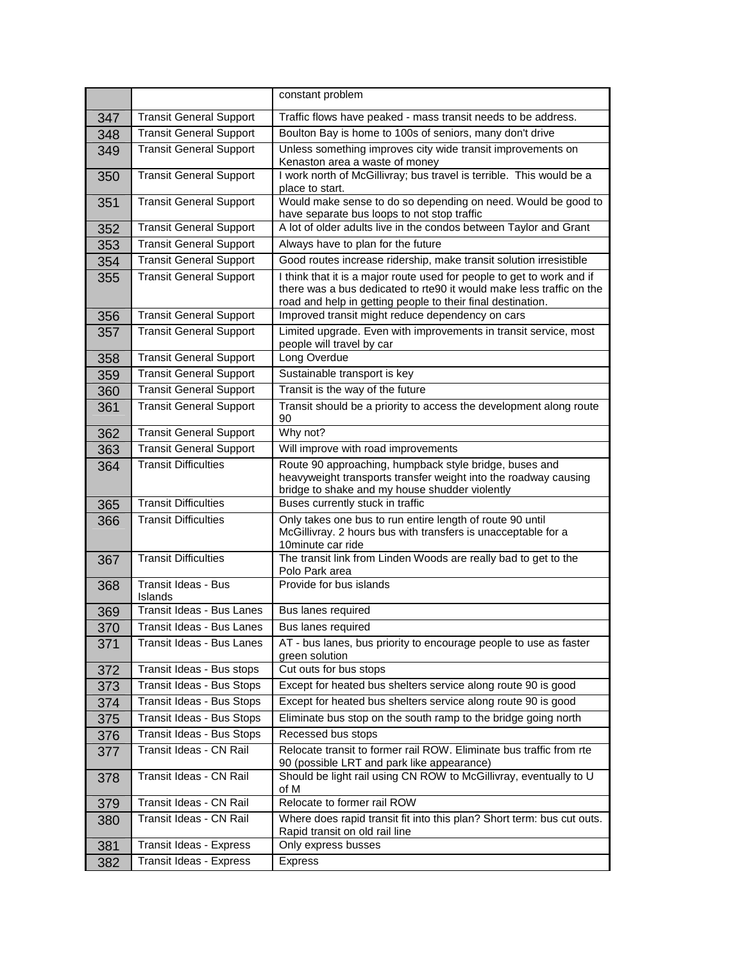|     |                                       | constant problem                                                                                                                                                                                              |
|-----|---------------------------------------|---------------------------------------------------------------------------------------------------------------------------------------------------------------------------------------------------------------|
| 347 | <b>Transit General Support</b>        | Traffic flows have peaked - mass transit needs to be address.                                                                                                                                                 |
| 348 | <b>Transit General Support</b>        | Boulton Bay is home to 100s of seniors, many don't drive                                                                                                                                                      |
| 349 | <b>Transit General Support</b>        | Unless something improves city wide transit improvements on                                                                                                                                                   |
|     |                                       | Kenaston area a waste of money                                                                                                                                                                                |
| 350 | <b>Transit General Support</b>        | I work north of McGillivray; bus travel is terrible. This would be a<br>place to start.                                                                                                                       |
| 351 | <b>Transit General Support</b>        | Would make sense to do so depending on need. Would be good to<br>have separate bus loops to not stop traffic                                                                                                  |
| 352 | <b>Transit General Support</b>        | A lot of older adults live in the condos between Taylor and Grant                                                                                                                                             |
| 353 | <b>Transit General Support</b>        | Always have to plan for the future                                                                                                                                                                            |
| 354 | <b>Transit General Support</b>        | Good routes increase ridership, make transit solution irresistible                                                                                                                                            |
| 355 | <b>Transit General Support</b>        | I think that it is a major route used for people to get to work and if<br>there was a bus dedicated to rte90 it would make less traffic on the<br>road and help in getting people to their final destination. |
| 356 | <b>Transit General Support</b>        | Improved transit might reduce dependency on cars                                                                                                                                                              |
| 357 | <b>Transit General Support</b>        | Limited upgrade. Even with improvements in transit service, most<br>people will travel by car                                                                                                                 |
| 358 | <b>Transit General Support</b>        | Long Overdue                                                                                                                                                                                                  |
| 359 | <b>Transit General Support</b>        | Sustainable transport is key                                                                                                                                                                                  |
| 360 | <b>Transit General Support</b>        | Transit is the way of the future                                                                                                                                                                              |
| 361 | <b>Transit General Support</b>        | Transit should be a priority to access the development along route<br>90                                                                                                                                      |
| 362 | <b>Transit General Support</b>        | Why not?                                                                                                                                                                                                      |
| 363 | <b>Transit General Support</b>        | Will improve with road improvements                                                                                                                                                                           |
| 364 | <b>Transit Difficulties</b>           | Route 90 approaching, humpback style bridge, buses and<br>heavyweight transports transfer weight into the roadway causing<br>bridge to shake and my house shudder violently                                   |
| 365 | <b>Transit Difficulties</b>           | Buses currently stuck in traffic                                                                                                                                                                              |
| 366 | <b>Transit Difficulties</b>           | Only takes one bus to run entire length of route 90 until<br>McGillivray. 2 hours bus with transfers is unacceptable for a<br>10 minute car ride                                                              |
| 367 | <b>Transit Difficulties</b>           | The transit link from Linden Woods are really bad to get to the<br>Polo Park area                                                                                                                             |
| 368 | <b>Transit Ideas - Bus</b><br>Islands | Provide for bus islands                                                                                                                                                                                       |
| 369 | Transit Ideas - Bus Lanes             | Bus lanes required                                                                                                                                                                                            |
| 370 | Transit Ideas - Bus Lanes             | Bus lanes required                                                                                                                                                                                            |
| 371 | Transit Ideas - Bus Lanes             | AT - bus lanes, bus priority to encourage people to use as faster<br>green solution                                                                                                                           |
| 372 | Transit Ideas - Bus stops             | Cut outs for bus stops                                                                                                                                                                                        |
| 373 | Transit Ideas - Bus Stops             | Except for heated bus shelters service along route 90 is good                                                                                                                                                 |
| 374 | Transit Ideas - Bus Stops             | Except for heated bus shelters service along route 90 is good                                                                                                                                                 |
| 375 | Transit Ideas - Bus Stops             | Eliminate bus stop on the south ramp to the bridge going north                                                                                                                                                |
| 376 | Transit Ideas - Bus Stops             | Recessed bus stops                                                                                                                                                                                            |
| 377 | Transit Ideas - CN Rail               | Relocate transit to former rail ROW. Eliminate bus traffic from rte<br>90 (possible LRT and park like appearance)                                                                                             |
| 378 | Transit Ideas - CN Rail               | Should be light rail using CN ROW to McGillivray, eventually to U<br>of M                                                                                                                                     |
| 379 | Transit Ideas - CN Rail               | Relocate to former rail ROW                                                                                                                                                                                   |
| 380 | Transit Ideas - CN Rail               | Where does rapid transit fit into this plan? Short term: bus cut outs.<br>Rapid transit on old rail line                                                                                                      |
| 381 | Transit Ideas - Express               | Only express busses                                                                                                                                                                                           |
| 382 | Transit Ideas - Express               | Express                                                                                                                                                                                                       |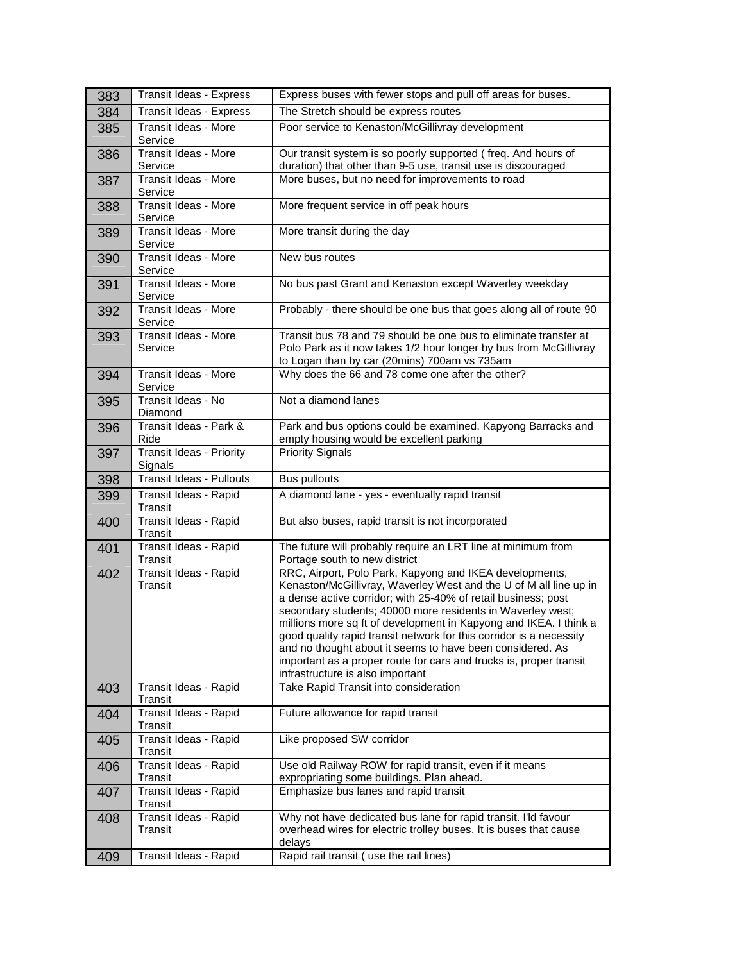| 383 | Transit Ideas - Express                    | Express buses with fewer stops and pull off areas for buses.                                                                                                                                                                                                                                                                                                                                                                                                                                                                                                                   |
|-----|--------------------------------------------|--------------------------------------------------------------------------------------------------------------------------------------------------------------------------------------------------------------------------------------------------------------------------------------------------------------------------------------------------------------------------------------------------------------------------------------------------------------------------------------------------------------------------------------------------------------------------------|
| 384 | Transit Ideas - Express                    | The Stretch should be express routes                                                                                                                                                                                                                                                                                                                                                                                                                                                                                                                                           |
| 385 | Transit Ideas - More<br>Service            | Poor service to Kenaston/McGillivray development                                                                                                                                                                                                                                                                                                                                                                                                                                                                                                                               |
| 386 | <b>Transit Ideas - More</b><br>Service     | Our transit system is so poorly supported (freq. And hours of<br>duration) that other than 9-5 use, transit use is discouraged                                                                                                                                                                                                                                                                                                                                                                                                                                                 |
| 387 | Transit Ideas - More<br>Service            | More buses, but no need for improvements to road                                                                                                                                                                                                                                                                                                                                                                                                                                                                                                                               |
| 388 | Transit Ideas - More<br>Service            | More frequent service in off peak hours                                                                                                                                                                                                                                                                                                                                                                                                                                                                                                                                        |
| 389 | <b>Transit Ideas - More</b><br>Service     | More transit during the day                                                                                                                                                                                                                                                                                                                                                                                                                                                                                                                                                    |
| 390 | Transit Ideas - More<br>Service            | New bus routes                                                                                                                                                                                                                                                                                                                                                                                                                                                                                                                                                                 |
| 391 | Transit Ideas - More<br>Service            | No bus past Grant and Kenaston except Waverley weekday                                                                                                                                                                                                                                                                                                                                                                                                                                                                                                                         |
| 392 | Transit Ideas - More<br>Service            | Probably - there should be one bus that goes along all of route 90                                                                                                                                                                                                                                                                                                                                                                                                                                                                                                             |
| 393 | <b>Transit Ideas - More</b><br>Service     | Transit bus 78 and 79 should be one bus to eliminate transfer at<br>Polo Park as it now takes 1/2 hour longer by bus from McGillivray<br>to Logan than by car (20mins) 700am vs 735am                                                                                                                                                                                                                                                                                                                                                                                          |
| 394 | Transit Ideas - More<br>Service            | Why does the 66 and 78 come one after the other?                                                                                                                                                                                                                                                                                                                                                                                                                                                                                                                               |
| 395 | Transit Ideas - No<br>Diamond              | Not a diamond lanes                                                                                                                                                                                                                                                                                                                                                                                                                                                                                                                                                            |
| 396 | Transit Ideas - Park &<br>Ride             | Park and bus options could be examined. Kapyong Barracks and<br>empty housing would be excellent parking                                                                                                                                                                                                                                                                                                                                                                                                                                                                       |
| 397 | <b>Transit Ideas - Priority</b><br>Signals | <b>Priority Signals</b>                                                                                                                                                                                                                                                                                                                                                                                                                                                                                                                                                        |
| 398 | <b>Transit Ideas - Pullouts</b>            | <b>Bus pullouts</b>                                                                                                                                                                                                                                                                                                                                                                                                                                                                                                                                                            |
| 399 | Transit Ideas - Rapid<br>Transit           | A diamond lane - yes - eventually rapid transit                                                                                                                                                                                                                                                                                                                                                                                                                                                                                                                                |
| 400 | Transit Ideas - Rapid<br><b>Transit</b>    | But also buses, rapid transit is not incorporated                                                                                                                                                                                                                                                                                                                                                                                                                                                                                                                              |
| 401 | Transit Ideas - Rapid<br>Transit           | The future will probably require an LRT line at minimum from<br>Portage south to new district                                                                                                                                                                                                                                                                                                                                                                                                                                                                                  |
| 402 | Transit Ideas - Rapid<br>Transit           | RRC, Airport, Polo Park, Kapyong and IKEA developments,<br>Kenaston/McGillivray, Waverley West and the U of M all line up in<br>a dense active corridor; with 25-40% of retail business; post<br>secondary students; 40000 more residents in Waverley west;<br>millions more sq ft of development in Kapyong and IKEA. I think a<br>good quality rapid transit network for this corridor is a necessity<br>and no thought about it seems to have been considered. As<br>important as a proper route for cars and trucks is, proper transit<br>infrastructure is also important |
| 403 | Transit Ideas - Rapid<br>Transit           | Take Rapid Transit into consideration                                                                                                                                                                                                                                                                                                                                                                                                                                                                                                                                          |
| 404 | Transit Ideas - Rapid<br>Transit           | Future allowance for rapid transit                                                                                                                                                                                                                                                                                                                                                                                                                                                                                                                                             |
| 405 | Transit Ideas - Rapid<br>Transit           | Like proposed SW corridor                                                                                                                                                                                                                                                                                                                                                                                                                                                                                                                                                      |
| 406 | Transit Ideas - Rapid<br>Transit           | Use old Railway ROW for rapid transit, even if it means<br>expropriating some buildings. Plan ahead.                                                                                                                                                                                                                                                                                                                                                                                                                                                                           |
| 407 | Transit Ideas - Rapid<br>Transit           | Emphasize bus lanes and rapid transit                                                                                                                                                                                                                                                                                                                                                                                                                                                                                                                                          |
| 408 | Transit Ideas - Rapid<br>Transit           | Why not have dedicated bus lane for rapid transit. I'ld favour<br>overhead wires for electric trolley buses. It is buses that cause<br>delays                                                                                                                                                                                                                                                                                                                                                                                                                                  |
| 409 | Transit Ideas - Rapid                      | Rapid rail transit (use the rail lines)                                                                                                                                                                                                                                                                                                                                                                                                                                                                                                                                        |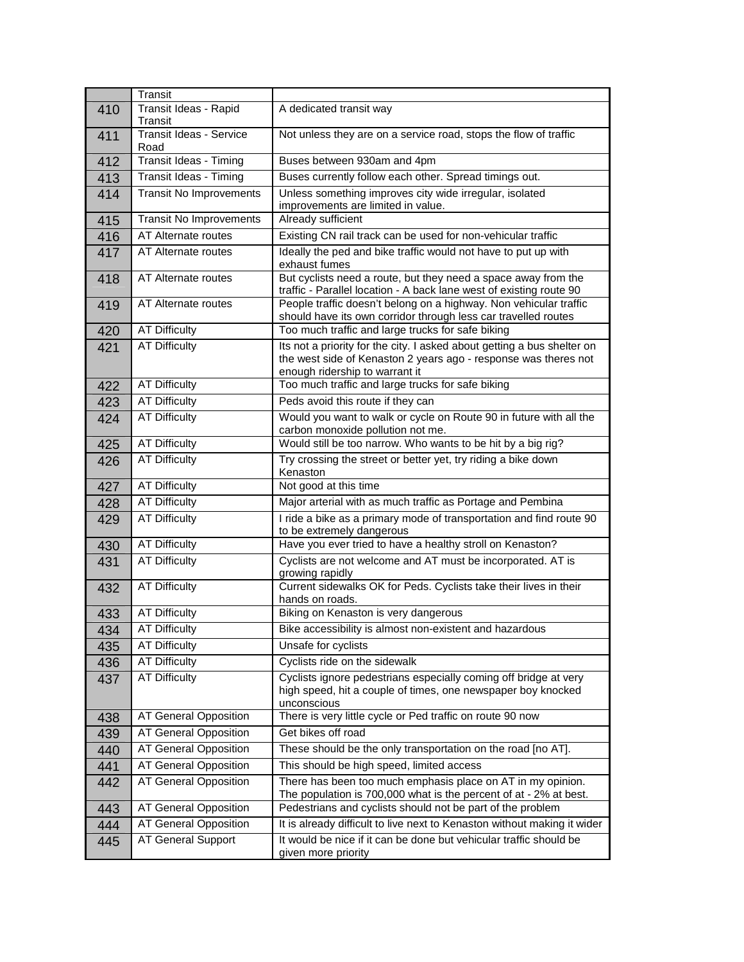|     | Transit                                 |                                                                                                                                                                              |
|-----|-----------------------------------------|------------------------------------------------------------------------------------------------------------------------------------------------------------------------------|
| 410 | Transit Ideas - Rapid<br><b>Transit</b> | A dedicated transit way                                                                                                                                                      |
| 411 | <b>Transit Ideas - Service</b><br>Road  | Not unless they are on a service road, stops the flow of traffic                                                                                                             |
| 412 | Transit Ideas - Timing                  | Buses between 930am and 4pm                                                                                                                                                  |
| 413 | Transit Ideas - Timing                  | Buses currently follow each other. Spread timings out.                                                                                                                       |
| 414 | <b>Transit No Improvements</b>          | Unless something improves city wide irregular, isolated<br>improvements are limited in value.                                                                                |
| 415 | Transit No Improvements                 | Already sufficient                                                                                                                                                           |
| 416 | AT Alternate routes                     | Existing CN rail track can be used for non-vehicular traffic                                                                                                                 |
| 417 | AT Alternate routes                     | Ideally the ped and bike traffic would not have to put up with<br>exhaust fumes                                                                                              |
| 418 | <b>AT</b> Alternate routes              | But cyclists need a route, but they need a space away from the<br>traffic - Parallel location - A back lane west of existing route 90                                        |
| 419 | AT Alternate routes                     | People traffic doesn't belong on a highway. Non vehicular traffic<br>should have its own corridor through less car travelled routes                                          |
| 420 | <b>AT Difficulty</b>                    | Too much traffic and large trucks for safe biking                                                                                                                            |
| 421 | <b>AT Difficulty</b>                    | Its not a priority for the city. I asked about getting a bus shelter on<br>the west side of Kenaston 2 years ago - response was theres not<br>enough ridership to warrant it |
| 422 | <b>AT Difficulty</b>                    | Too much traffic and large trucks for safe biking                                                                                                                            |
| 423 | <b>AT Difficulty</b>                    | Peds avoid this route if they can                                                                                                                                            |
| 424 | <b>AT Difficulty</b>                    | Would you want to walk or cycle on Route 90 in future with all the<br>carbon monoxide pollution not me.                                                                      |
| 425 | <b>AT Difficulty</b>                    | Would still be too narrow. Who wants to be hit by a big rig?                                                                                                                 |
| 426 | <b>AT Difficulty</b>                    | Try crossing the street or better yet, try riding a bike down<br>Kenaston                                                                                                    |
| 427 | <b>AT Difficulty</b>                    | Not good at this time                                                                                                                                                        |
| 428 | <b>AT Difficulty</b>                    | Major arterial with as much traffic as Portage and Pembina                                                                                                                   |
| 429 | <b>AT Difficulty</b>                    | I ride a bike as a primary mode of transportation and find route 90<br>to be extremely dangerous                                                                             |
| 430 | <b>AT Difficulty</b>                    | Have you ever tried to have a healthy stroll on Kenaston?                                                                                                                    |
| 431 | <b>AT Difficulty</b>                    | Cyclists are not welcome and AT must be incorporated. AT is<br>growing rapidly                                                                                               |
| 432 | <b>AT Difficulty</b>                    | Current sidewalks OK for Peds. Cyclists take their lives in their<br>hands on roads.                                                                                         |
| 433 | <b>AT Difficulty</b>                    | Biking on Kenaston is very dangerous                                                                                                                                         |
| 434 | <b>AT Difficulty</b>                    | Bike accessibility is almost non-existent and hazardous                                                                                                                      |
| 435 | <b>AT Difficulty</b>                    | Unsafe for cyclists                                                                                                                                                          |
| 436 | <b>AT Difficulty</b>                    | Cyclists ride on the sidewalk                                                                                                                                                |
| 437 | <b>AT Difficulty</b>                    | Cyclists ignore pedestrians especially coming off bridge at very<br>high speed, hit a couple of times, one newspaper boy knocked<br>unconscious                              |
| 438 | AT General Opposition                   | There is very little cycle or Ped traffic on route 90 now                                                                                                                    |
| 439 | AT General Opposition                   | Get bikes off road                                                                                                                                                           |
| 440 | AT General Opposition                   | These should be the only transportation on the road [no AT].                                                                                                                 |
| 441 | AT General Opposition                   | This should be high speed, limited access                                                                                                                                    |
| 442 | AT General Opposition                   | There has been too much emphasis place on AT in my opinion.<br>The population is 700,000 what is the percent of at - 2% at best.                                             |
| 443 | AT General Opposition                   | Pedestrians and cyclists should not be part of the problem                                                                                                                   |
| 444 | AT General Opposition                   | It is already difficult to live next to Kenaston without making it wider                                                                                                     |
| 445 | AT General Support                      | It would be nice if it can be done but vehicular traffic should be<br>given more priority                                                                                    |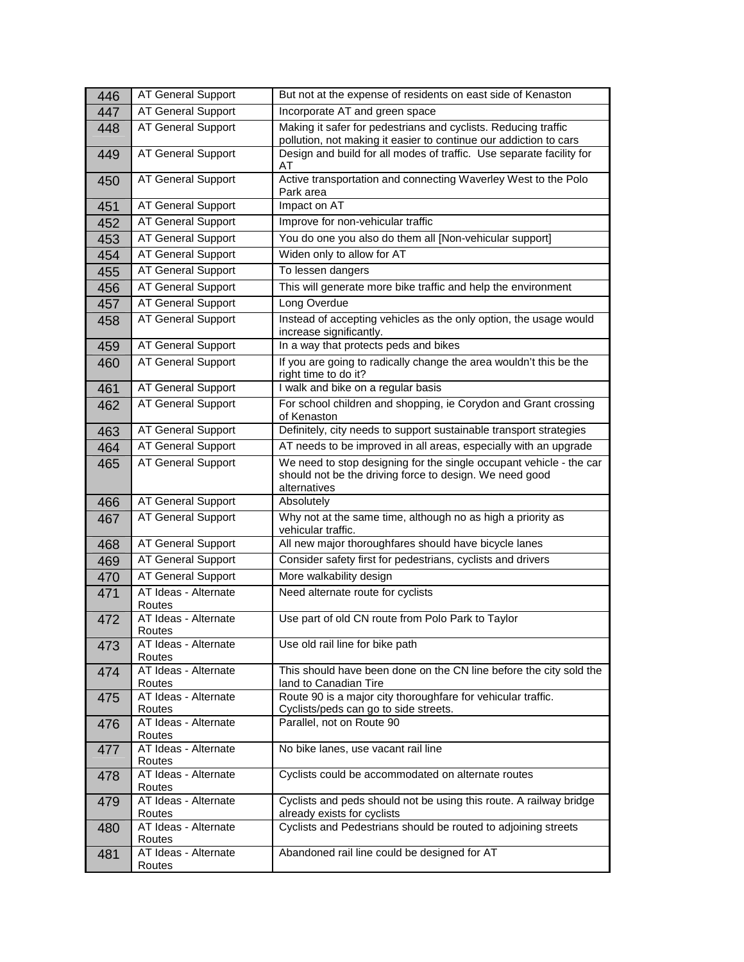| 446 | <b>AT General Support</b>      | But not at the expense of residents on east side of Kenaston                                                                                   |
|-----|--------------------------------|------------------------------------------------------------------------------------------------------------------------------------------------|
| 447 | AT General Support             | Incorporate AT and green space                                                                                                                 |
| 448 | AT General Support             | Making it safer for pedestrians and cyclists. Reducing traffic<br>pollution, not making it easier to continue our addiction to cars            |
| 449 | AT General Support             | Design and build for all modes of traffic. Use separate facility for<br>AT                                                                     |
| 450 | AT General Support             | Active transportation and connecting Waverley West to the Polo<br>Park area                                                                    |
| 451 | AT General Support             | Impact on AT                                                                                                                                   |
| 452 | <b>AT General Support</b>      | Improve for non-vehicular traffic                                                                                                              |
| 453 | <b>AT General Support</b>      | You do one you also do them all [Non-vehicular support]                                                                                        |
| 454 | AT General Support             | Widen only to allow for AT                                                                                                                     |
| 455 | <b>AT General Support</b>      | To lessen dangers                                                                                                                              |
| 456 | AT General Support             | This will generate more bike traffic and help the environment                                                                                  |
| 457 | <b>AT General Support</b>      | Long Overdue                                                                                                                                   |
| 458 | <b>AT General Support</b>      | Instead of accepting vehicles as the only option, the usage would<br>increase significantly.                                                   |
| 459 | <b>AT General Support</b>      | In a way that protects peds and bikes                                                                                                          |
| 460 | <b>AT General Support</b>      | If you are going to radically change the area wouldn't this be the<br>right time to do it?                                                     |
| 461 | <b>AT General Support</b>      | I walk and bike on a regular basis                                                                                                             |
| 462 | <b>AT General Support</b>      | For school children and shopping, ie Corydon and Grant crossing<br>of Kenaston                                                                 |
| 463 | AT General Support             | Definitely, city needs to support sustainable transport strategies                                                                             |
| 464 | <b>AT General Support</b>      | AT needs to be improved in all areas, especially with an upgrade                                                                               |
| 465 | <b>AT General Support</b>      | We need to stop designing for the single occupant vehicle - the car<br>should not be the driving force to design. We need good<br>alternatives |
| 466 | AT General Support             | Absolutely                                                                                                                                     |
| 467 | <b>AT General Support</b>      | Why not at the same time, although no as high a priority as<br>vehicular traffic.                                                              |
| 468 | AT General Support             | All new major thoroughfares should have bicycle lanes                                                                                          |
| 469 | <b>AT General Support</b>      | Consider safety first for pedestrians, cyclists and drivers                                                                                    |
| 470 | AT General Support             | More walkability design                                                                                                                        |
| 471 | AT Ideas - Alternate<br>Routes | Need alternate route for cyclists                                                                                                              |
| 472 | AT Ideas - Alternate<br>Routes | Use part of old CN route from Polo Park to Taylor                                                                                              |
| 473 | AT Ideas - Alternate<br>Routes | Use old rail line for bike path                                                                                                                |
| 474 | AT Ideas - Alternate<br>Routes | This should have been done on the CN line before the city sold the<br>land to Canadian Tire                                                    |
| 475 | AT Ideas - Alternate<br>Routes | Route 90 is a major city thoroughfare for vehicular traffic.<br>Cyclists/peds can go to side streets.                                          |
| 476 | AT Ideas - Alternate<br>Routes | Parallel, not on Route 90                                                                                                                      |
| 477 | AT Ideas - Alternate<br>Routes | No bike lanes, use vacant rail line                                                                                                            |
| 478 | AT Ideas - Alternate<br>Routes | Cyclists could be accommodated on alternate routes                                                                                             |
| 479 | AT Ideas - Alternate<br>Routes | Cyclists and peds should not be using this route. A railway bridge<br>already exists for cyclists                                              |
| 480 | AT Ideas - Alternate<br>Routes | Cyclists and Pedestrians should be routed to adjoining streets                                                                                 |
| 481 | AT Ideas - Alternate<br>Routes | Abandoned rail line could be designed for AT                                                                                                   |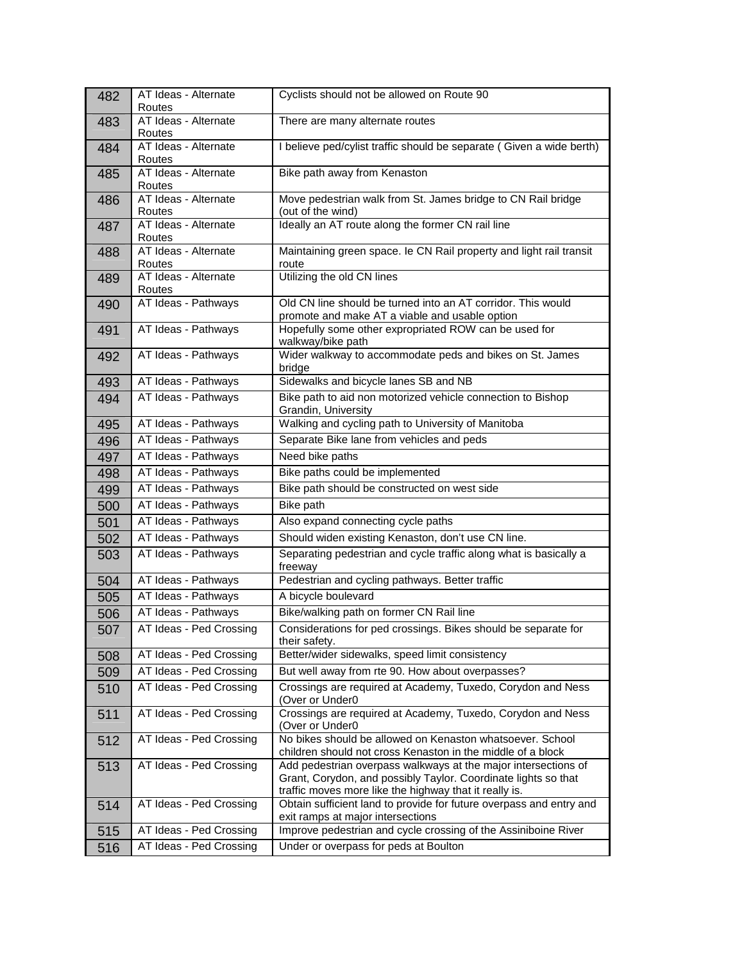| 482 | AT Ideas - Alternate<br>Routes | Cyclists should not be allowed on Route 90                                                                                                                                                 |
|-----|--------------------------------|--------------------------------------------------------------------------------------------------------------------------------------------------------------------------------------------|
| 483 | AT Ideas - Alternate<br>Routes | There are many alternate routes                                                                                                                                                            |
| 484 | AT Ideas - Alternate<br>Routes | I believe ped/cylist traffic should be separate (Given a wide berth)                                                                                                                       |
| 485 | AT Ideas - Alternate           | Bike path away from Kenaston                                                                                                                                                               |
| 486 | Routes<br>AT Ideas - Alternate | Move pedestrian walk from St. James bridge to CN Rail bridge                                                                                                                               |
|     | Routes                         | (out of the wind)                                                                                                                                                                          |
| 487 | AT Ideas - Alternate<br>Routes | Ideally an AT route along the former CN rail line                                                                                                                                          |
| 488 | AT Ideas - Alternate<br>Routes | Maintaining green space. Ie CN Rail property and light rail transit<br>route                                                                                                               |
| 489 | AT Ideas - Alternate<br>Routes | Utilizing the old CN lines                                                                                                                                                                 |
| 490 | AT Ideas - Pathways            | Old CN line should be turned into an AT corridor. This would<br>promote and make AT a viable and usable option                                                                             |
| 491 | AT Ideas - Pathways            | Hopefully some other expropriated ROW can be used for                                                                                                                                      |
|     |                                | walkway/bike path                                                                                                                                                                          |
| 492 | AT Ideas - Pathways            | Wider walkway to accommodate peds and bikes on St. James<br>bridge                                                                                                                         |
| 493 | AT Ideas - Pathways            | Sidewalks and bicycle lanes SB and NB                                                                                                                                                      |
| 494 | AT Ideas - Pathways            | Bike path to aid non motorized vehicle connection to Bishop<br>Grandin, University                                                                                                         |
| 495 | AT Ideas - Pathways            | Walking and cycling path to University of Manitoba                                                                                                                                         |
| 496 | AT Ideas - Pathways            | Separate Bike lane from vehicles and peds                                                                                                                                                  |
| 497 | AT Ideas - Pathways            | Need bike paths                                                                                                                                                                            |
| 498 | AT Ideas - Pathways            | Bike paths could be implemented                                                                                                                                                            |
| 499 | AT Ideas - Pathways            | Bike path should be constructed on west side                                                                                                                                               |
| 500 | AT Ideas - Pathways            | Bike path                                                                                                                                                                                  |
| 501 | AT Ideas - Pathways            | Also expand connecting cycle paths                                                                                                                                                         |
| 502 | AT Ideas - Pathways            | Should widen existing Kenaston, don't use CN line.                                                                                                                                         |
| 503 | AT Ideas - Pathways            | Separating pedestrian and cycle traffic along what is basically a<br>freeway                                                                                                               |
| 504 | AT Ideas - Pathways            | Pedestrian and cycling pathways. Better traffic                                                                                                                                            |
| 505 | AT Ideas - Pathways            | A bicycle boulevard                                                                                                                                                                        |
| 506 | AT Ideas - Pathways            | Bike/walking path on former CN Rail line                                                                                                                                                   |
| 507 | AT Ideas - Ped Crossing        | Considerations for ped crossings. Bikes should be separate for<br>their safety.                                                                                                            |
| 508 | AT Ideas - Ped Crossing        | Better/wider sidewalks, speed limit consistency                                                                                                                                            |
| 509 | AT Ideas - Ped Crossing        | But well away from rte 90. How about overpasses?                                                                                                                                           |
| 510 | AT Ideas - Ped Crossing        | Crossings are required at Academy, Tuxedo, Corydon and Ness<br>(Over or Under0                                                                                                             |
| 511 | AT Ideas - Ped Crossing        | Crossings are required at Academy, Tuxedo, Corydon and Ness<br>(Over or Under0                                                                                                             |
| 512 | AT Ideas - Ped Crossing        | No bikes should be allowed on Kenaston whatsoever. School<br>children should not cross Kenaston in the middle of a block                                                                   |
| 513 | AT Ideas - Ped Crossing        | Add pedestrian overpass walkways at the major intersections of<br>Grant, Corydon, and possibly Taylor. Coordinate lights so that<br>traffic moves more like the highway that it really is. |
| 514 | AT Ideas - Ped Crossing        | Obtain sufficient land to provide for future overpass and entry and<br>exit ramps at major intersections                                                                                   |
| 515 | AT Ideas - Ped Crossing        | Improve pedestrian and cycle crossing of the Assiniboine River                                                                                                                             |
| 516 | AT Ideas - Ped Crossing        | Under or overpass for peds at Boulton                                                                                                                                                      |
|     |                                |                                                                                                                                                                                            |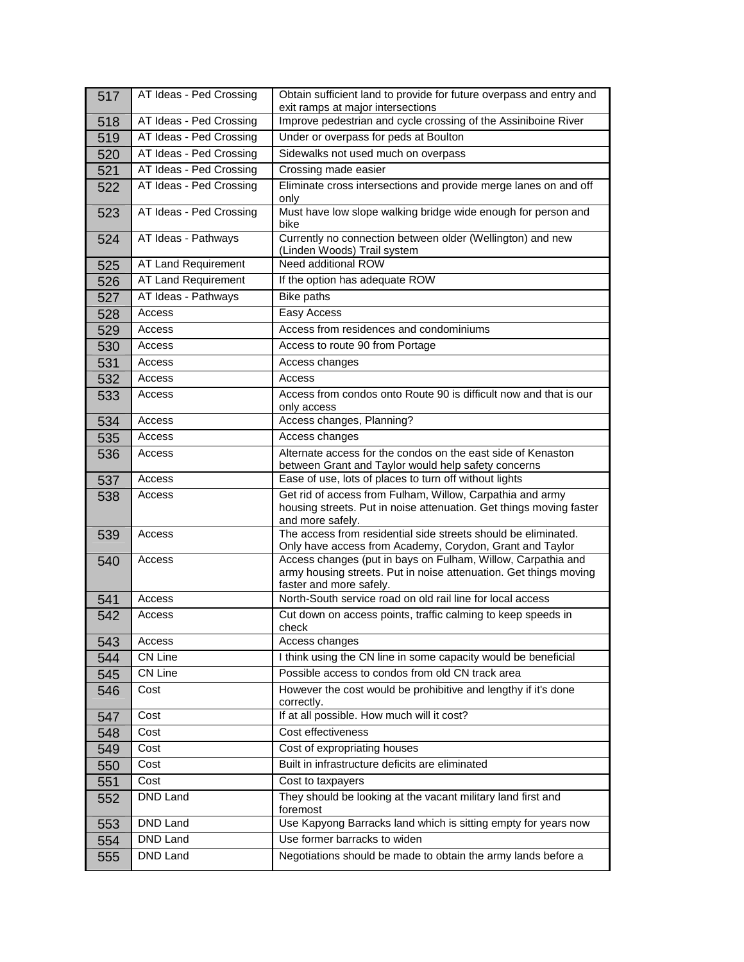| 517 | AT Ideas - Ped Crossing | Obtain sufficient land to provide for future overpass and entry and<br>exit ramps at major intersections                                                     |
|-----|-------------------------|--------------------------------------------------------------------------------------------------------------------------------------------------------------|
| 518 | AT Ideas - Ped Crossing | Improve pedestrian and cycle crossing of the Assiniboine River                                                                                               |
| 519 | AT Ideas - Ped Crossing | Under or overpass for peds at Boulton                                                                                                                        |
| 520 | AT Ideas - Ped Crossing | Sidewalks not used much on overpass                                                                                                                          |
| 521 | AT Ideas - Ped Crossing | Crossing made easier                                                                                                                                         |
| 522 | AT Ideas - Ped Crossing | Eliminate cross intersections and provide merge lanes on and off<br>only                                                                                     |
| 523 | AT Ideas - Ped Crossing | Must have low slope walking bridge wide enough for person and<br>bike                                                                                        |
| 524 | AT Ideas - Pathways     | Currently no connection between older (Wellington) and new<br>(Linden Woods) Trail system                                                                    |
| 525 | AT Land Requirement     | Need additional ROW                                                                                                                                          |
| 526 | AT Land Requirement     | If the option has adequate ROW                                                                                                                               |
| 527 | AT Ideas - Pathways     | <b>Bike paths</b>                                                                                                                                            |
| 528 | Access                  | Easy Access                                                                                                                                                  |
| 529 | Access                  | Access from residences and condominiums                                                                                                                      |
| 530 | Access                  | Access to route 90 from Portage                                                                                                                              |
| 531 | Access                  | Access changes                                                                                                                                               |
| 532 | Access                  | Access                                                                                                                                                       |
| 533 | Access                  | Access from condos onto Route 90 is difficult now and that is our<br>only access                                                                             |
| 534 | Access                  | Access changes, Planning?                                                                                                                                    |
| 535 | Access                  | Access changes                                                                                                                                               |
| 536 | Access                  | Alternate access for the condos on the east side of Kenaston<br>between Grant and Taylor would help safety concerns                                          |
| 537 | Access                  | Ease of use, lots of places to turn off without lights                                                                                                       |
| 538 | Access                  | Get rid of access from Fulham, Willow, Carpathia and army<br>housing streets. Put in noise attenuation. Get things moving faster<br>and more safely.         |
| 539 | Access                  | The access from residential side streets should be eliminated.<br>Only have access from Academy, Corydon, Grant and Taylor                                   |
| 540 | Access                  | Access changes (put in bays on Fulham, Willow, Carpathia and<br>army housing streets. Put in noise attenuation. Get things moving<br>faster and more safely. |
| 541 | Access                  | North-South service road on old rail line for local access                                                                                                   |
| 542 | Access                  | Cut down on access points, traffic calming to keep speeds in<br>check                                                                                        |
| 543 | Access                  | Access changes                                                                                                                                               |
| 544 | CN Line                 | I think using the CN line in some capacity would be beneficial                                                                                               |
| 545 | CN Line                 | Possible access to condos from old CN track area                                                                                                             |
| 546 | Cost                    | However the cost would be prohibitive and lengthy if it's done<br>correctly.                                                                                 |
| 547 | Cost                    | If at all possible. How much will it cost?                                                                                                                   |
| 548 | Cost                    | Cost effectiveness                                                                                                                                           |
| 549 | Cost                    | Cost of expropriating houses                                                                                                                                 |
| 550 | Cost                    | Built in infrastructure deficits are eliminated                                                                                                              |
| 551 | Cost                    | Cost to taxpayers                                                                                                                                            |
| 552 | DND Land                | They should be looking at the vacant military land first and<br>foremost                                                                                     |
| 553 | DND Land                | Use Kapyong Barracks land which is sitting empty for years now                                                                                               |
| 554 | DND Land                | Use former barracks to widen                                                                                                                                 |
| 555 | DND Land                | Negotiations should be made to obtain the army lands before a                                                                                                |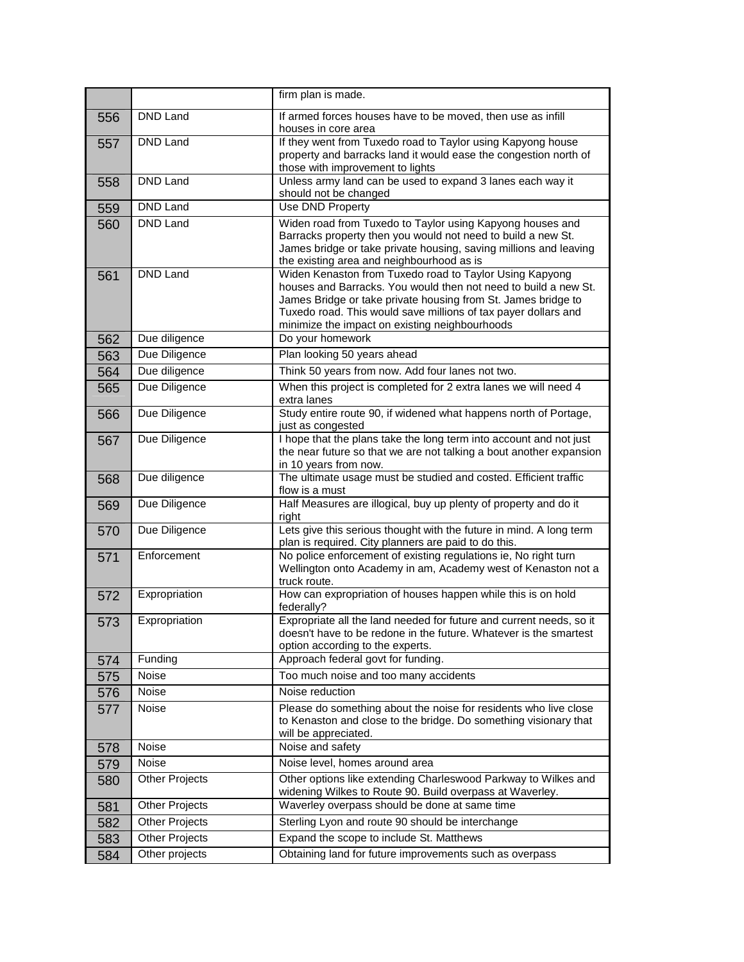|     |                       | firm plan is made.                                                                                                                                                                                                                                                                                              |
|-----|-----------------------|-----------------------------------------------------------------------------------------------------------------------------------------------------------------------------------------------------------------------------------------------------------------------------------------------------------------|
| 556 | DND Land              | If armed forces houses have to be moved, then use as infill<br>houses in core area                                                                                                                                                                                                                              |
| 557 | DND Land              | If they went from Tuxedo road to Taylor using Kapyong house<br>property and barracks land it would ease the congestion north of<br>those with improvement to lights                                                                                                                                             |
| 558 | DND Land              | Unless army land can be used to expand 3 lanes each way it<br>should not be changed                                                                                                                                                                                                                             |
| 559 | DND Land              | Use DND Property                                                                                                                                                                                                                                                                                                |
| 560 | <b>DND Land</b>       | Widen road from Tuxedo to Taylor using Kapyong houses and<br>Barracks property then you would not need to build a new St.<br>James bridge or take private housing, saving millions and leaving<br>the existing area and neighbourhood as is                                                                     |
| 561 | <b>DND Land</b>       | Widen Kenaston from Tuxedo road to Taylor Using Kapyong<br>houses and Barracks. You would then not need to build a new St.<br>James Bridge or take private housing from St. James bridge to<br>Tuxedo road. This would save millions of tax payer dollars and<br>minimize the impact on existing neighbourhoods |
| 562 | Due diligence         | Do your homework                                                                                                                                                                                                                                                                                                |
| 563 | Due Diligence         | Plan looking 50 years ahead                                                                                                                                                                                                                                                                                     |
| 564 | Due diligence         | Think 50 years from now. Add four lanes not two.                                                                                                                                                                                                                                                                |
| 565 | Due Diligence         | When this project is completed for 2 extra lanes we will need 4<br>extra lanes                                                                                                                                                                                                                                  |
| 566 | Due Diligence         | Study entire route 90, if widened what happens north of Portage,<br>just as congested                                                                                                                                                                                                                           |
| 567 | Due Diligence         | I hope that the plans take the long term into account and not just<br>the near future so that we are not talking a bout another expansion<br>in 10 years from now.                                                                                                                                              |
| 568 | Due diligence         | The ultimate usage must be studied and costed. Efficient traffic<br>flow is a must                                                                                                                                                                                                                              |
| 569 | Due Diligence         | Half Measures are illogical, buy up plenty of property and do it<br>right                                                                                                                                                                                                                                       |
| 570 | Due Diligence         | Lets give this serious thought with the future in mind. A long term<br>plan is required. City planners are paid to do this.                                                                                                                                                                                     |
| 571 | Enforcement           | No police enforcement of existing regulations ie, No right turn<br>Wellington onto Academy in am, Academy west of Kenaston not a<br>truck route.                                                                                                                                                                |
| 572 | Expropriation         | How can expropriation of houses happen while this is on hold<br>federally?                                                                                                                                                                                                                                      |
| 573 | Expropriation         | Expropriate all the land needed for future and current needs, so it<br>doesn't have to be redone in the future. Whatever is the smartest<br>option according to the experts.                                                                                                                                    |
| 574 | Funding               | Approach federal govt for funding.                                                                                                                                                                                                                                                                              |
| 575 | Noise                 | Too much noise and too many accidents                                                                                                                                                                                                                                                                           |
| 576 | Noise                 | Noise reduction                                                                                                                                                                                                                                                                                                 |
| 577 | Noise                 | Please do something about the noise for residents who live close<br>to Kenaston and close to the bridge. Do something visionary that<br>will be appreciated.                                                                                                                                                    |
| 578 | Noise                 | Noise and safety                                                                                                                                                                                                                                                                                                |
| 579 | Noise                 | Noise level, homes around area                                                                                                                                                                                                                                                                                  |
| 580 | <b>Other Projects</b> | Other options like extending Charleswood Parkway to Wilkes and<br>widening Wilkes to Route 90. Build overpass at Waverley.                                                                                                                                                                                      |
| 581 | <b>Other Projects</b> | Waverley overpass should be done at same time                                                                                                                                                                                                                                                                   |
| 582 | <b>Other Projects</b> | Sterling Lyon and route 90 should be interchange                                                                                                                                                                                                                                                                |
| 583 | <b>Other Projects</b> | Expand the scope to include St. Matthews                                                                                                                                                                                                                                                                        |
| 584 | Other projects        | Obtaining land for future improvements such as overpass                                                                                                                                                                                                                                                         |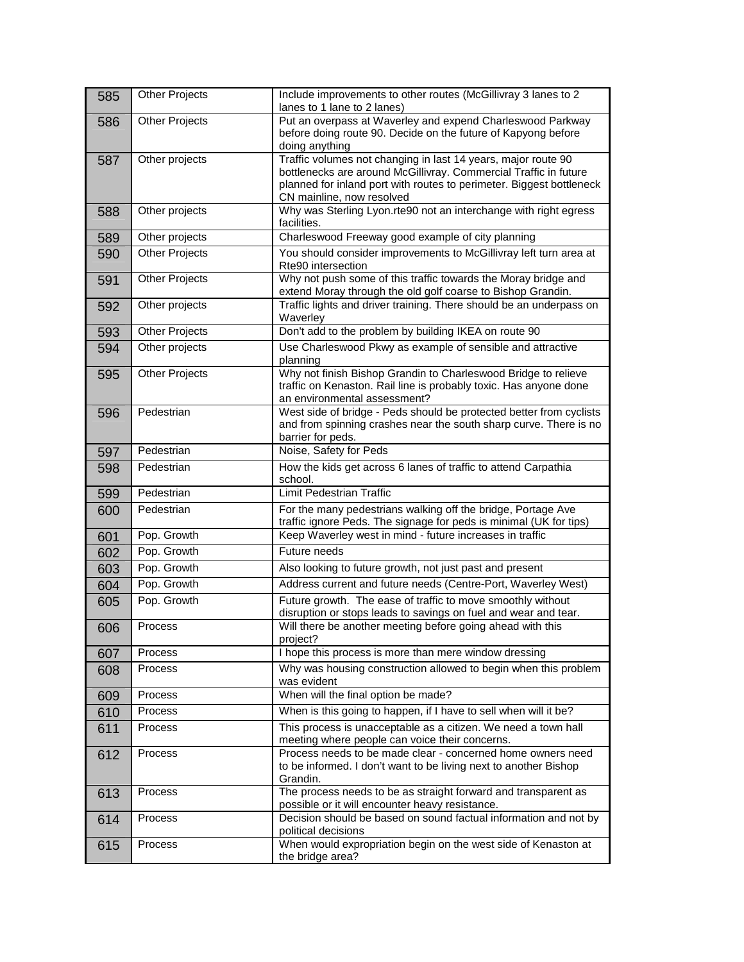| 585        | <b>Other Projects</b> | Include improvements to other routes (McGillivray 3 lanes to 2<br>lanes to 1 lane to 2 lanes)                                      |
|------------|-----------------------|------------------------------------------------------------------------------------------------------------------------------------|
| 586        | <b>Other Projects</b> | Put an overpass at Waverley and expend Charleswood Parkway                                                                         |
|            |                       | before doing route 90. Decide on the future of Kapyong before                                                                      |
|            |                       | doing anything                                                                                                                     |
| 587        | Other projects        | Traffic volumes not changing in last 14 years, major route 90                                                                      |
|            |                       | bottlenecks are around McGillivray. Commercial Traffic in future                                                                   |
|            |                       | planned for inland port with routes to perimeter. Biggest bottleneck                                                               |
|            |                       | CN mainline, now resolved                                                                                                          |
| 588        | Other projects        | Why was Sterling Lyon.rte90 not an interchange with right egress<br>facilities.                                                    |
| 589        | Other projects        | Charleswood Freeway good example of city planning                                                                                  |
| 590        | <b>Other Projects</b> | You should consider improvements to McGillivray left turn area at                                                                  |
|            |                       | Rte90 intersection                                                                                                                 |
| 591        | <b>Other Projects</b> | Why not push some of this traffic towards the Moray bridge and<br>extend Moray through the old golf coarse to Bishop Grandin.      |
| 592        | Other projects        | Traffic lights and driver training. There should be an underpass on                                                                |
|            |                       | Waverley                                                                                                                           |
| 593        | <b>Other Projects</b> | Don't add to the problem by building IKEA on route 90                                                                              |
| 594        | Other projects        | Use Charleswood Pkwy as example of sensible and attractive                                                                         |
|            |                       | planning                                                                                                                           |
| 595        | <b>Other Projects</b> | Why not finish Bishop Grandin to Charleswood Bridge to relieve                                                                     |
|            |                       | traffic on Kenaston. Rail line is probably toxic. Has anyone done<br>an environmental assessment?                                  |
| 596        | Pedestrian            | West side of bridge - Peds should be protected better from cyclists                                                                |
|            |                       | and from spinning crashes near the south sharp curve. There is no                                                                  |
|            |                       | barrier for peds.                                                                                                                  |
| 597        | Pedestrian            | Noise, Safety for Peds                                                                                                             |
| 598        | Pedestrian            | How the kids get across 6 lanes of traffic to attend Carpathia                                                                     |
|            |                       | school.                                                                                                                            |
| 599        | Pedestrian            | Limit Pedestrian Traffic                                                                                                           |
| 600        | Pedestrian            | For the many pedestrians walking off the bridge, Portage Ave<br>traffic ignore Peds. The signage for peds is minimal (UK for tips) |
| 601        | Pop. Growth           | Keep Waverley west in mind - future increases in traffic                                                                           |
| 602        | Pop. Growth           | Future needs                                                                                                                       |
| 603        | Pop. Growth           | Also looking to future growth, not just past and present                                                                           |
| 604        | Pop. Growth           | Address current and future needs (Centre-Port, Waverley West)                                                                      |
| 605        | Pop. Growth           | Future growth. The ease of traffic to move smoothly without                                                                        |
|            |                       | disruption or stops leads to savings on fuel and wear and tear.                                                                    |
| 606        | Process               | Will there be another meeting before going ahead with this                                                                         |
|            |                       | project?                                                                                                                           |
| 607        | Process               | I hope this process is more than mere window dressing                                                                              |
| 608        | <b>Process</b>        | Why was housing construction allowed to begin when this problem                                                                    |
|            | Process               | was evident<br>When will the final option be made?                                                                                 |
| 609<br>610 | Process               | When is this going to happen, if I have to sell when will it be?                                                                   |
|            | Process               | This process is unacceptable as a citizen. We need a town hall                                                                     |
| 611        |                       | meeting where people can voice their concerns.                                                                                     |
| 612        | Process               | Process needs to be made clear - concerned home owners need                                                                        |
|            |                       | to be informed. I don't want to be living next to another Bishop                                                                   |
|            |                       | Grandin.                                                                                                                           |
| 613        | Process               | The process needs to be as straight forward and transparent as<br>possible or it will encounter heavy resistance.                  |
| 614        | Process               | Decision should be based on sound factual information and not by                                                                   |
|            |                       | political decisions                                                                                                                |
| 615        | Process               | When would expropriation begin on the west side of Kenaston at                                                                     |
|            |                       | the bridge area?                                                                                                                   |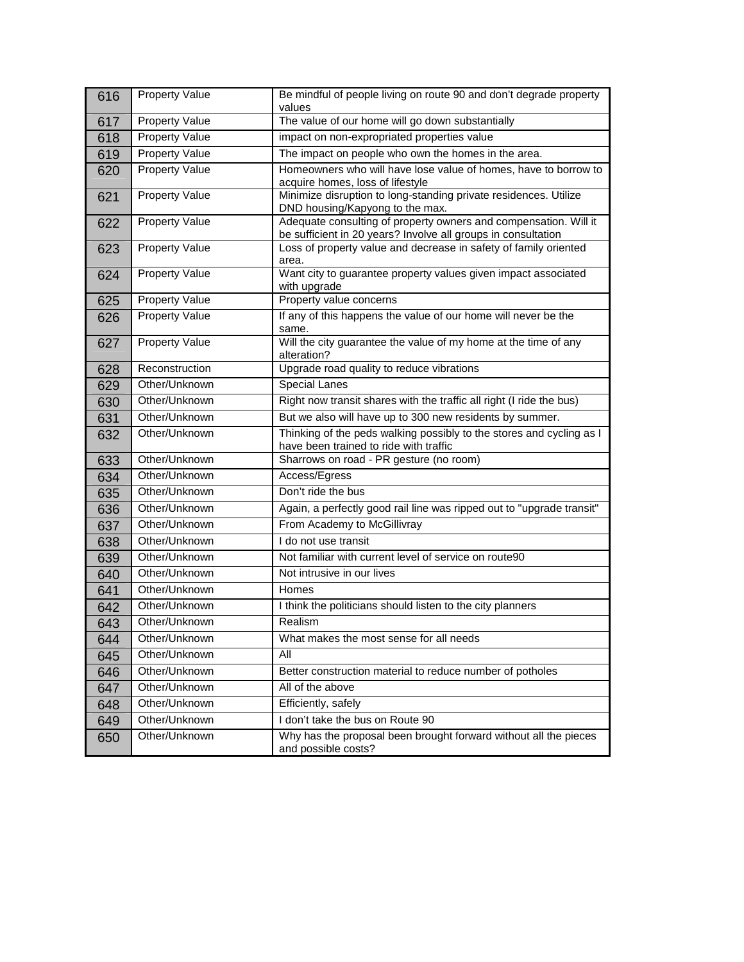| 616 | <b>Property Value</b> | Be mindful of people living on route 90 and don't degrade property<br>values                                                      |
|-----|-----------------------|-----------------------------------------------------------------------------------------------------------------------------------|
| 617 | Property Value        | The value of our home will go down substantially                                                                                  |
| 618 | <b>Property Value</b> | impact on non-expropriated properties value                                                                                       |
| 619 | Property Value        | The impact on people who own the homes in the area.                                                                               |
| 620 | <b>Property Value</b> | Homeowners who will have lose value of homes, have to borrow to<br>acquire homes, loss of lifestyle                               |
| 621 | Property Value        | Minimize disruption to long-standing private residences. Utilize<br>DND housing/Kapyong to the max.                               |
| 622 | <b>Property Value</b> | Adequate consulting of property owners and compensation. Will it<br>be sufficient in 20 years? Involve all groups in consultation |
| 623 | <b>Property Value</b> | Loss of property value and decrease in safety of family oriented<br>area.                                                         |
| 624 | <b>Property Value</b> | Want city to guarantee property values given impact associated<br>with upgrade                                                    |
| 625 | <b>Property Value</b> | Property value concerns                                                                                                           |
| 626 | <b>Property Value</b> | If any of this happens the value of our home will never be the<br>same.                                                           |
| 627 | <b>Property Value</b> | Will the city guarantee the value of my home at the time of any<br>alteration?                                                    |
| 628 | Reconstruction        | Upgrade road quality to reduce vibrations                                                                                         |
| 629 | Other/Unknown         | <b>Special Lanes</b>                                                                                                              |
| 630 | Other/Unknown         | Right now transit shares with the traffic all right (I ride the bus)                                                              |
| 631 | Other/Unknown         | But we also will have up to 300 new residents by summer.                                                                          |
| 632 | Other/Unknown         | Thinking of the peds walking possibly to the stores and cycling as I<br>have been trained to ride with traffic                    |
| 633 | Other/Unknown         | Sharrows on road - PR gesture (no room)                                                                                           |
| 634 | Other/Unknown         | Access/Egress                                                                                                                     |
| 635 | Other/Unknown         | Don't ride the bus                                                                                                                |
| 636 | Other/Unknown         | Again, a perfectly good rail line was ripped out to "upgrade transit"                                                             |
| 637 | Other/Unknown         | From Academy to McGillivray                                                                                                       |
| 638 | Other/Unknown         | I do not use transit                                                                                                              |
| 639 | Other/Unknown         | Not familiar with current level of service on route90                                                                             |
| 640 | Other/Unknown         | Not intrusive in our lives                                                                                                        |
| 641 | Other/Unknown         | Homes                                                                                                                             |
| 642 | Other/Unknown         | I think the politicians should listen to the city planners                                                                        |
| 643 | Other/Unknown         | Realism                                                                                                                           |
| 644 | Other/Unknown         | What makes the most sense for all needs                                                                                           |
| 645 | Other/Unknown         | All                                                                                                                               |
| 646 | Other/Unknown         | Better construction material to reduce number of potholes                                                                         |
| 647 | Other/Unknown         | All of the above                                                                                                                  |
| 648 | Other/Unknown         | Efficiently, safely                                                                                                               |
| 649 | Other/Unknown         | I don't take the bus on Route 90                                                                                                  |
| 650 | Other/Unknown         | Why has the proposal been brought forward without all the pieces<br>and possible costs?                                           |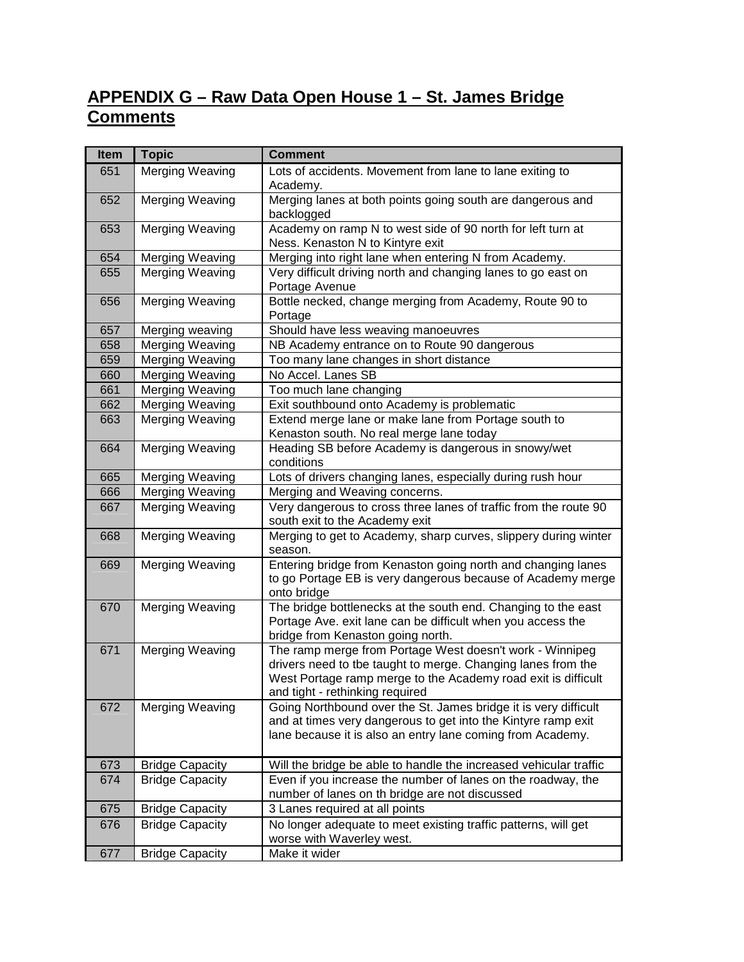## **APPENDIX G – Raw Data Open House 1 – St. James Bridge Comments**

| <b>Item</b> | <b>Topic</b>           | <b>Comment</b>                                                                                                                                                                                                               |
|-------------|------------------------|------------------------------------------------------------------------------------------------------------------------------------------------------------------------------------------------------------------------------|
| 651         | Merging Weaving        | Lots of accidents. Movement from lane to lane exiting to<br>Academy.                                                                                                                                                         |
| 652         | <b>Merging Weaving</b> | Merging lanes at both points going south are dangerous and<br>backlogged                                                                                                                                                     |
| 653         | Merging Weaving        | Academy on ramp N to west side of 90 north for left turn at<br>Ness. Kenaston N to Kintyre exit                                                                                                                              |
| 654         | Merging Weaving        | Merging into right lane when entering N from Academy.                                                                                                                                                                        |
| 655         | Merging Weaving        | Very difficult driving north and changing lanes to go east on<br>Portage Avenue                                                                                                                                              |
| 656         | Merging Weaving        | Bottle necked, change merging from Academy, Route 90 to<br>Portage                                                                                                                                                           |
| 657         | Merging weaving        | Should have less weaving manoeuvres                                                                                                                                                                                          |
| 658         | Merging Weaving        | NB Academy entrance on to Route 90 dangerous                                                                                                                                                                                 |
| 659         | Merging Weaving        | Too many lane changes in short distance                                                                                                                                                                                      |
| 660         | Merging Weaving        | No Accel. Lanes SB                                                                                                                                                                                                           |
| 661         | <b>Merging Weaving</b> | Too much lane changing                                                                                                                                                                                                       |
| 662         | Merging Weaving        | Exit southbound onto Academy is problematic                                                                                                                                                                                  |
| 663         | <b>Merging Weaving</b> | Extend merge lane or make lane from Portage south to<br>Kenaston south. No real merge lane today                                                                                                                             |
| 664         | Merging Weaving        | Heading SB before Academy is dangerous in snowy/wet<br>conditions                                                                                                                                                            |
| 665         | Merging Weaving        | Lots of drivers changing lanes, especially during rush hour                                                                                                                                                                  |
| 666         | Merging Weaving        | Merging and Weaving concerns.                                                                                                                                                                                                |
| 667         | <b>Merging Weaving</b> | Very dangerous to cross three lanes of traffic from the route 90<br>south exit to the Academy exit                                                                                                                           |
| 668         | Merging Weaving        | Merging to get to Academy, sharp curves, slippery during winter<br>season.                                                                                                                                                   |
| 669         | Merging Weaving        | Entering bridge from Kenaston going north and changing lanes<br>to go Portage EB is very dangerous because of Academy merge<br>onto bridge                                                                                   |
| 670         | <b>Merging Weaving</b> | The bridge bottlenecks at the south end. Changing to the east<br>Portage Ave. exit lane can be difficult when you access the<br>bridge from Kenaston going north.                                                            |
| 671         | Merging Weaving        | The ramp merge from Portage West doesn't work - Winnipeg<br>drivers need to tbe taught to merge. Changing lanes from the<br>West Portage ramp merge to the Academy road exit is difficult<br>and tight - rethinking required |
| 672         | Merging Weaving        | Going Northbound over the St. James bridge it is very difficult<br>and at times very dangerous to get into the Kintyre ramp exit<br>lane because it is also an entry lane coming from Academy.                               |
| 673         | <b>Bridge Capacity</b> | Will the bridge be able to handle the increased vehicular traffic                                                                                                                                                            |
| 674         | <b>Bridge Capacity</b> | Even if you increase the number of lanes on the roadway, the<br>number of lanes on th bridge are not discussed                                                                                                               |
| 675         | <b>Bridge Capacity</b> | 3 Lanes required at all points                                                                                                                                                                                               |
| 676         | <b>Bridge Capacity</b> | No longer adequate to meet existing traffic patterns, will get<br>worse with Waverley west.                                                                                                                                  |
| 677         | <b>Bridge Capacity</b> | Make it wider                                                                                                                                                                                                                |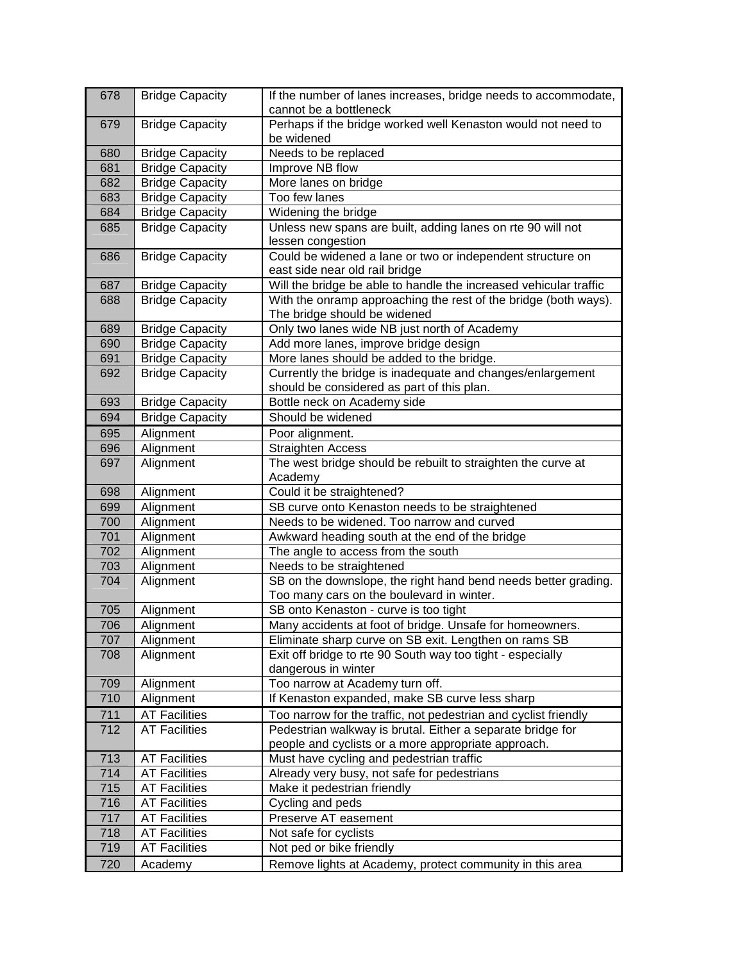| 678 | <b>Bridge Capacity</b> | If the number of lanes increases, bridge needs to accommodate,<br>cannot be a bottleneck        |
|-----|------------------------|-------------------------------------------------------------------------------------------------|
| 679 | <b>Bridge Capacity</b> | Perhaps if the bridge worked well Kenaston would not need to<br>be widened                      |
| 680 | <b>Bridge Capacity</b> | Needs to be replaced                                                                            |
| 681 | <b>Bridge Capacity</b> | Improve NB flow                                                                                 |
| 682 | <b>Bridge Capacity</b> | More lanes on bridge                                                                            |
| 683 | <b>Bridge Capacity</b> | Too few lanes                                                                                   |
| 684 | <b>Bridge Capacity</b> | Widening the bridge                                                                             |
| 685 | <b>Bridge Capacity</b> | Unless new spans are built, adding lanes on rte 90 will not                                     |
|     |                        | lessen congestion                                                                               |
| 686 | <b>Bridge Capacity</b> | Could be widened a lane or two or independent structure on<br>east side near old rail bridge    |
| 687 | <b>Bridge Capacity</b> | Will the bridge be able to handle the increased vehicular traffic                               |
| 688 | <b>Bridge Capacity</b> | With the onramp approaching the rest of the bridge (both ways).<br>The bridge should be widened |
| 689 | <b>Bridge Capacity</b> | Only two lanes wide NB just north of Academy                                                    |
| 690 | <b>Bridge Capacity</b> | Add more lanes, improve bridge design                                                           |
| 691 | <b>Bridge Capacity</b> | More lanes should be added to the bridge.                                                       |
| 692 | <b>Bridge Capacity</b> | Currently the bridge is inadequate and changes/enlargement                                      |
|     |                        | should be considered as part of this plan.                                                      |
| 693 | <b>Bridge Capacity</b> | Bottle neck on Academy side                                                                     |
| 694 | <b>Bridge Capacity</b> | Should be widened                                                                               |
| 695 | Alignment              | Poor alignment.                                                                                 |
| 696 | Alignment              | <b>Straighten Access</b>                                                                        |
| 697 | Alignment              | The west bridge should be rebuilt to straighten the curve at                                    |
|     |                        | Academy                                                                                         |
| 698 | Alignment              | Could it be straightened?                                                                       |
| 699 | Alignment              | SB curve onto Kenaston needs to be straightened                                                 |
| 700 | Alignment              | Needs to be widened. Too narrow and curved                                                      |
| 701 | Alignment              | Awkward heading south at the end of the bridge                                                  |
| 702 | Alignment              | The angle to access from the south                                                              |
| 703 | Alignment              | Needs to be straightened                                                                        |
| 704 | Alignment              | SB on the downslope, the right hand bend needs better grading.                                  |
|     |                        | Too many cars on the boulevard in winter.                                                       |
| 705 | Alignment              | SB onto Kenaston - curve is too tight                                                           |
| 706 | Alignment              | Many accidents at foot of bridge. Unsafe for homeowners.                                        |
| 707 | Alignment              | Eliminate sharp curve on SB exit. Lengthen on rams SB                                           |
| 708 | Alignment              | Exit off bridge to rte 90 South way too tight - especially<br>dangerous in winter               |
| 709 | Alignment              | Too narrow at Academy turn off.                                                                 |
| 710 | Alignment              | If Kenaston expanded, make SB curve less sharp                                                  |
| 711 | <b>AT Facilities</b>   | Too narrow for the traffic, not pedestrian and cyclist friendly                                 |
| 712 | <b>AT Facilities</b>   | Pedestrian walkway is brutal. Either a separate bridge for                                      |
|     |                        | people and cyclists or a more appropriate approach.                                             |
| 713 | <b>AT Facilities</b>   | Must have cycling and pedestrian traffic                                                        |
| 714 | <b>AT Facilities</b>   | Already very busy, not safe for pedestrians                                                     |
| 715 | <b>AT Facilities</b>   | Make it pedestrian friendly                                                                     |
| 716 | <b>AT Facilities</b>   | Cycling and peds                                                                                |
| 717 | <b>AT Facilities</b>   | Preserve AT easement                                                                            |
| 718 | <b>AT Facilities</b>   | Not safe for cyclists                                                                           |
| 719 | <b>AT Facilities</b>   | Not ped or bike friendly                                                                        |
| 720 | Academy                | Remove lights at Academy, protect community in this area                                        |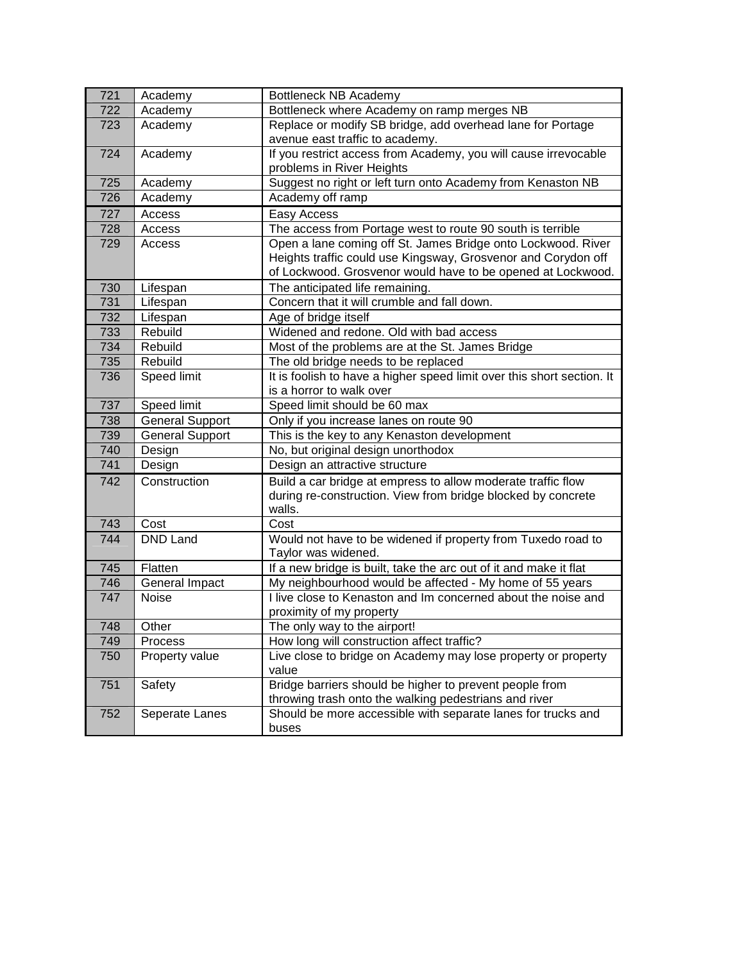| 721 | Academy                | Bottleneck NB Academy                                                  |
|-----|------------------------|------------------------------------------------------------------------|
| 722 | Academy                | Bottleneck where Academy on ramp merges NB                             |
| 723 | Academy                | Replace or modify SB bridge, add overhead lane for Portage             |
|     |                        | avenue east traffic to academy.                                        |
| 724 | Academy                | If you restrict access from Academy, you will cause irrevocable        |
|     |                        | problems in River Heights                                              |
| 725 | Academy                | Suggest no right or left turn onto Academy from Kenaston NB            |
| 726 | Academy                | Academy off ramp                                                       |
| 727 | Access                 | Easy Access                                                            |
| 728 | Access                 | The access from Portage west to route 90 south is terrible             |
| 729 | Access                 | Open a lane coming off St. James Bridge onto Lockwood. River           |
|     |                        | Heights traffic could use Kingsway, Grosvenor and Corydon off          |
|     |                        | of Lockwood. Grosvenor would have to be opened at Lockwood.            |
| 730 | Lifespan               | The anticipated life remaining.                                        |
| 731 | Lifespan               | Concern that it will crumble and fall down.                            |
| 732 | Lifespan               | Age of bridge itself                                                   |
| 733 | Rebuild                | Widened and redone. Old with bad access                                |
| 734 | Rebuild                | Most of the problems are at the St. James Bridge                       |
| 735 | Rebuild                | The old bridge needs to be replaced                                    |
| 736 | Speed limit            | It is foolish to have a higher speed limit over this short section. It |
|     |                        | is a horror to walk over                                               |
| 737 | Speed limit            | Speed limit should be 60 max                                           |
| 738 | <b>General Support</b> | Only if you increase lanes on route 90                                 |
| 739 | <b>General Support</b> | This is the key to any Kenaston development                            |
| 740 | Design                 | No, but original design unorthodox                                     |
| 741 | Design                 | Design an attractive structure                                         |
| 742 | Construction           | Build a car bridge at empress to allow moderate traffic flow           |
|     |                        | during re-construction. View from bridge blocked by concrete           |
|     |                        | walls.                                                                 |
| 743 | Cost                   | Cost                                                                   |
| 744 | <b>DND Land</b>        | Would not have to be widened if property from Tuxedo road to           |
|     |                        | Taylor was widened.                                                    |
| 745 | Flatten                | If a new bridge is built, take the arc out of it and make it flat      |
| 746 | General Impact         | My neighbourhood would be affected - My home of 55 years               |
| 747 | Noise                  | I live close to Kenaston and Im concerned about the noise and          |
|     |                        | proximity of my property                                               |
| 748 | Other                  | The only way to the airport!                                           |
| 749 | Process                | How long will construction affect traffic?                             |
| 750 | Property value         | Live close to bridge on Academy may lose property or property<br>value |
| 751 |                        | Bridge barriers should be higher to prevent people from                |
|     | Safety                 | throwing trash onto the walking pedestrians and river                  |
| 752 | Seperate Lanes         | Should be more accessible with separate lanes for trucks and           |
|     |                        | buses                                                                  |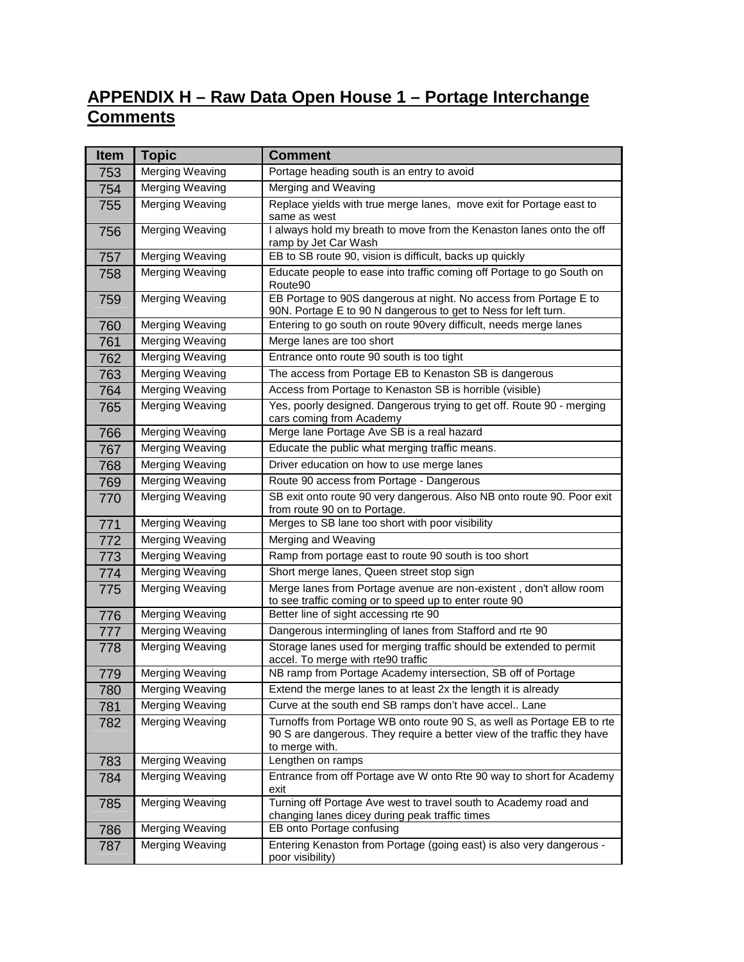## **APPENDIX H – Raw Data Open House 1 – Portage Interchange Comments**

| <b>Item</b> | <b>Topic</b>           | <b>Comment</b>                                                                                                                                                      |
|-------------|------------------------|---------------------------------------------------------------------------------------------------------------------------------------------------------------------|
| 753         | Merging Weaving        | Portage heading south is an entry to avoid                                                                                                                          |
| 754         | Merging Weaving        | Merging and Weaving                                                                                                                                                 |
| 755         | Merging Weaving        | Replace yields with true merge lanes, move exit for Portage east to<br>same as west                                                                                 |
| 756         | Merging Weaving        | I always hold my breath to move from the Kenaston lanes onto the off<br>ramp by Jet Car Wash                                                                        |
| 757         | <b>Merging Weaving</b> | EB to SB route 90, vision is difficult, backs up quickly                                                                                                            |
| 758         | Merging Weaving        | Educate people to ease into traffic coming off Portage to go South on<br>Route90                                                                                    |
| 759         | <b>Merging Weaving</b> | EB Portage to 90S dangerous at night. No access from Portage E to<br>90N. Portage E to 90 N dangerous to get to Ness for left turn.                                 |
| 760         | Merging Weaving        | Entering to go south on route 90very difficult, needs merge lanes                                                                                                   |
| 761         | Merging Weaving        | Merge lanes are too short                                                                                                                                           |
| 762         | <b>Merging Weaving</b> | Entrance onto route 90 south is too tight                                                                                                                           |
| 763         | Merging Weaving        | The access from Portage EB to Kenaston SB is dangerous                                                                                                              |
| 764         | Merging Weaving        | Access from Portage to Kenaston SB is horrible (visible)                                                                                                            |
| 765         | Merging Weaving        | Yes, poorly designed. Dangerous trying to get off. Route 90 - merging<br>cars coming from Academy                                                                   |
| 766         | Merging Weaving        | Merge lane Portage Ave SB is a real hazard                                                                                                                          |
| 767         | Merging Weaving        | Educate the public what merging traffic means.                                                                                                                      |
| 768         | Merging Weaving        | Driver education on how to use merge lanes                                                                                                                          |
| 769         | <b>Merging Weaving</b> | Route 90 access from Portage - Dangerous                                                                                                                            |
| 770         | Merging Weaving        | SB exit onto route 90 very dangerous. Also NB onto route 90. Poor exit<br>from route 90 on to Portage.                                                              |
| 771         | Merging Weaving        | Merges to SB lane too short with poor visibility                                                                                                                    |
| 772         | Merging Weaving        | Merging and Weaving                                                                                                                                                 |
| 773         | Merging Weaving        | Ramp from portage east to route 90 south is too short                                                                                                               |
| 774         | Merging Weaving        | Short merge lanes, Queen street stop sign                                                                                                                           |
| 775         | <b>Merging Weaving</b> | Merge lanes from Portage avenue are non-existent, don't allow room<br>to see traffic coming or to speed up to enter route 90                                        |
| 776         | Merging Weaving        | Better line of sight accessing rte 90                                                                                                                               |
| 777         | Merging Weaving        | Dangerous intermingling of lanes from Stafford and rte 90                                                                                                           |
| 778         | Merging Weaving        | Storage lanes used for merging traffic should be extended to permit<br>accel. To merge with rte90 traffic                                                           |
| 779         | Merging Weaving        | NB ramp from Portage Academy intersection, SB off of Portage                                                                                                        |
| 780         | Merging Weaving        | Extend the merge lanes to at least 2x the length it is already                                                                                                      |
| 781         | Merging Weaving        | Curve at the south end SB ramps don't have accel Lane                                                                                                               |
| 782         | Merging Weaving        | Turnoffs from Portage WB onto route 90 S, as well as Portage EB to rte<br>90 S are dangerous. They require a better view of the traffic they have<br>to merge with. |
| 783         | Merging Weaving        | Lengthen on ramps                                                                                                                                                   |
| 784         | Merging Weaving        | Entrance from off Portage ave W onto Rte 90 way to short for Academy<br>exit                                                                                        |
| 785         | Merging Weaving        | Turning off Portage Ave west to travel south to Academy road and<br>changing lanes dicey during peak traffic times                                                  |
| 786         | Merging Weaving        | EB onto Portage confusing                                                                                                                                           |
| 787         | Merging Weaving        | Entering Kenaston from Portage (going east) is also very dangerous -<br>poor visibility)                                                                            |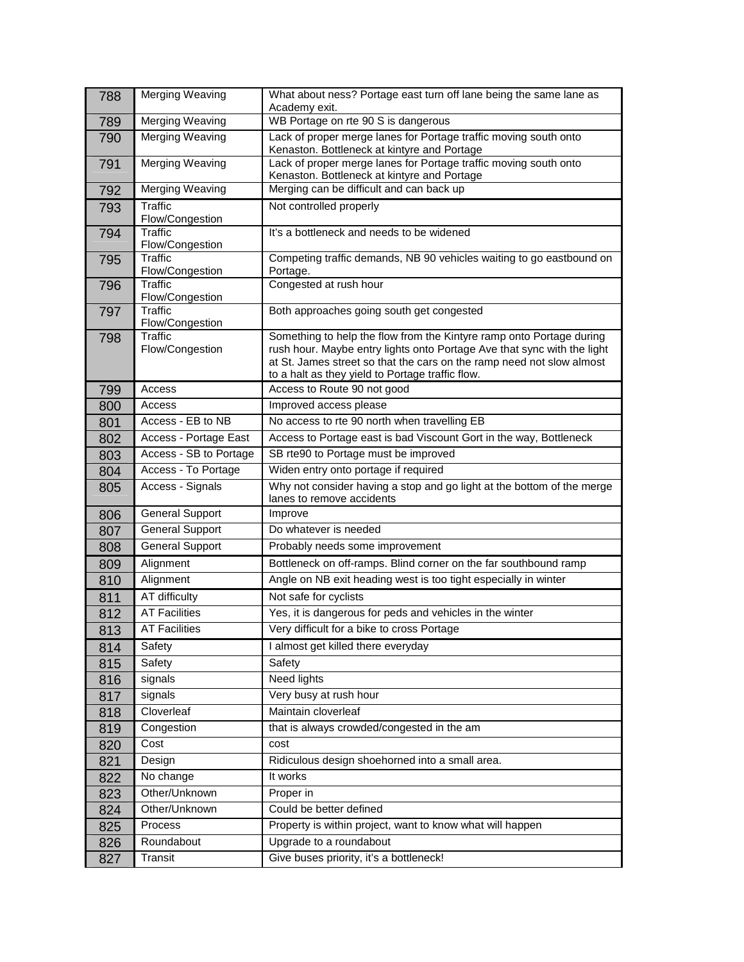| 788        | <b>Merging Weaving</b>            | What about ness? Portage east turn off lane being the same lane as<br>Academy exit.                                                                                                                                                                                          |
|------------|-----------------------------------|------------------------------------------------------------------------------------------------------------------------------------------------------------------------------------------------------------------------------------------------------------------------------|
| 789        | Merging Weaving                   | WB Portage on rte 90 S is dangerous                                                                                                                                                                                                                                          |
| 790        | <b>Merging Weaving</b>            | Lack of proper merge lanes for Portage traffic moving south onto<br>Kenaston. Bottleneck at kintyre and Portage                                                                                                                                                              |
| 791        | Merging Weaving                   | Lack of proper merge lanes for Portage traffic moving south onto<br>Kenaston. Bottleneck at kintyre and Portage                                                                                                                                                              |
| 792        | Merging Weaving                   | Merging can be difficult and can back up                                                                                                                                                                                                                                     |
| 793        | <b>Traffic</b><br>Flow/Congestion | Not controlled properly                                                                                                                                                                                                                                                      |
| 794        | <b>Traffic</b><br>Flow/Congestion | It's a bottleneck and needs to be widened                                                                                                                                                                                                                                    |
| 795        | <b>Traffic</b><br>Flow/Congestion | Competing traffic demands, NB 90 vehicles waiting to go eastbound on<br>Portage.                                                                                                                                                                                             |
| 796        | <b>Traffic</b><br>Flow/Congestion | Congested at rush hour                                                                                                                                                                                                                                                       |
| 797        | <b>Traffic</b><br>Flow/Congestion | Both approaches going south get congested                                                                                                                                                                                                                                    |
| 798        | <b>Traffic</b><br>Flow/Congestion | Something to help the flow from the Kintyre ramp onto Portage during<br>rush hour. Maybe entry lights onto Portage Ave that sync with the light<br>at St. James street so that the cars on the ramp need not slow almost<br>to a halt as they yield to Portage traffic flow. |
| 799        | Access                            | Access to Route 90 not good                                                                                                                                                                                                                                                  |
| 800        | Access                            | Improved access please                                                                                                                                                                                                                                                       |
| 801        | Access - EB to NB                 | No access to rte 90 north when travelling EB                                                                                                                                                                                                                                 |
| 802        | Access - Portage East             | Access to Portage east is bad Viscount Gort in the way, Bottleneck                                                                                                                                                                                                           |
| 803        | Access - SB to Portage            | SB rte90 to Portage must be improved                                                                                                                                                                                                                                         |
| 804        | Access - To Portage               | Widen entry onto portage if required                                                                                                                                                                                                                                         |
| 805        | Access - Signals                  | Why not consider having a stop and go light at the bottom of the merge<br>lanes to remove accidents                                                                                                                                                                          |
| 806        | <b>General Support</b>            | Improve                                                                                                                                                                                                                                                                      |
| 807        | <b>General Support</b>            | Do whatever is needed                                                                                                                                                                                                                                                        |
| 808        | <b>General Support</b>            | Probably needs some improvement                                                                                                                                                                                                                                              |
| 809        | Alignment                         | Bottleneck on off-ramps. Blind corner on the far southbound ramp                                                                                                                                                                                                             |
| 810        | Alignment                         | Angle on NB exit heading west is too tight especially in winter                                                                                                                                                                                                              |
| 811        | AT difficulty                     | Not safe for cyclists                                                                                                                                                                                                                                                        |
| 812        | <b>AT Facilities</b>              | Yes, it is dangerous for peds and vehicles in the winter                                                                                                                                                                                                                     |
| 813        | <b>AT Facilities</b>              | Very difficult for a bike to cross Portage                                                                                                                                                                                                                                   |
| 814        | Safety                            | I almost get killed there everyday                                                                                                                                                                                                                                           |
| 815        | Safety                            | Safety                                                                                                                                                                                                                                                                       |
| 816        | signals                           | Need lights                                                                                                                                                                                                                                                                  |
| 817        | signals                           | Very busy at rush hour                                                                                                                                                                                                                                                       |
| 818        | Cloverleaf                        | Maintain cloverleaf                                                                                                                                                                                                                                                          |
| 819        | Congestion                        | that is always crowded/congested in the am                                                                                                                                                                                                                                   |
| 820        | Cost                              | cost                                                                                                                                                                                                                                                                         |
| 821        |                                   |                                                                                                                                                                                                                                                                              |
|            | Design                            | Ridiculous design shoehorned into a small area.                                                                                                                                                                                                                              |
| 822        | No change                         | It works                                                                                                                                                                                                                                                                     |
| 823        | Other/Unknown                     | Proper in                                                                                                                                                                                                                                                                    |
| 824        | Other/Unknown                     | Could be better defined                                                                                                                                                                                                                                                      |
| 825        | Process                           | Property is within project, want to know what will happen                                                                                                                                                                                                                    |
| 826<br>827 | Roundabout<br>Transit             | Upgrade to a roundabout<br>Give buses priority, it's a bottleneck!                                                                                                                                                                                                           |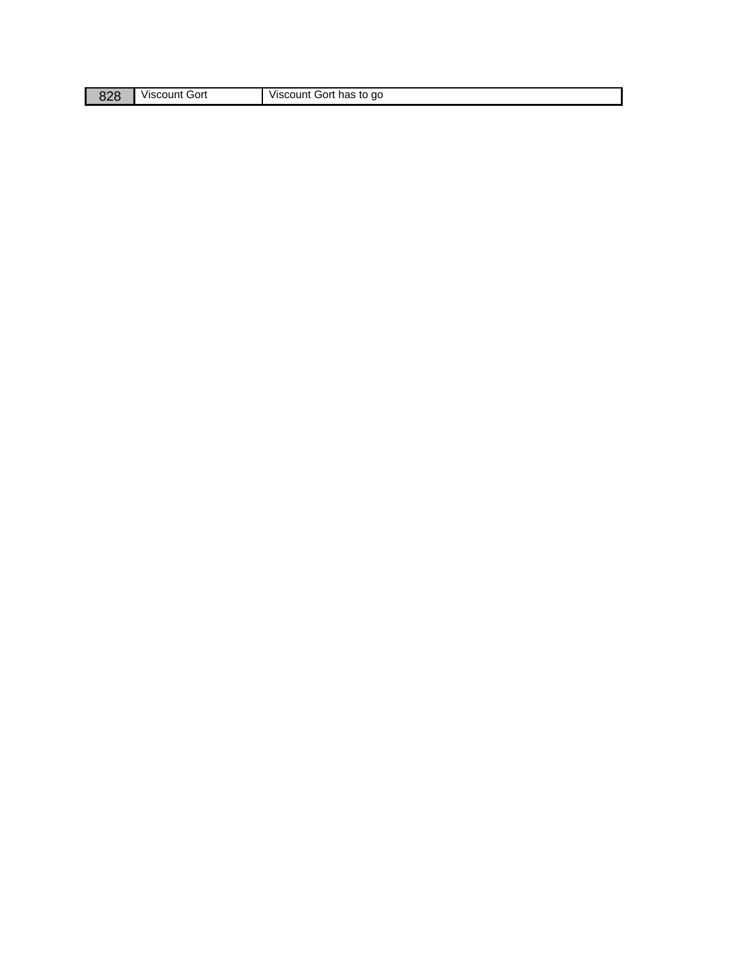| o∠o | Gort<br>Viscount | Viscount Gort has to go |
|-----|------------------|-------------------------|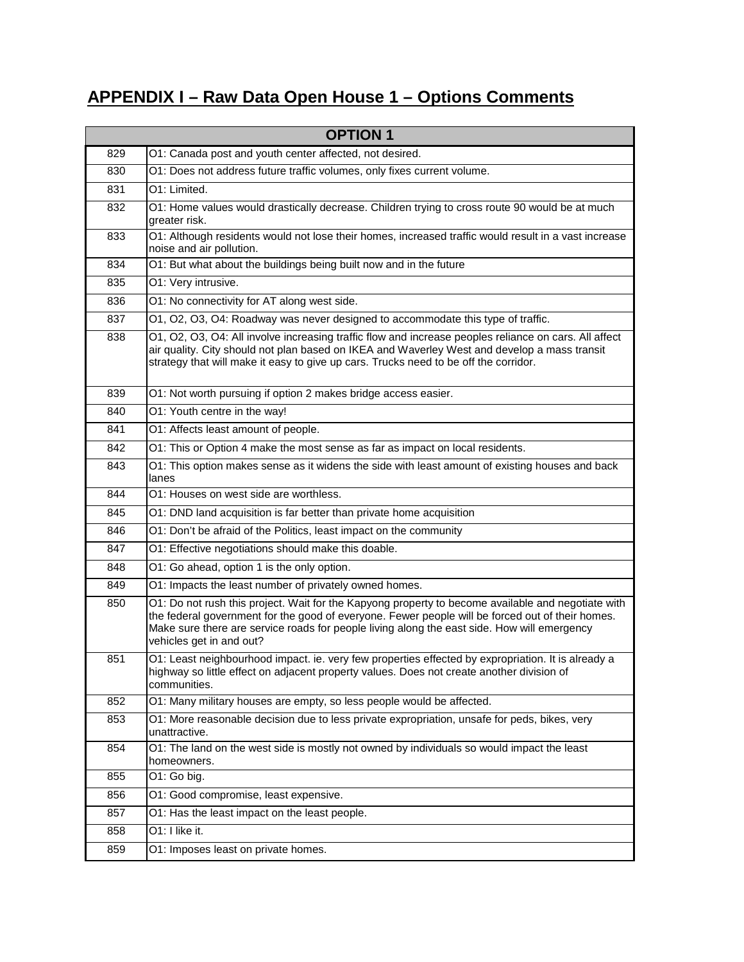## **APPENDIX I – Raw Data Open House 1 – Options Comments**

|     | <b>OPTION 1</b>                                                                                                                                                                                                                                                                                                                   |
|-----|-----------------------------------------------------------------------------------------------------------------------------------------------------------------------------------------------------------------------------------------------------------------------------------------------------------------------------------|
| 829 | O1: Canada post and youth center affected, not desired.                                                                                                                                                                                                                                                                           |
| 830 | O1: Does not address future traffic volumes, only fixes current volume.                                                                                                                                                                                                                                                           |
| 831 | O1: Limited.                                                                                                                                                                                                                                                                                                                      |
| 832 | O1: Home values would drastically decrease. Children trying to cross route 90 would be at much<br>greater risk.                                                                                                                                                                                                                   |
| 833 | O1: Although residents would not lose their homes, increased traffic would result in a vast increase<br>noise and air pollution.                                                                                                                                                                                                  |
| 834 | O1: But what about the buildings being built now and in the future                                                                                                                                                                                                                                                                |
| 835 | O1: Very intrusive.                                                                                                                                                                                                                                                                                                               |
| 836 | O1: No connectivity for AT along west side.                                                                                                                                                                                                                                                                                       |
| 837 | O1, O2, O3, O4: Roadway was never designed to accommodate this type of traffic.                                                                                                                                                                                                                                                   |
| 838 | O1, O2, O3, O4: All involve increasing traffic flow and increase peoples reliance on cars. All affect<br>air quality. City should not plan based on IKEA and Waverley West and develop a mass transit<br>strategy that will make it easy to give up cars. Trucks need to be off the corridor.                                     |
| 839 | O1: Not worth pursuing if option 2 makes bridge access easier.                                                                                                                                                                                                                                                                    |
| 840 | O1: Youth centre in the way!                                                                                                                                                                                                                                                                                                      |
| 841 | O1: Affects least amount of people.                                                                                                                                                                                                                                                                                               |
| 842 | O1: This or Option 4 make the most sense as far as impact on local residents.                                                                                                                                                                                                                                                     |
| 843 | O1: This option makes sense as it widens the side with least amount of existing houses and back<br>lanes                                                                                                                                                                                                                          |
| 844 | O1: Houses on west side are worthless.                                                                                                                                                                                                                                                                                            |
| 845 | O1: DND land acquisition is far better than private home acquisition                                                                                                                                                                                                                                                              |
| 846 | O1: Don't be afraid of the Politics, least impact on the community                                                                                                                                                                                                                                                                |
| 847 | O1: Effective negotiations should make this doable.                                                                                                                                                                                                                                                                               |
| 848 | O1: Go ahead, option 1 is the only option.                                                                                                                                                                                                                                                                                        |
| 849 | O1: Impacts the least number of privately owned homes.                                                                                                                                                                                                                                                                            |
| 850 | O1: Do not rush this project. Wait for the Kapyong property to become available and negotiate with<br>the federal government for the good of everyone. Fewer people will be forced out of their homes.<br>Make sure there are service roads for people living along the east side. How will emergency<br>vehicles get in and out? |
| 851 | O1: Least neighbourhood impact. ie. very few properties effected by expropriation. It is already a<br>highway so little effect on adjacent property values. Does not create another division of<br>communities.                                                                                                                   |
| 852 | O1: Many military houses are empty, so less people would be affected.                                                                                                                                                                                                                                                             |
| 853 | O1: More reasonable decision due to less private expropriation, unsafe for peds, bikes, very<br>unattractive.                                                                                                                                                                                                                     |
| 854 | O1: The land on the west side is mostly not owned by individuals so would impact the least<br>homeowners.                                                                                                                                                                                                                         |
| 855 | O1: Go big.                                                                                                                                                                                                                                                                                                                       |
| 856 | O1: Good compromise, least expensive.                                                                                                                                                                                                                                                                                             |
| 857 | O1: Has the least impact on the least people.                                                                                                                                                                                                                                                                                     |
| 858 | O1: I like it.                                                                                                                                                                                                                                                                                                                    |
| 859 | O1: Imposes least on private homes.                                                                                                                                                                                                                                                                                               |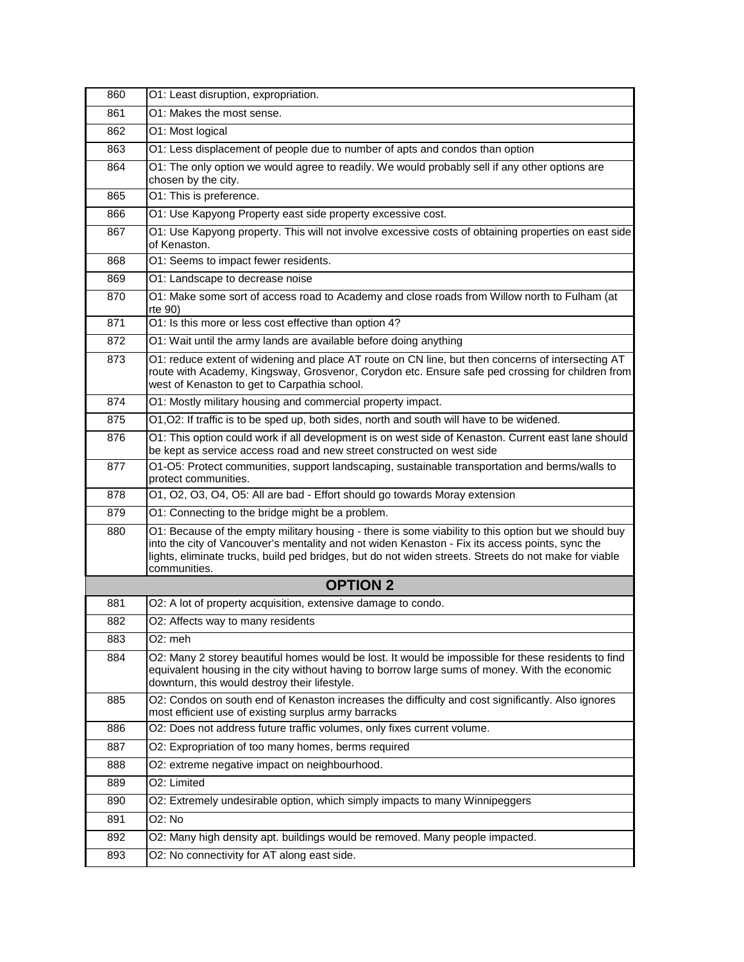| 860 | O1: Least disruption, expropriation.                                                                                                                                                                                                                                                                                             |
|-----|----------------------------------------------------------------------------------------------------------------------------------------------------------------------------------------------------------------------------------------------------------------------------------------------------------------------------------|
| 861 | O1: Makes the most sense.                                                                                                                                                                                                                                                                                                        |
| 862 | O1: Most logical                                                                                                                                                                                                                                                                                                                 |
| 863 | O1: Less displacement of people due to number of apts and condos than option                                                                                                                                                                                                                                                     |
| 864 | O1: The only option we would agree to readily. We would probably sell if any other options are<br>chosen by the city.                                                                                                                                                                                                            |
| 865 | O1: This is preference.                                                                                                                                                                                                                                                                                                          |
| 866 | O1: Use Kapyong Property east side property excessive cost.                                                                                                                                                                                                                                                                      |
| 867 | O1: Use Kapyong property. This will not involve excessive costs of obtaining properties on east side<br>of Kenaston.                                                                                                                                                                                                             |
| 868 | O1: Seems to impact fewer residents.                                                                                                                                                                                                                                                                                             |
| 869 | O1: Landscape to decrease noise                                                                                                                                                                                                                                                                                                  |
| 870 | O1: Make some sort of access road to Academy and close roads from Willow north to Fulham (at<br>rte 90)                                                                                                                                                                                                                          |
| 871 | O1: Is this more or less cost effective than option 4?                                                                                                                                                                                                                                                                           |
| 872 | O1: Wait until the army lands are available before doing anything                                                                                                                                                                                                                                                                |
| 873 | O1: reduce extent of widening and place AT route on CN line, but then concerns of intersecting AT<br>route with Academy, Kingsway, Grosvenor, Corydon etc. Ensure safe ped crossing for children from<br>west of Kenaston to get to Carpathia school.                                                                            |
| 874 | O1: Mostly military housing and commercial property impact.                                                                                                                                                                                                                                                                      |
| 875 | O1, O2: If traffic is to be sped up, both sides, north and south will have to be widened.                                                                                                                                                                                                                                        |
| 876 | O1: This option could work if all development is on west side of Kenaston. Current east lane should<br>be kept as service access road and new street constructed on west side                                                                                                                                                    |
| 877 | O1-O5: Protect communities, support landscaping, sustainable transportation and berms/walls to<br>protect communities.                                                                                                                                                                                                           |
| 878 | O1, O2, O3, O4, O5: All are bad - Effort should go towards Moray extension                                                                                                                                                                                                                                                       |
| 879 | O1: Connecting to the bridge might be a problem.                                                                                                                                                                                                                                                                                 |
| 880 | O1: Because of the empty military housing - there is some viability to this option but we should buy<br>into the city of Vancouver's mentality and not widen Kenaston - Fix its access points, sync the<br>lights, eliminate trucks, build ped bridges, but do not widen streets. Streets do not make for viable<br>communities. |
|     | <b>OPTION 2</b>                                                                                                                                                                                                                                                                                                                  |
| 881 | O2: A lot of property acquisition, extensive damage to condo.                                                                                                                                                                                                                                                                    |
| 882 | O2: Affects way to many residents                                                                                                                                                                                                                                                                                                |
| 883 | O2: meh                                                                                                                                                                                                                                                                                                                          |
| 884 | O2: Many 2 storey beautiful homes would be lost. It would be impossible for these residents to find<br>equivalent housing in the city without having to borrow large sums of money. With the economic<br>downturn, this would destroy their lifestyle.                                                                           |
| 885 | O2: Condos on south end of Kenaston increases the difficulty and cost significantly. Also ignores<br>most efficient use of existing surplus army barracks                                                                                                                                                                        |
| 886 | O2: Does not address future traffic volumes, only fixes current volume.                                                                                                                                                                                                                                                          |
| 887 | O2: Expropriation of too many homes, berms required                                                                                                                                                                                                                                                                              |
| 888 | O2: extreme negative impact on neighbourhood.                                                                                                                                                                                                                                                                                    |
| 889 | O2: Limited                                                                                                                                                                                                                                                                                                                      |
| 890 | O2: Extremely undesirable option, which simply impacts to many Winnipeggers                                                                                                                                                                                                                                                      |
| 891 | O2: No                                                                                                                                                                                                                                                                                                                           |
| 892 | O2: Many high density apt. buildings would be removed. Many people impacted.                                                                                                                                                                                                                                                     |
| 893 | O2: No connectivity for AT along east side.                                                                                                                                                                                                                                                                                      |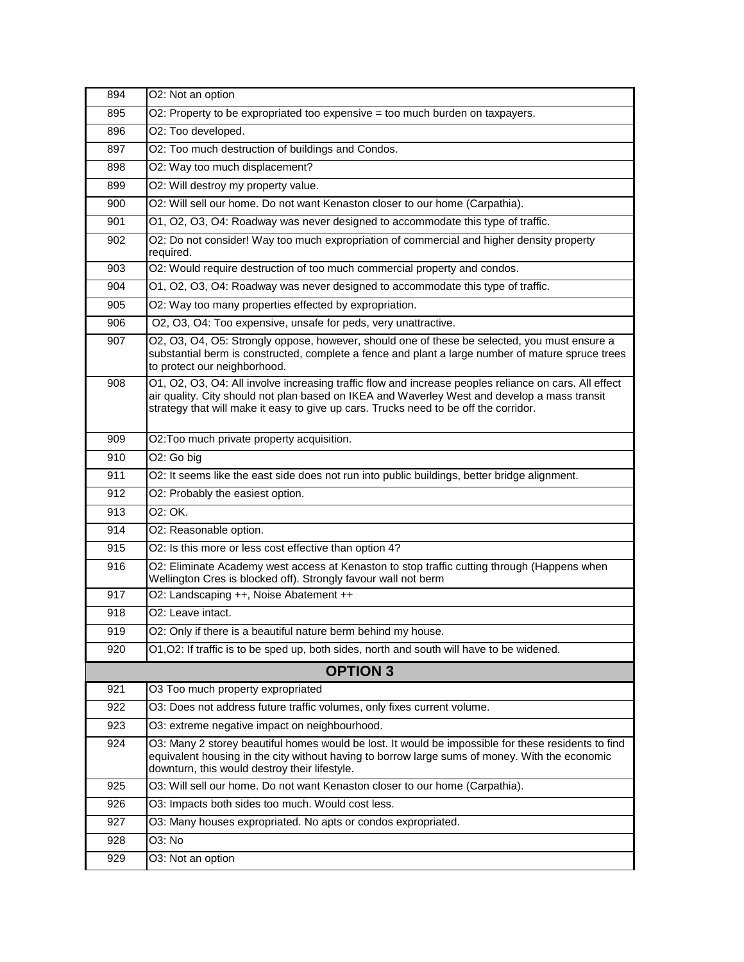| 894 | O2: Not an option                                                                                                                                                                                                                                                                             |
|-----|-----------------------------------------------------------------------------------------------------------------------------------------------------------------------------------------------------------------------------------------------------------------------------------------------|
| 895 | O2: Property to be expropriated too expensive = too much burden on taxpayers.                                                                                                                                                                                                                 |
| 896 | O2: Too developed.                                                                                                                                                                                                                                                                            |
| 897 | O2: Too much destruction of buildings and Condos.                                                                                                                                                                                                                                             |
| 898 | O2: Way too much displacement?                                                                                                                                                                                                                                                                |
| 899 | O2: Will destroy my property value.                                                                                                                                                                                                                                                           |
| 900 | O2: Will sell our home. Do not want Kenaston closer to our home (Carpathia).                                                                                                                                                                                                                  |
| 901 | O1, O2, O3, O4: Roadway was never designed to accommodate this type of traffic.                                                                                                                                                                                                               |
| 902 | O2: Do not consider! Way too much expropriation of commercial and higher density property<br>required.                                                                                                                                                                                        |
| 903 | O2: Would require destruction of too much commercial property and condos.                                                                                                                                                                                                                     |
| 904 | O1, O2, O3, O4: Roadway was never designed to accommodate this type of traffic.                                                                                                                                                                                                               |
| 905 | O2: Way too many properties effected by expropriation.                                                                                                                                                                                                                                        |
| 906 | O2, O3, O4: Too expensive, unsafe for peds, very unattractive.                                                                                                                                                                                                                                |
| 907 | O2, O3, O4, O5: Strongly oppose, however, should one of these be selected, you must ensure a<br>substantial berm is constructed, complete a fence and plant a large number of mature spruce trees<br>to protect our neighborhood.                                                             |
| 908 | O1, O2, O3, O4: All involve increasing traffic flow and increase peoples reliance on cars. All effect<br>air quality. City should not plan based on IKEA and Waverley West and develop a mass transit<br>strategy that will make it easy to give up cars. Trucks need to be off the corridor. |
| 909 | O2: Too much private property acquisition.                                                                                                                                                                                                                                                    |
| 910 | O <sub>2</sub> : Go big                                                                                                                                                                                                                                                                       |
| 911 | O2: It seems like the east side does not run into public buildings, better bridge alignment.                                                                                                                                                                                                  |
| 912 | O2: Probably the easiest option.                                                                                                                                                                                                                                                              |
| 913 | 02: OK.                                                                                                                                                                                                                                                                                       |
| 914 | O2: Reasonable option.                                                                                                                                                                                                                                                                        |
| 915 | O2: Is this more or less cost effective than option 4?                                                                                                                                                                                                                                        |
| 916 | O2: Eliminate Academy west access at Kenaston to stop traffic cutting through (Happens when<br>Wellington Cres is blocked off). Strongly favour wall not berm                                                                                                                                 |
| 917 | O2: Landscaping ++, Noise Abatement ++                                                                                                                                                                                                                                                        |
| 918 | O2: Leave intact.                                                                                                                                                                                                                                                                             |
| 919 | O2: Only if there is a beautiful nature berm behind my house.                                                                                                                                                                                                                                 |
| 920 | O1, O2: If traffic is to be sped up, both sides, north and south will have to be widened.                                                                                                                                                                                                     |
|     | <b>OPTION 3</b>                                                                                                                                                                                                                                                                               |
| 921 | O3 Too much property expropriated                                                                                                                                                                                                                                                             |
| 922 | O3: Does not address future traffic volumes, only fixes current volume.                                                                                                                                                                                                                       |
| 923 | O3: extreme negative impact on neighbourhood.                                                                                                                                                                                                                                                 |
| 924 | O3: Many 2 storey beautiful homes would be lost. It would be impossible for these residents to find<br>equivalent housing in the city without having to borrow large sums of money. With the economic<br>downturn, this would destroy their lifestyle.                                        |
| 925 | O3: Will sell our home. Do not want Kenaston closer to our home (Carpathia).                                                                                                                                                                                                                  |
| 926 | O3: Impacts both sides too much. Would cost less.                                                                                                                                                                                                                                             |
| 927 | O3: Many houses expropriated. No apts or condos expropriated.                                                                                                                                                                                                                                 |
| 928 | O3: No                                                                                                                                                                                                                                                                                        |
| 929 | O3: Not an option                                                                                                                                                                                                                                                                             |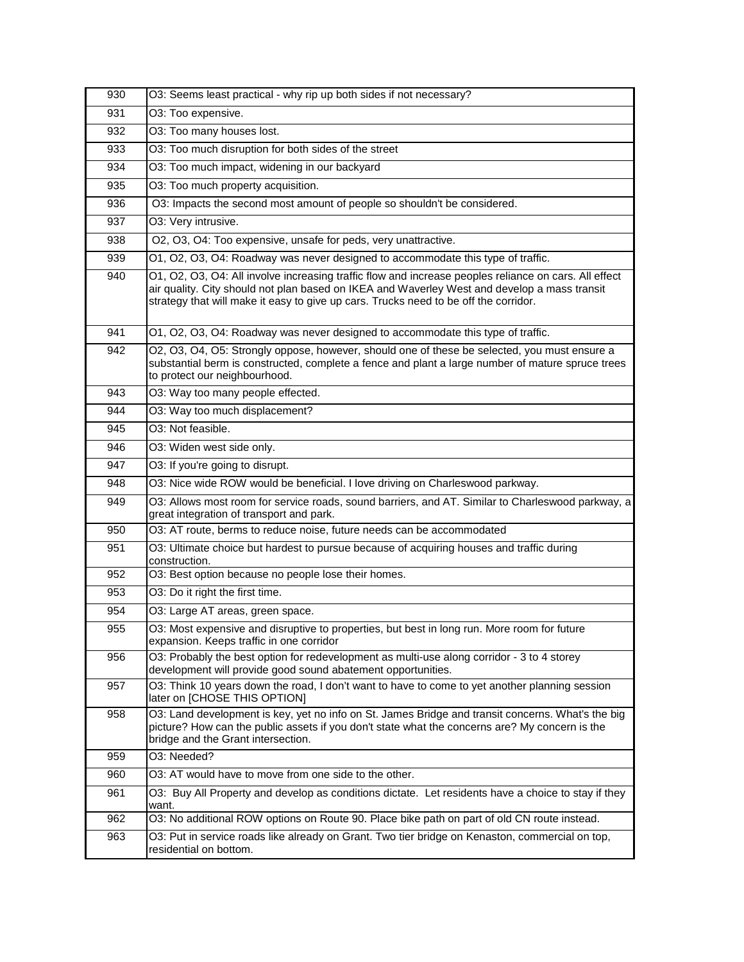| 930 | O3: Seems least practical - why rip up both sides if not necessary?                                                                                                                                                                                                                           |
|-----|-----------------------------------------------------------------------------------------------------------------------------------------------------------------------------------------------------------------------------------------------------------------------------------------------|
| 931 | O3: Too expensive.                                                                                                                                                                                                                                                                            |
| 932 | O3: Too many houses lost.                                                                                                                                                                                                                                                                     |
| 933 | O3: Too much disruption for both sides of the street                                                                                                                                                                                                                                          |
| 934 | O3: Too much impact, widening in our backyard                                                                                                                                                                                                                                                 |
| 935 | O3: Too much property acquisition.                                                                                                                                                                                                                                                            |
| 936 | O3: Impacts the second most amount of people so shouldn't be considered.                                                                                                                                                                                                                      |
| 937 | O3: Very intrusive.                                                                                                                                                                                                                                                                           |
| 938 | O2, O3, O4: Too expensive, unsafe for peds, very unattractive.                                                                                                                                                                                                                                |
| 939 | O1, O2, O3, O4: Roadway was never designed to accommodate this type of traffic.                                                                                                                                                                                                               |
| 940 | O1, O2, O3, O4: All involve increasing traffic flow and increase peoples reliance on cars. All effect<br>air quality. City should not plan based on IKEA and Waverley West and develop a mass transit<br>strategy that will make it easy to give up cars. Trucks need to be off the corridor. |
| 941 | O1, O2, O3, O4: Roadway was never designed to accommodate this type of traffic.                                                                                                                                                                                                               |
| 942 | O2, O3, O4, O5: Strongly oppose, however, should one of these be selected, you must ensure a<br>substantial berm is constructed, complete a fence and plant a large number of mature spruce trees<br>to protect our neighbourhood.                                                            |
| 943 | O3: Way too many people effected.                                                                                                                                                                                                                                                             |
| 944 | O3: Way too much displacement?                                                                                                                                                                                                                                                                |
| 945 | O3: Not feasible.                                                                                                                                                                                                                                                                             |
| 946 | O3: Widen west side only.                                                                                                                                                                                                                                                                     |
| 947 | O3: If you're going to disrupt.                                                                                                                                                                                                                                                               |
| 948 | O3: Nice wide ROW would be beneficial. I love driving on Charleswood parkway.                                                                                                                                                                                                                 |
| 949 | O3: Allows most room for service roads, sound barriers, and AT. Similar to Charleswood parkway, a<br>great integration of transport and park.                                                                                                                                                 |
| 950 | O3: AT route, berms to reduce noise, future needs can be accommodated                                                                                                                                                                                                                         |
| 951 | O3: Ultimate choice but hardest to pursue because of acquiring houses and traffic during<br>construction.                                                                                                                                                                                     |
| 952 | O3: Best option because no people lose their homes.                                                                                                                                                                                                                                           |
| 953 | O3: Do it right the first time.                                                                                                                                                                                                                                                               |
| 954 | O3: Large AT areas, green space.                                                                                                                                                                                                                                                              |
| 955 | O3: Most expensive and disruptive to properties, but best in long run. More room for future<br>expansion. Keeps traffic in one corridor                                                                                                                                                       |
| 956 | O3: Probably the best option for redevelopment as multi-use along corridor - 3 to 4 storey<br>development will provide good sound abatement opportunities.                                                                                                                                    |
| 957 | O3: Think 10 years down the road, I don't want to have to come to yet another planning session<br>later on [CHOSE THIS OPTION]                                                                                                                                                                |
| 958 | O3: Land development is key, yet no info on St. James Bridge and transit concerns. What's the big<br>picture? How can the public assets if you don't state what the concerns are? My concern is the<br>bridge and the Grant intersection.                                                     |
| 959 | O3: Needed?                                                                                                                                                                                                                                                                                   |
| 960 | O3: AT would have to move from one side to the other.                                                                                                                                                                                                                                         |
| 961 | O3: Buy All Property and develop as conditions dictate. Let residents have a choice to stay if they<br>want.                                                                                                                                                                                  |
| 962 | O3: No additional ROW options on Route 90. Place bike path on part of old CN route instead.                                                                                                                                                                                                   |
| 963 | O3: Put in service roads like already on Grant. Two tier bridge on Kenaston, commercial on top,                                                                                                                                                                                               |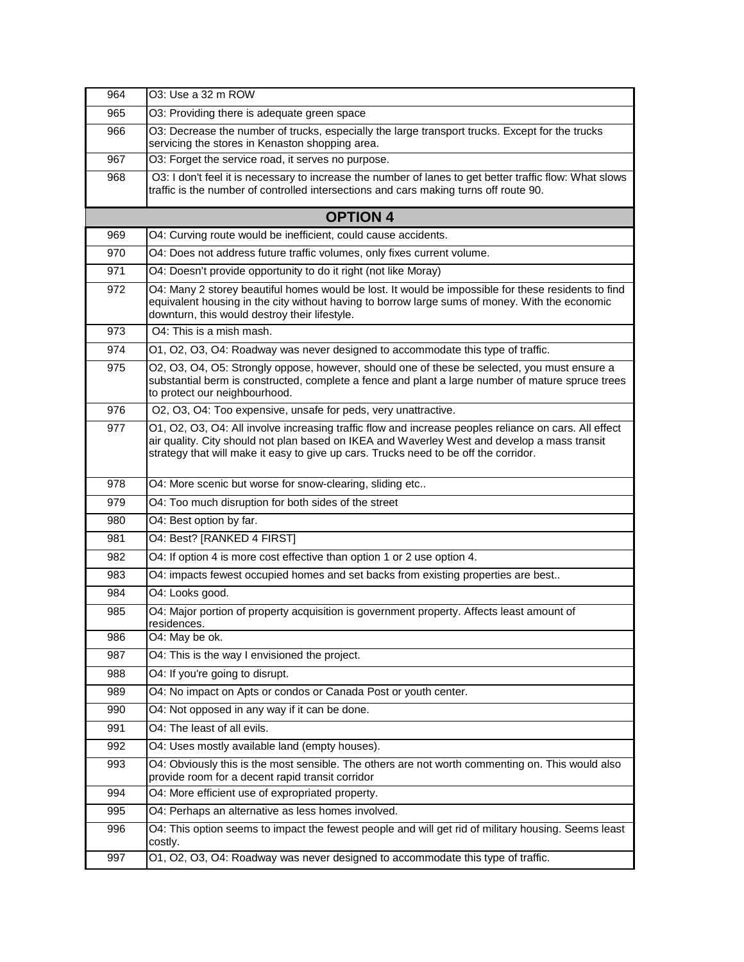| 964 | O3: Use a 32 m ROW                                                                                                                                                                                                                                                                            |
|-----|-----------------------------------------------------------------------------------------------------------------------------------------------------------------------------------------------------------------------------------------------------------------------------------------------|
| 965 | O3: Providing there is adequate green space                                                                                                                                                                                                                                                   |
| 966 | O3: Decrease the number of trucks, especially the large transport trucks. Except for the trucks<br>servicing the stores in Kenaston shopping area.                                                                                                                                            |
| 967 | O3: Forget the service road, it serves no purpose.                                                                                                                                                                                                                                            |
| 968 | O3: I don't feel it is necessary to increase the number of lanes to get better traffic flow: What slows<br>traffic is the number of controlled intersections and cars making turns off route 90.                                                                                              |
|     | <b>OPTION 4</b>                                                                                                                                                                                                                                                                               |
| 969 | O4: Curving route would be inefficient, could cause accidents.                                                                                                                                                                                                                                |
| 970 | O4: Does not address future traffic volumes, only fixes current volume.                                                                                                                                                                                                                       |
| 971 | O4: Doesn't provide opportunity to do it right (not like Moray)                                                                                                                                                                                                                               |
| 972 | O4: Many 2 storey beautiful homes would be lost. It would be impossible for these residents to find<br>equivalent housing in the city without having to borrow large sums of money. With the economic<br>downturn, this would destroy their lifestyle.                                        |
| 973 | O4: This is a mish mash.                                                                                                                                                                                                                                                                      |
| 974 | O1, O2, O3, O4: Roadway was never designed to accommodate this type of traffic.                                                                                                                                                                                                               |
| 975 | O2, O3, O4, O5: Strongly oppose, however, should one of these be selected, you must ensure a<br>substantial berm is constructed, complete a fence and plant a large number of mature spruce trees<br>to protect our neighbourhood.                                                            |
| 976 | O2, O3, O4: Too expensive, unsafe for peds, very unattractive.                                                                                                                                                                                                                                |
| 977 | O1, O2, O3, O4: All involve increasing traffic flow and increase peoples reliance on cars. All effect<br>air quality. City should not plan based on IKEA and Waverley West and develop a mass transit<br>strategy that will make it easy to give up cars. Trucks need to be off the corridor. |
| 978 | O4: More scenic but worse for snow-clearing, sliding etc                                                                                                                                                                                                                                      |
| 979 | O4: Too much disruption for both sides of the street                                                                                                                                                                                                                                          |
| 980 | O4: Best option by far.                                                                                                                                                                                                                                                                       |
| 981 | O4: Best? [RANKED 4 FIRST]                                                                                                                                                                                                                                                                    |
| 982 | O4: If option 4 is more cost effective than option 1 or 2 use option 4.                                                                                                                                                                                                                       |
| 983 | O4: impacts fewest occupied homes and set backs from existing properties are best                                                                                                                                                                                                             |
| 984 | O4: Looks good.                                                                                                                                                                                                                                                                               |
| 985 | O4: Major portion of property acquisition is government property. Affects least amount of<br>residences.                                                                                                                                                                                      |
| 986 | O4: May be ok.                                                                                                                                                                                                                                                                                |
| 987 | O4: This is the way I envisioned the project.                                                                                                                                                                                                                                                 |
| 988 | O4: If you're going to disrupt.                                                                                                                                                                                                                                                               |
| 989 | O4: No impact on Apts or condos or Canada Post or youth center.                                                                                                                                                                                                                               |
| 990 | O4: Not opposed in any way if it can be done.                                                                                                                                                                                                                                                 |
| 991 | O4: The least of all evils.                                                                                                                                                                                                                                                                   |
| 992 | O4: Uses mostly available land (empty houses).                                                                                                                                                                                                                                                |
| 993 | O4: Obviously this is the most sensible. The others are not worth commenting on. This would also<br>provide room for a decent rapid transit corridor                                                                                                                                          |
| 994 | O4: More efficient use of expropriated property.                                                                                                                                                                                                                                              |
| 995 | O4: Perhaps an alternative as less homes involved.                                                                                                                                                                                                                                            |
| 996 | O4: This option seems to impact the fewest people and will get rid of military housing. Seems least<br>costly.                                                                                                                                                                                |
| 997 | O1, O2, O3, O4: Roadway was never designed to accommodate this type of traffic.                                                                                                                                                                                                               |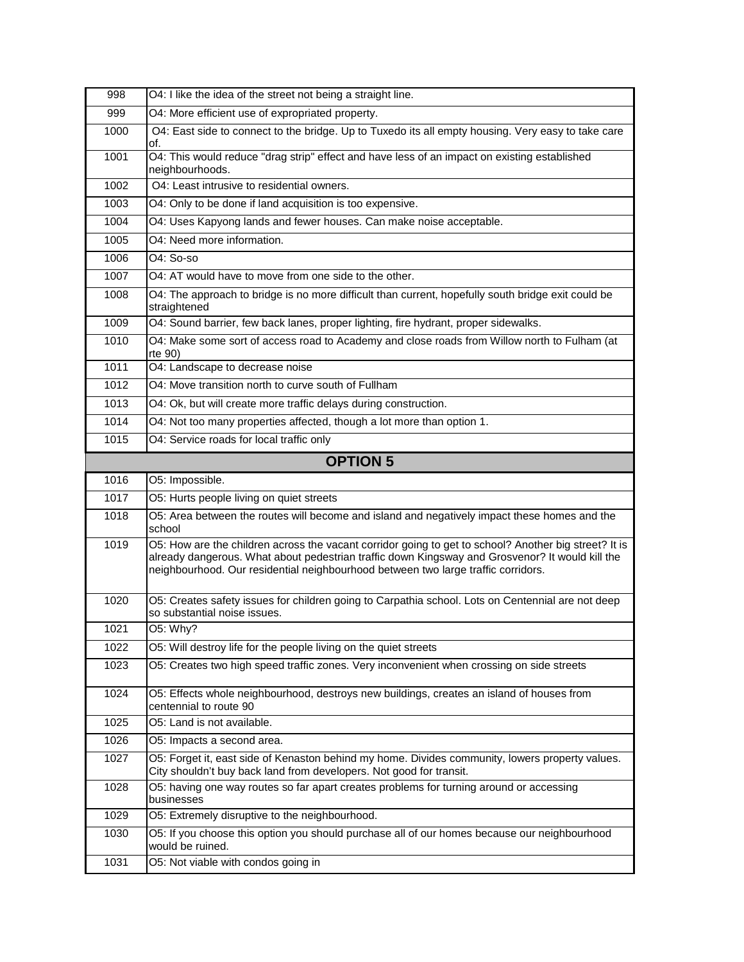| 998  | O4: I like the idea of the street not being a straight line.                                                                                                                                                                                                                                  |
|------|-----------------------------------------------------------------------------------------------------------------------------------------------------------------------------------------------------------------------------------------------------------------------------------------------|
| 999  | O4: More efficient use of expropriated property.                                                                                                                                                                                                                                              |
| 1000 | O4: East side to connect to the bridge. Up to Tuxedo its all empty housing. Very easy to take care<br>of.                                                                                                                                                                                     |
| 1001 | O4: This would reduce "drag strip" effect and have less of an impact on existing established<br>neighbourhoods.                                                                                                                                                                               |
| 1002 | O4: Least intrusive to residential owners.                                                                                                                                                                                                                                                    |
| 1003 | O4: Only to be done if land acquisition is too expensive.                                                                                                                                                                                                                                     |
| 1004 | O4: Uses Kapyong lands and fewer houses. Can make noise acceptable.                                                                                                                                                                                                                           |
| 1005 | O4: Need more information.                                                                                                                                                                                                                                                                    |
| 1006 | O4: So-so                                                                                                                                                                                                                                                                                     |
| 1007 | O4: AT would have to move from one side to the other.                                                                                                                                                                                                                                         |
| 1008 | O4: The approach to bridge is no more difficult than current, hopefully south bridge exit could be<br>straightened                                                                                                                                                                            |
| 1009 | O4: Sound barrier, few back lanes, proper lighting, fire hydrant, proper sidewalks.                                                                                                                                                                                                           |
| 1010 | O4: Make some sort of access road to Academy and close roads from Willow north to Fulham (at<br>rte 90)                                                                                                                                                                                       |
| 1011 | O4: Landscape to decrease noise                                                                                                                                                                                                                                                               |
| 1012 | O4: Move transition north to curve south of Fullham                                                                                                                                                                                                                                           |
| 1013 | O4: Ok, but will create more traffic delays during construction.                                                                                                                                                                                                                              |
| 1014 | O4: Not too many properties affected, though a lot more than option 1.                                                                                                                                                                                                                        |
| 1015 | O4: Service roads for local traffic only                                                                                                                                                                                                                                                      |
|      | <b>OPTION 5</b>                                                                                                                                                                                                                                                                               |
|      |                                                                                                                                                                                                                                                                                               |
| 1016 | O5: Impossible.                                                                                                                                                                                                                                                                               |
| 1017 | O5: Hurts people living on quiet streets                                                                                                                                                                                                                                                      |
| 1018 | O5: Area between the routes will become and island and negatively impact these homes and the<br>school                                                                                                                                                                                        |
| 1019 | O5: How are the children across the vacant corridor going to get to school? Another big street? It is<br>already dangerous. What about pedestrian traffic down Kingsway and Grosvenor? It would kill the<br>neighbourhood. Our residential neighbourhood between two large traffic corridors. |
| 1020 | O5: Creates safety issues for children going to Carpathia school. Lots on Centennial are not deep<br>so substantial noise issues.                                                                                                                                                             |
| 1021 | O5: Why?                                                                                                                                                                                                                                                                                      |
| 1022 | O5: Will destroy life for the people living on the quiet streets                                                                                                                                                                                                                              |
| 1023 | O5: Creates two high speed traffic zones. Very inconvenient when crossing on side streets                                                                                                                                                                                                     |
| 1024 | O5: Effects whole neighbourhood, destroys new buildings, creates an island of houses from<br>centennial to route 90                                                                                                                                                                           |
| 1025 | O5: Land is not available.                                                                                                                                                                                                                                                                    |
| 1026 | O5: Impacts a second area.                                                                                                                                                                                                                                                                    |
| 1027 | O5: Forget it, east side of Kenaston behind my home. Divides community, lowers property values.<br>City shouldn't buy back land from developers. Not good for transit.                                                                                                                        |
| 1028 | O5: having one way routes so far apart creates problems for turning around or accessing<br>businesses                                                                                                                                                                                         |
| 1029 | O5: Extremely disruptive to the neighbourhood.                                                                                                                                                                                                                                                |
| 1030 | O5: If you choose this option you should purchase all of our homes because our neighbourhood<br>would be ruined.<br>O5: Not viable with condos going in                                                                                                                                       |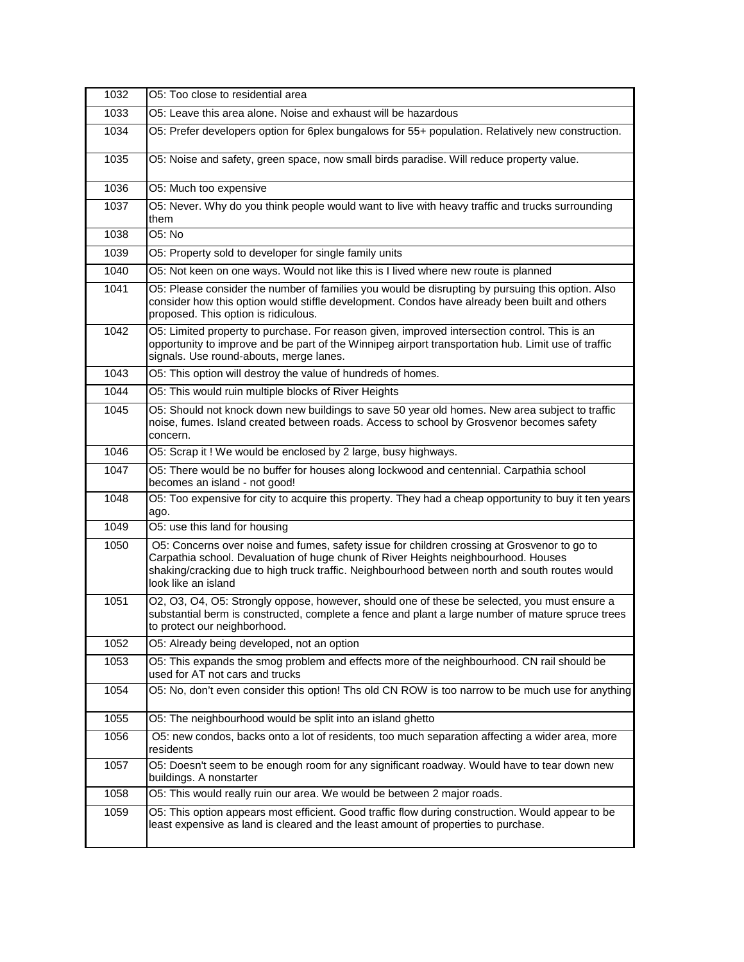| 1032 | O5: Too close to residential area                                                                                                                                                                                                                                                                          |
|------|------------------------------------------------------------------------------------------------------------------------------------------------------------------------------------------------------------------------------------------------------------------------------------------------------------|
| 1033 | O5: Leave this area alone. Noise and exhaust will be hazardous                                                                                                                                                                                                                                             |
| 1034 | O5: Prefer developers option for 6plex bungalows for 55+ population. Relatively new construction.                                                                                                                                                                                                          |
| 1035 | O5: Noise and safety, green space, now small birds paradise. Will reduce property value.                                                                                                                                                                                                                   |
| 1036 | O5: Much too expensive                                                                                                                                                                                                                                                                                     |
| 1037 | O5: Never. Why do you think people would want to live with heavy traffic and trucks surrounding<br>them                                                                                                                                                                                                    |
| 1038 | O5: No                                                                                                                                                                                                                                                                                                     |
| 1039 | O5: Property sold to developer for single family units                                                                                                                                                                                                                                                     |
| 1040 | O5: Not keen on one ways. Would not like this is I lived where new route is planned                                                                                                                                                                                                                        |
| 1041 | O5: Please consider the number of families you would be disrupting by pursuing this option. Also<br>consider how this option would stiffle development. Condos have already been built and others<br>proposed. This option is ridiculous.                                                                  |
| 1042 | O5: Limited property to purchase. For reason given, improved intersection control. This is an<br>opportunity to improve and be part of the Winnipeg airport transportation hub. Limit use of traffic<br>signals. Use round-abouts, merge lanes.                                                            |
| 1043 | O5: This option will destroy the value of hundreds of homes.                                                                                                                                                                                                                                               |
| 1044 | O5: This would ruin multiple blocks of River Heights                                                                                                                                                                                                                                                       |
| 1045 | O5: Should not knock down new buildings to save 50 year old homes. New area subject to traffic<br>noise, fumes. Island created between roads. Access to school by Grosvenor becomes safety<br>concern.                                                                                                     |
| 1046 | O5: Scrap it ! We would be enclosed by 2 large, busy highways.                                                                                                                                                                                                                                             |
| 1047 | O5: There would be no buffer for houses along lockwood and centennial. Carpathia school<br>becomes an island - not good!                                                                                                                                                                                   |
| 1048 | O5: Too expensive for city to acquire this property. They had a cheap opportunity to buy it ten years<br>ago.                                                                                                                                                                                              |
| 1049 | O5: use this land for housing                                                                                                                                                                                                                                                                              |
| 1050 | O5: Concerns over noise and fumes, safety issue for children crossing at Grosvenor to go to<br>Carpathia school. Devaluation of huge chunk of River Heights neighbourhood. Houses<br>shaking/cracking due to high truck traffic. Neighbourhood between north and south routes would<br>look like an island |
| 1051 | O2, O3, O4, O5: Strongly oppose, however, should one of these be selected, you must ensure a<br>substantial berm is constructed, complete a fence and plant a large number of mature spruce trees<br>to protect our neighborhood.                                                                          |
| 1052 | O5: Already being developed, not an option                                                                                                                                                                                                                                                                 |
| 1053 | O5: This expands the smog problem and effects more of the neighbourhood. CN rail should be<br>used for AT not cars and trucks                                                                                                                                                                              |
| 1054 | O5: No, don't even consider this option! Ths old CN ROW is too narrow to be much use for anything                                                                                                                                                                                                          |
| 1055 | O5: The neighbourhood would be split into an island ghetto                                                                                                                                                                                                                                                 |
| 1056 | O5: new condos, backs onto a lot of residents, too much separation affecting a wider area, more<br>residents                                                                                                                                                                                               |
| 1057 | O5: Doesn't seem to be enough room for any significant roadway. Would have to tear down new<br>buildings. A nonstarter                                                                                                                                                                                     |
| 1058 | O5: This would really ruin our area. We would be between 2 major roads.                                                                                                                                                                                                                                    |
| 1059 | O5: This option appears most efficient. Good traffic flow during construction. Would appear to be<br>least expensive as land is cleared and the least amount of properties to purchase.                                                                                                                    |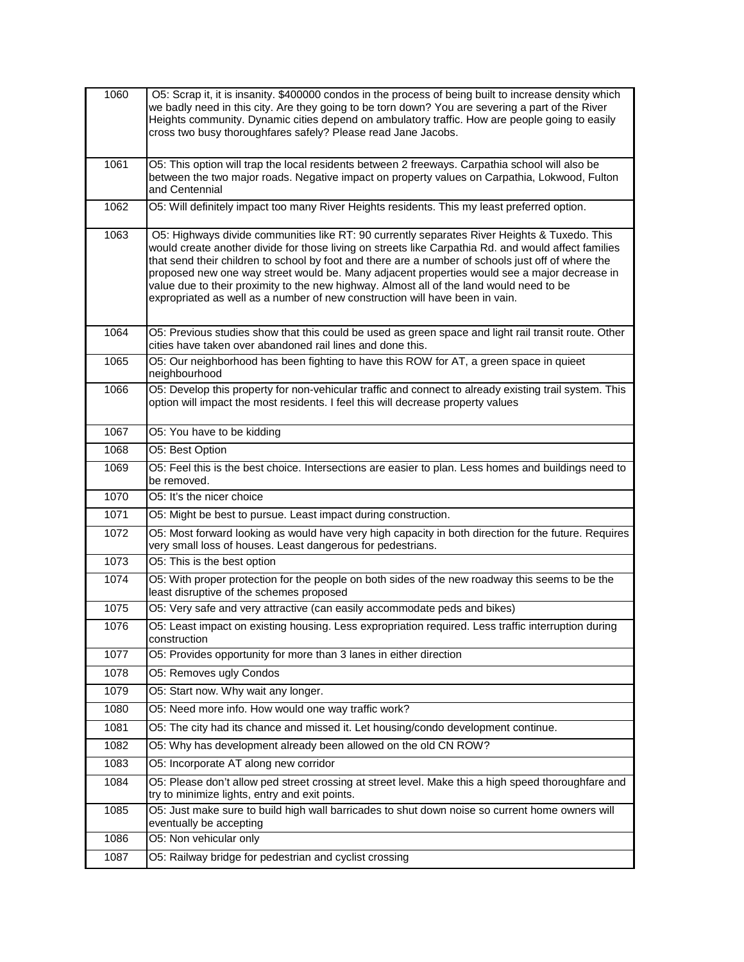| 1060 | O5: Scrap it, it is insanity. \$400000 condos in the process of being built to increase density which<br>we badly need in this city. Are they going to be torn down? You are severing a part of the River<br>Heights community. Dynamic cities depend on ambulatory traffic. How are people going to easily<br>cross two busy thoroughfares safely? Please read Jane Jacobs.                                                                                                                                                                                                           |
|------|----------------------------------------------------------------------------------------------------------------------------------------------------------------------------------------------------------------------------------------------------------------------------------------------------------------------------------------------------------------------------------------------------------------------------------------------------------------------------------------------------------------------------------------------------------------------------------------|
| 1061 | O5: This option will trap the local residents between 2 freeways. Carpathia school will also be<br>between the two major roads. Negative impact on property values on Carpathia, Lokwood, Fulton<br>and Centennial                                                                                                                                                                                                                                                                                                                                                                     |
| 1062 | O5: Will definitely impact too many River Heights residents. This my least preferred option.                                                                                                                                                                                                                                                                                                                                                                                                                                                                                           |
| 1063 | O5: Highways divide communities like RT: 90 currently separates River Heights & Tuxedo. This<br>would create another divide for those living on streets like Carpathia Rd. and would affect families<br>that send their children to school by foot and there are a number of schools just off of where the<br>proposed new one way street would be. Many adjacent properties would see a major decrease in<br>value due to their proximity to the new highway. Almost all of the land would need to be<br>expropriated as well as a number of new construction will have been in vain. |
| 1064 | O5: Previous studies show that this could be used as green space and light rail transit route. Other<br>cities have taken over abandoned rail lines and done this.                                                                                                                                                                                                                                                                                                                                                                                                                     |
| 1065 | O5: Our neighborhood has been fighting to have this ROW for AT, a green space in quieet<br>neighbourhood                                                                                                                                                                                                                                                                                                                                                                                                                                                                               |
| 1066 | O5: Develop this property for non-vehicular traffic and connect to already existing trail system. This<br>option will impact the most residents. I feel this will decrease property values                                                                                                                                                                                                                                                                                                                                                                                             |
| 1067 | O5: You have to be kidding                                                                                                                                                                                                                                                                                                                                                                                                                                                                                                                                                             |
| 1068 | O5: Best Option                                                                                                                                                                                                                                                                                                                                                                                                                                                                                                                                                                        |
| 1069 | O5: Feel this is the best choice. Intersections are easier to plan. Less homes and buildings need to<br>be removed.                                                                                                                                                                                                                                                                                                                                                                                                                                                                    |
| 1070 | O5: It's the nicer choice                                                                                                                                                                                                                                                                                                                                                                                                                                                                                                                                                              |
| 1071 | O5: Might be best to pursue. Least impact during construction.                                                                                                                                                                                                                                                                                                                                                                                                                                                                                                                         |
| 1072 | O5: Most forward looking as would have very high capacity in both direction for the future. Requires<br>very small loss of houses. Least dangerous for pedestrians.                                                                                                                                                                                                                                                                                                                                                                                                                    |
| 1073 | O5: This is the best option                                                                                                                                                                                                                                                                                                                                                                                                                                                                                                                                                            |
| 1074 | O5: With proper protection for the people on both sides of the new roadway this seems to be the<br>least disruptive of the schemes proposed                                                                                                                                                                                                                                                                                                                                                                                                                                            |
| 1075 | O5: Very safe and very attractive (can easily accommodate peds and bikes)                                                                                                                                                                                                                                                                                                                                                                                                                                                                                                              |
| 1076 | O5: Least impact on existing housing. Less expropriation required. Less traffic interruption during<br>construction                                                                                                                                                                                                                                                                                                                                                                                                                                                                    |
| 1077 | O5: Provides opportunity for more than 3 lanes in either direction                                                                                                                                                                                                                                                                                                                                                                                                                                                                                                                     |
| 1078 | O5: Removes ugly Condos                                                                                                                                                                                                                                                                                                                                                                                                                                                                                                                                                                |
| 1079 | O5: Start now. Why wait any longer.                                                                                                                                                                                                                                                                                                                                                                                                                                                                                                                                                    |
| 1080 | O5: Need more info. How would one way traffic work?                                                                                                                                                                                                                                                                                                                                                                                                                                                                                                                                    |
| 1081 | O5: The city had its chance and missed it. Let housing/condo development continue.                                                                                                                                                                                                                                                                                                                                                                                                                                                                                                     |
| 1082 | O5: Why has development already been allowed on the old CN ROW?                                                                                                                                                                                                                                                                                                                                                                                                                                                                                                                        |
| 1083 | O5: Incorporate AT along new corridor                                                                                                                                                                                                                                                                                                                                                                                                                                                                                                                                                  |
| 1084 | O5: Please don't allow ped street crossing at street level. Make this a high speed thoroughfare and<br>try to minimize lights, entry and exit points.                                                                                                                                                                                                                                                                                                                                                                                                                                  |
| 1085 | O5: Just make sure to build high wall barricades to shut down noise so current home owners will<br>eventually be accepting                                                                                                                                                                                                                                                                                                                                                                                                                                                             |
| 1086 | O5: Non vehicular only                                                                                                                                                                                                                                                                                                                                                                                                                                                                                                                                                                 |
| 1087 | O5: Railway bridge for pedestrian and cyclist crossing                                                                                                                                                                                                                                                                                                                                                                                                                                                                                                                                 |